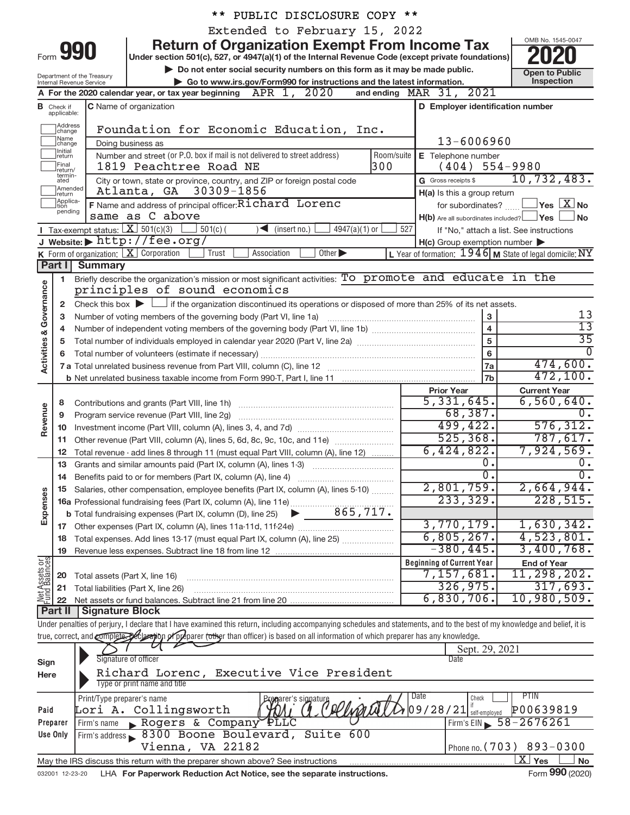|                                |                   |                                                                 | PUBLIC DISCLOSURE COPY **                                                                                                                                                  |                |                                                     |                                                           |
|--------------------------------|-------------------|-----------------------------------------------------------------|----------------------------------------------------------------------------------------------------------------------------------------------------------------------------|----------------|-----------------------------------------------------|-----------------------------------------------------------|
|                                |                   |                                                                 | Extended to February 15, 2022                                                                                                                                              |                |                                                     |                                                           |
|                                |                   |                                                                 | <b>Return of Organization Exempt From Income Tax</b>                                                                                                                       |                |                                                     | OMB No. 1545-0047                                         |
|                                |                   | Form 990                                                        | Under section 501(c), 527, or 4947(a)(1) of the Internal Revenue Code (except private foundations)                                                                         |                |                                                     |                                                           |
|                                |                   |                                                                 | Do not enter social security numbers on this form as it may be made public.                                                                                                |                |                                                     |                                                           |
|                                |                   | Department of the Treasury<br>Internal Revenue Service          | Go to www.irs.gov/Form990 for instructions and the latest information.                                                                                                     |                |                                                     | <b>Open to Public</b><br>Inspection                       |
|                                |                   |                                                                 | A For the 2020 calendar year, or tax year beginning $APR$ 1, $2020$<br>and ending                                                                                          |                | MAR 31, 2021                                        |                                                           |
|                                | <b>B</b> Check if |                                                                 | C Name of organization                                                                                                                                                     |                | D Employer identification number                    |                                                           |
|                                | applicable:       |                                                                 |                                                                                                                                                                            |                |                                                     |                                                           |
|                                | Address<br>change |                                                                 | Foundation for Economic Education, Inc.                                                                                                                                    |                |                                                     |                                                           |
|                                | Name<br>change    |                                                                 | Doing business as                                                                                                                                                          | 13-6006960     |                                                     |                                                           |
|                                | Initial<br>return |                                                                 | Number and street (or P.O. box if mail is not delivered to street address)                                                                                                 | Room/suite     | E Telephone number                                  |                                                           |
|                                | Final<br>return/  |                                                                 | 1819 Peachtree Road NE                                                                                                                                                     | 300            | (404)                                               | $554 - 9980$                                              |
|                                | termin-<br>ated   |                                                                 | City or town, state or province, country, and ZIP or foreign postal code                                                                                                   |                | G Gross receipts \$                                 | 10, 732, 483.                                             |
|                                | Amended<br>return |                                                                 | Atlanta, GA 30309-1856                                                                                                                                                     |                | H(a) Is this a group return                         |                                                           |
|                                | Applica-<br>tion  |                                                                 | F Name and address of principal officer: Richard Lorenc                                                                                                                    |                | for subordinates?                                   | $\sqrt{}$ Yes $\sqrt{ \ \overline{\rm X}}$ No             |
|                                | pending           |                                                                 | same as C above                                                                                                                                                            |                | $H(b)$ Are all subordinates included? $\Box$ Yes    | No                                                        |
|                                |                   | <b>I</b> Tax-exempt status: $X \ 501(c)(3)$                     | $501(c)$ (<br>$\sqrt{\frac{1}{1}}$ (insert no.)<br>$4947(a)(1)$ or                                                                                                         | 527            |                                                     | If "No," attach a list. See instructions                  |
|                                |                   |                                                                 | J Website: http://fee.org/                                                                                                                                                 |                | $H(c)$ Group exemption number $\blacktriangleright$ |                                                           |
|                                |                   | <b>K</b> Form of organization: $\boxed{\mathbf{X}}$ Corporation | Trust<br>Association<br>Other $\blacktriangleright$                                                                                                                        |                |                                                     | L Year of formation: $1946$ M State of legal domicile: NY |
|                                | Part I            | Summary                                                         |                                                                                                                                                                            |                |                                                     |                                                           |
|                                | 1.                |                                                                 | Briefly describe the organization's mission or most significant activities: To promote and educate in the                                                                  |                |                                                     |                                                           |
| Governance                     |                   |                                                                 | principles of sound economics                                                                                                                                              |                |                                                     |                                                           |
|                                | $\mathbf{2}$      |                                                                 | Check this box $\blacktriangleright$ $\Box$ if the organization discontinued its operations or disposed of more than 25% of its net assets.                                |                |                                                     |                                                           |
|                                | з                 |                                                                 | Number of voting members of the governing body (Part VI, line 1a)                                                                                                          |                | 3                                                   | 13                                                        |
|                                | 4                 |                                                                 |                                                                                                                                                                            |                | $\overline{4}$                                      | $\overline{13}$                                           |
|                                | 5                 |                                                                 |                                                                                                                                                                            |                | $\overline{5}$                                      | $\overline{35}$                                           |
| <b>Activities &amp;</b>        | 6                 |                                                                 | $6\phantom{a}$                                                                                                                                                             | $\overline{0}$ |                                                     |                                                           |
|                                |                   |                                                                 |                                                                                                                                                                            |                | 7a                                                  | 474,600.                                                  |
|                                |                   |                                                                 |                                                                                                                                                                            |                | 7 <sub>b</sub>                                      | 472, 100.                                                 |
|                                |                   |                                                                 |                                                                                                                                                                            |                | <b>Prior Year</b>                                   | <b>Current Year</b>                                       |
|                                | 8                 |                                                                 | Contributions and grants (Part VIII, line 1h)                                                                                                                              |                | 5,331,645.                                          | 6,560,640.                                                |
| Revenue                        | 9                 |                                                                 | Program service revenue (Part VIII, line 2g)                                                                                                                               |                | 68,387.                                             | 0.                                                        |
|                                | 10                |                                                                 |                                                                                                                                                                            |                | 499,422.                                            | 576, 312.                                                 |
|                                | 11                |                                                                 |                                                                                                                                                                            |                | 525, 368.                                           | 787,617.                                                  |
|                                | 12                |                                                                 | Total revenue - add lines 8 through 11 (must equal Part VIII, column (A), line 12)                                                                                         |                | 6,424,822.                                          | 7,924,569.                                                |
|                                |                   |                                                                 |                                                                                                                                                                            |                | 0.                                                  | $0$ .                                                     |
|                                |                   |                                                                 | 14 Benefits paid to or for members (Part IX, column (A), line 4)                                                                                                           |                | $\overline{0}$ .                                    | $\overline{0}$ .                                          |
|                                |                   |                                                                 | 15 Salaries, other compensation, employee benefits (Part IX, column (A), lines 5-10)                                                                                       |                | 2,801,759.                                          | 2,664,944.                                                |
| Expenses                       |                   |                                                                 | 16 Detailed, State Lewis<br>16 Professional fundraising fees (Part IX, column (A), line 11e)<br>16 Tetal fundraising synanses (Part IX, column (D), line 25 20             |                | 233, 329.                                           | 228,515.                                                  |
|                                |                   |                                                                 |                                                                                                                                                                            |                |                                                     |                                                           |
|                                |                   |                                                                 |                                                                                                                                                                            |                | 3,770,179.                                          | 1,630,342.                                                |
|                                | 18                |                                                                 | Total expenses. Add lines 13-17 (must equal Part IX, column (A), line 25)                                                                                                  |                | 6,805,267.                                          | 4,523,801.                                                |
|                                | 19                |                                                                 |                                                                                                                                                                            |                | $-380, 445.$                                        | 3,400,768.                                                |
|                                |                   |                                                                 |                                                                                                                                                                            |                | <b>Beginning of Current Year</b>                    | <b>End of Year</b>                                        |
| Net Assets or<br>Fund Balances | 20                | Total assets (Part X, line 16)                                  |                                                                                                                                                                            |                | 7,157,681.                                          | $11,298,202$ .                                            |
|                                | 21                |                                                                 | Total liabilities (Part X, line 26)                                                                                                                                        |                | 326,975.                                            | 317,693.                                                  |
|                                | 22                |                                                                 |                                                                                                                                                                            |                | 6,830,706.                                          | 10,980,509.                                               |
|                                | <b>Part II</b>    | <b>Signature Block</b>                                          |                                                                                                                                                                            |                |                                                     |                                                           |
|                                |                   |                                                                 | Under penalties of perjury, I declare that I have examined this return, including accompanying schedules and statements, and to the best of my knowledge and belief, it is |                |                                                     |                                                           |
|                                |                   |                                                                 | true, correct, and complete peclaration of preparer (other than officer) is based on all information of which preparer has any knowledge.                                  |                |                                                     |                                                           |
|                                |                   |                                                                 |                                                                                                                                                                            |                | Sept. 29, 2021                                      |                                                           |
| Sign                           |                   | Signature of officer                                            |                                                                                                                                                                            |                | Date                                                |                                                           |
| Here                           |                   |                                                                 | Richard Lorenc, Executive Vice President                                                                                                                                   |                |                                                     |                                                           |
|                                |                   |                                                                 | Type or print name and title                                                                                                                                               |                |                                                     |                                                           |
|                                |                   | Print/Type preparer's name                                      | Progarer's signature                                                                                                                                                       |                | Date<br>Check                                       | <b>PTIN</b>                                               |
| Paid                           |                   |                                                                 | (Plinari)<br>Lori A. Collingsworth                                                                                                                                         |                | $09/28/21$ self-employed                            | P00639819                                                 |
|                                | Preparer          | Firm's name                                                     | Rogers & Company PLLC                                                                                                                                                      |                | Firm's $EIN$                                        | 58-2676261                                                |
|                                | Use Only          |                                                                 | Firm's address 8300 Boone Boulevard, Suite<br>600                                                                                                                          |                |                                                     |                                                           |
|                                |                   |                                                                 | Vienna, VA 22182                                                                                                                                                           |                |                                                     | Phone no. (703) 893-0300                                  |
|                                |                   |                                                                 | May the IRS discuss this return with the preparer shown above? See instructions                                                                                            |                |                                                     | $\overline{\text{X}}$ Yes<br>No                           |

032001 12-23-20 LHA **For Paperwork Reduction Act Notice, see the separate instructions.**  $\blacksquare$  $\blacksquare$  $\blacksquare$  $\blacksquare$  $\blacksquare$  $\blacksquare$  $\blacksquare$  $\blacksquare$  $\blacksquare$  $\blacksquare$  $\square$  $\square$  $\square$  $\square$  **\**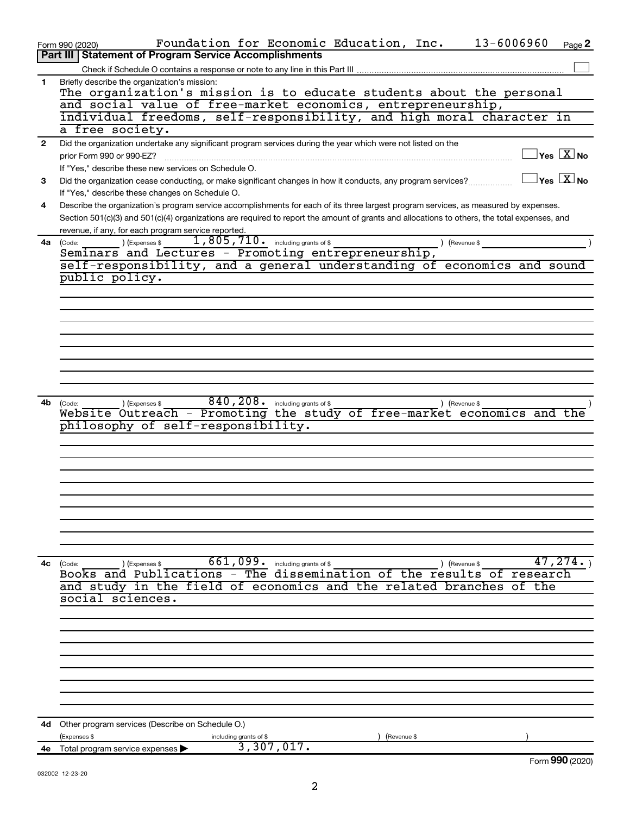|              | 13-6006960<br>Foundation for Economic Education, Inc.<br>Page 2<br>Form 990 (2020)<br><b>Part III   Statement of Program Service Accomplishments</b>              |
|--------------|-------------------------------------------------------------------------------------------------------------------------------------------------------------------|
|              |                                                                                                                                                                   |
| 1            | Briefly describe the organization's mission:                                                                                                                      |
|              | The organization's mission is to educate students about the personal                                                                                              |
|              | and social value of free-market economics, entrepreneurship,                                                                                                      |
|              | individual freedoms, self-responsibility, and high moral character in                                                                                             |
|              | a free society.                                                                                                                                                   |
| $\mathbf{2}$ | Did the organization undertake any significant program services during the year which were not listed on the                                                      |
|              | $ {\mathsf Y}\mathsf{es}\ \boxed{{\mathsf X}}$ No<br>prior Form 990 or 990-EZ?                                                                                    |
|              | If "Yes," describe these new services on Schedule O.                                                                                                              |
| 3            | $ {\mathsf Y}\mathsf{es}\ \boxed{{\mathsf X}}$ No<br>Did the organization cease conducting, or make significant changes in how it conducts, any program services? |
|              | If "Yes," describe these changes on Schedule O.                                                                                                                   |
| 4            | Describe the organization's program service accomplishments for each of its three largest program services, as measured by expenses.                              |
|              | Section 501(c)(3) and 501(c)(4) organizations are required to report the amount of grants and allocations to others, the total expenses, and                      |
|              | revenue, if any, for each program service reported.<br>1,805,710. including grants of \$                                                                          |
| 4a           | (Expenses \$<br>) (Revenue \$<br>(Code:<br>Seminars and Lectures - Promoting entrepreneurship,                                                                    |
|              | self-responsibility, and a general understanding of economics and sound                                                                                           |
|              | public policy.                                                                                                                                                    |
|              |                                                                                                                                                                   |
|              |                                                                                                                                                                   |
|              |                                                                                                                                                                   |
|              |                                                                                                                                                                   |
|              |                                                                                                                                                                   |
|              |                                                                                                                                                                   |
|              |                                                                                                                                                                   |
|              |                                                                                                                                                                   |
|              |                                                                                                                                                                   |
| 4b           | 840, 208. including grants of \$<br>(Expenses \$<br>) (Revenue \$<br>(Code:                                                                                       |
|              | - Promoting the study of free-market economics and the<br>Website Outreach                                                                                        |
|              | philosophy of self-responsibility.                                                                                                                                |
|              |                                                                                                                                                                   |
|              |                                                                                                                                                                   |
|              |                                                                                                                                                                   |
|              |                                                                                                                                                                   |
|              |                                                                                                                                                                   |
|              |                                                                                                                                                                   |
|              |                                                                                                                                                                   |
|              |                                                                                                                                                                   |
|              |                                                                                                                                                                   |
| 4c           | 661,099. including grants of \$<br>47,274.<br>) (Revenue \$<br>(Code:<br>(Expenses \$                                                                             |
|              | Books and Publications - The dissemination of the results of research                                                                                             |
|              | and study in the field of economics and the related branches<br>of the                                                                                            |
|              | social sciences.                                                                                                                                                  |
|              |                                                                                                                                                                   |
|              |                                                                                                                                                                   |
|              |                                                                                                                                                                   |
|              |                                                                                                                                                                   |
|              |                                                                                                                                                                   |
|              |                                                                                                                                                                   |
|              |                                                                                                                                                                   |
|              |                                                                                                                                                                   |
|              |                                                                                                                                                                   |
|              | <b>4d</b> Other program services (Describe on Schedule O.)                                                                                                        |
|              | (Expenses \$<br>(Revenue \$<br>including grants of \$<br>3,307,017.<br>Total program service expenses                                                             |
| 4е           | Form 990 (2020)                                                                                                                                                   |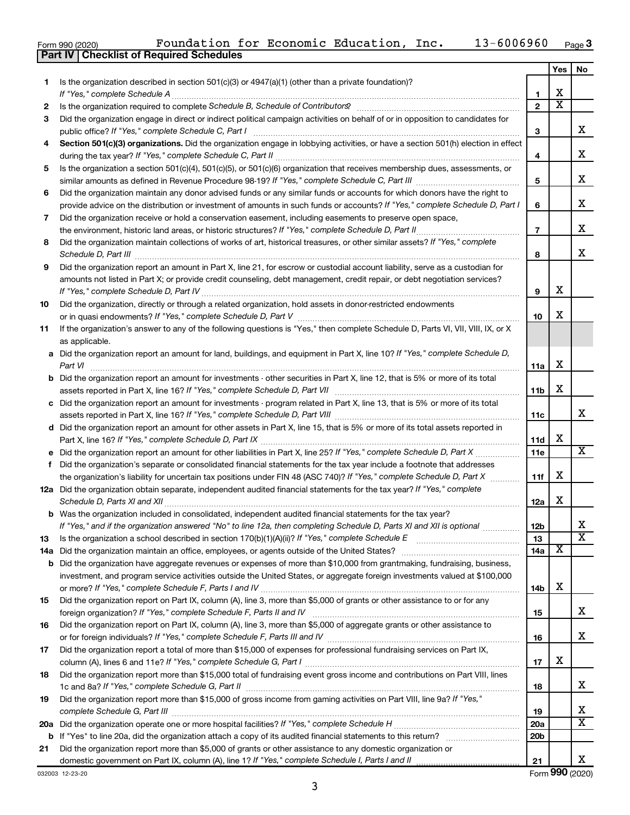|  | Form 990 (2020) |
|--|-----------------|
|  |                 |

|     |                                                                                                                                                                 |                 | Yes | No                    |
|-----|-----------------------------------------------------------------------------------------------------------------------------------------------------------------|-----------------|-----|-----------------------|
| 1.  | Is the organization described in section $501(c)(3)$ or $4947(a)(1)$ (other than a private foundation)?                                                         |                 |     |                       |
|     | If "Yes," complete Schedule A                                                                                                                                   | 1               | x   |                       |
| 2   | Is the organization required to complete Schedule B, Schedule of Contributors? [11] The organization required to complete Schedule B, Schedule of Contributors? | $\overline{2}$  | х   |                       |
| 3   | Did the organization engage in direct or indirect political campaign activities on behalf of or in opposition to candidates for                                 |                 |     |                       |
|     | public office? If "Yes," complete Schedule C, Part I                                                                                                            | з               |     | x.                    |
| 4   | Section 501(c)(3) organizations. Did the organization engage in lobbying activities, or have a section 501(h) election in effect                                | 4               |     | х                     |
| 5   | Is the organization a section 501(c)(4), 501(c)(5), or 501(c)(6) organization that receives membership dues, assessments, or                                    |                 |     |                       |
|     |                                                                                                                                                                 | 5               |     | х                     |
| 6   | Did the organization maintain any donor advised funds or any similar funds or accounts for which donors have the right to                                       |                 |     |                       |
|     | provide advice on the distribution or investment of amounts in such funds or accounts? If "Yes," complete Schedule D, Part I                                    | 6               |     | x.                    |
| 7   | Did the organization receive or hold a conservation easement, including easements to preserve open space,                                                       |                 |     |                       |
|     |                                                                                                                                                                 | $\overline{7}$  |     | x                     |
| 8   | Did the organization maintain collections of works of art, historical treasures, or other similar assets? If "Yes," complete<br>Schedule D, Part III            | 8               |     | x.                    |
| 9   | Did the organization report an amount in Part X, line 21, for escrow or custodial account liability, serve as a custodian for                                   |                 |     |                       |
|     | amounts not listed in Part X; or provide credit counseling, debt management, credit repair, or debt negotiation services?                                       |                 |     |                       |
|     | If "Yes," complete Schedule D, Part IV.                                                                                                                         | 9               | х   |                       |
| 10  | Did the organization, directly or through a related organization, hold assets in donor-restricted endowments                                                    |                 |     |                       |
|     |                                                                                                                                                                 | 10              | х   |                       |
| 11  | If the organization's answer to any of the following questions is "Yes," then complete Schedule D, Parts VI, VII, VIII, IX, or X                                |                 |     |                       |
|     | as applicable.                                                                                                                                                  |                 |     |                       |
|     | a Did the organization report an amount for land, buildings, and equipment in Part X, line 10? If "Yes," complete Schedule D,                                   |                 |     |                       |
|     | Part VI                                                                                                                                                         | 11a             | х   |                       |
|     | <b>b</b> Did the organization report an amount for investments - other securities in Part X, line 12, that is 5% or more of its total                           |                 |     |                       |
|     |                                                                                                                                                                 | 11b             | х   |                       |
|     | c Did the organization report an amount for investments - program related in Part X, line 13, that is 5% or more of its total                                   |                 |     | x.                    |
|     |                                                                                                                                                                 | 11c             |     |                       |
|     | d Did the organization report an amount for other assets in Part X, line 15, that is 5% or more of its total assets reported in                                 | 11d             | х   |                       |
|     |                                                                                                                                                                 | 11e             |     | x                     |
| f   | Did the organization's separate or consolidated financial statements for the tax year include a footnote that addresses                                         |                 |     |                       |
|     | the organization's liability for uncertain tax positions under FIN 48 (ASC 740)? If "Yes," complete Schedule D, Part X                                          | 11f             | х   |                       |
|     | 12a Did the organization obtain separate, independent audited financial statements for the tax year? If "Yes," complete                                         |                 |     |                       |
|     | Schedule D, Parts XI and XII<br>and a complete the contract of the contract of the contract of the contract of the contract of the contract of                  | 12a             | x   |                       |
|     | <b>b</b> Was the organization included in consolidated, independent audited financial statements for the tax year?                                              |                 |     |                       |
|     | If "Yes," and if the organization answered "No" to line 12a, then completing Schedule D, Parts XI and XII is optional www.                                      | 12 <sub>b</sub> |     | Χ                     |
| 13  | Is the organization a school described in section $170(b)(1)(A)(ii)$ ? If "Yes," complete Schedule E                                                            | 13              |     | $\overline{\text{x}}$ |
| 14a | Did the organization maintain an office, employees, or agents outside of the United States?                                                                     | 14a             | х   |                       |
|     | <b>b</b> Did the organization have aggregate revenues or expenses of more than \$10,000 from grantmaking, fundraising, business,                                |                 |     |                       |
|     | investment, and program service activities outside the United States, or aggregate foreign investments valued at \$100,000                                      |                 | x   |                       |
|     | Did the organization report on Part IX, column (A), line 3, more than \$5,000 of grants or other assistance to or for any                                       | 14b             |     |                       |
| 15  |                                                                                                                                                                 | 15              |     | х                     |
| 16  | Did the organization report on Part IX, column (A), line 3, more than \$5,000 of aggregate grants or other assistance to                                        |                 |     |                       |
|     |                                                                                                                                                                 | 16              |     | х                     |
| 17  | Did the organization report a total of more than \$15,000 of expenses for professional fundraising services on Part IX,                                         |                 |     |                       |
|     |                                                                                                                                                                 | 17              | x   |                       |
| 18  | Did the organization report more than \$15,000 total of fundraising event gross income and contributions on Part VIII, lines                                    |                 |     |                       |
|     |                                                                                                                                                                 | 18              |     | х                     |
| 19  | Did the organization report more than \$15,000 of gross income from gaming activities on Part VIII, line 9a? If "Yes,"                                          |                 |     |                       |
|     |                                                                                                                                                                 | 19              |     | х<br>x                |
| 20a |                                                                                                                                                                 | 20a             |     |                       |
|     |                                                                                                                                                                 | 20 <sub>b</sub> |     |                       |
| 21  | Did the organization report more than \$5,000 of grants or other assistance to any domestic organization or                                                     | 21              |     | х                     |
|     |                                                                                                                                                                 |                 |     |                       |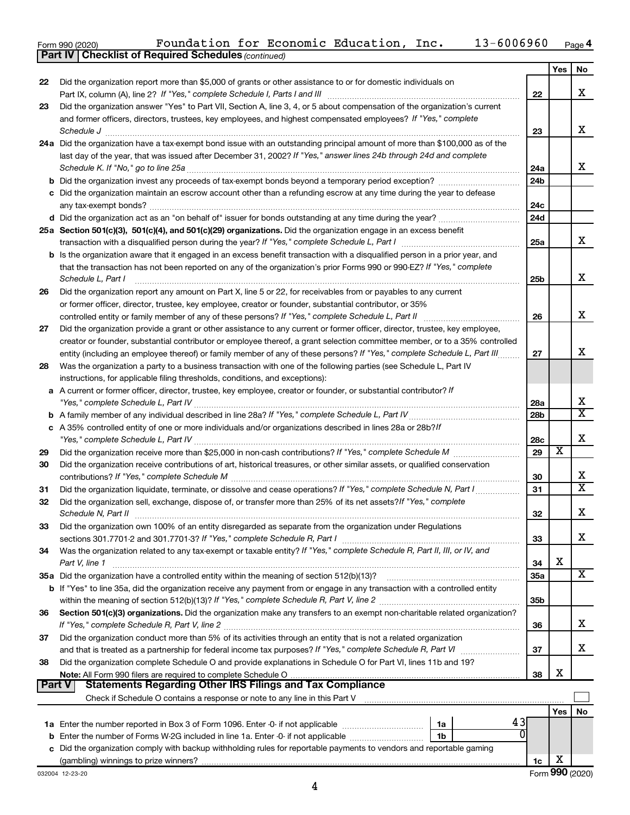| Form 990 (2020) |  | Foundation for Economic Education, |  |  |  | Inc. | 13-6006960 | Page 4 |
|-----------------|--|------------------------------------|--|--|--|------|------------|--------|
|-----------------|--|------------------------------------|--|--|--|------|------------|--------|

|               | <b>Part IV   Checklist of Required Schedules (continued)</b>                                                                                                                                                                   |                 |                         |                       |
|---------------|--------------------------------------------------------------------------------------------------------------------------------------------------------------------------------------------------------------------------------|-----------------|-------------------------|-----------------------|
|               |                                                                                                                                                                                                                                |                 | Yes                     | No                    |
| 22            | Did the organization report more than \$5,000 of grants or other assistance to or for domestic individuals on                                                                                                                  |                 |                         |                       |
|               |                                                                                                                                                                                                                                | 22              |                         | X                     |
| 23            | Did the organization answer "Yes" to Part VII, Section A, line 3, 4, or 5 about compensation of the organization's current                                                                                                     |                 |                         |                       |
|               | and former officers, directors, trustees, key employees, and highest compensated employees? If "Yes," complete                                                                                                                 |                 |                         |                       |
|               |                                                                                                                                                                                                                                | 23              |                         | х                     |
|               | Schedule J <b>Execute Schedule J Execute Schedule J</b>                                                                                                                                                                        |                 |                         |                       |
|               | 24a Did the organization have a tax-exempt bond issue with an outstanding principal amount of more than \$100,000 as of the                                                                                                    |                 |                         |                       |
|               | last day of the year, that was issued after December 31, 2002? If "Yes," answer lines 24b through 24d and complete                                                                                                             |                 |                         |                       |
|               |                                                                                                                                                                                                                                | 24a             |                         | x                     |
|               |                                                                                                                                                                                                                                | 24 <sub>b</sub> |                         |                       |
|               | c Did the organization maintain an escrow account other than a refunding escrow at any time during the year to defease                                                                                                         |                 |                         |                       |
|               |                                                                                                                                                                                                                                | 24c             |                         |                       |
|               |                                                                                                                                                                                                                                | 24d             |                         |                       |
|               | 25a Section 501(c)(3), 501(c)(4), and 501(c)(29) organizations. Did the organization engage in an excess benefit                                                                                                               |                 |                         |                       |
|               |                                                                                                                                                                                                                                | 25a             |                         | x                     |
|               | b Is the organization aware that it engaged in an excess benefit transaction with a disqualified person in a prior year, and                                                                                                   |                 |                         |                       |
|               | that the transaction has not been reported on any of the organization's prior Forms 990 or 990-EZ? If "Yes," complete                                                                                                          |                 |                         |                       |
|               | Schedule L, Part I                                                                                                                                                                                                             | 25b             |                         | х                     |
| 26            | Did the organization report any amount on Part X, line 5 or 22, for receivables from or payables to any current                                                                                                                |                 |                         |                       |
|               | or former officer, director, trustee, key employee, creator or founder, substantial contributor, or 35%                                                                                                                        |                 |                         |                       |
|               | controlled entity or family member of any of these persons? If "Yes," complete Schedule L, Part II                                                                                                                             | 26              |                         | х                     |
| 27            | Did the organization provide a grant or other assistance to any current or former officer, director, trustee, key employee,                                                                                                    |                 |                         |                       |
|               | creator or founder, substantial contributor or employee thereof, a grant selection committee member, or to a 35% controlled                                                                                                    |                 |                         |                       |
|               | entity (including an employee thereof) or family member of any of these persons? If "Yes," complete Schedule L, Part III                                                                                                       | 27              |                         | х                     |
|               |                                                                                                                                                                                                                                |                 |                         |                       |
| 28            | Was the organization a party to a business transaction with one of the following parties (see Schedule L, Part IV                                                                                                              |                 |                         |                       |
|               | instructions, for applicable filing thresholds, conditions, and exceptions):                                                                                                                                                   |                 |                         |                       |
|               | a A current or former officer, director, trustee, key employee, creator or founder, or substantial contributor? If                                                                                                             |                 |                         |                       |
|               |                                                                                                                                                                                                                                | 28a             |                         | X                     |
|               |                                                                                                                                                                                                                                | 28b             |                         | $\overline{\text{X}}$ |
|               | c A 35% controlled entity of one or more individuals and/or organizations described in lines 28a or 28b?/f                                                                                                                     |                 |                         |                       |
|               |                                                                                                                                                                                                                                | 28c             |                         | х                     |
| 29            |                                                                                                                                                                                                                                | 29              | $\overline{\textbf{x}}$ |                       |
| 30            | Did the organization receive contributions of art, historical treasures, or other similar assets, or qualified conservation                                                                                                    |                 |                         |                       |
|               |                                                                                                                                                                                                                                | 30              |                         | х                     |
| 31            | Did the organization liquidate, terminate, or dissolve and cease operations? If "Yes," complete Schedule N, Part I                                                                                                             | 31              |                         | X                     |
| 32            | Did the organization sell, exchange, dispose of, or transfer more than 25% of its net assets? If "Yes," complete                                                                                                               |                 |                         |                       |
|               |                                                                                                                                                                                                                                | 32              |                         | Χ                     |
| 33            | Did the organization own 100% of an entity disregarded as separate from the organization under Regulations                                                                                                                     |                 |                         |                       |
|               |                                                                                                                                                                                                                                | 33              |                         | x.                    |
| 34            | Was the organization related to any tax-exempt or taxable entity? If "Yes," complete Schedule R, Part II, III, or IV, and                                                                                                      |                 |                         |                       |
|               | Part V, line 1                                                                                                                                                                                                                 | 34              | X                       |                       |
|               |                                                                                                                                                                                                                                | <b>35a</b>      |                         | х                     |
|               | b If "Yes" to line 35a, did the organization receive any payment from or engage in any transaction with a controlled entity                                                                                                    |                 |                         |                       |
|               |                                                                                                                                                                                                                                | 35b             |                         |                       |
| 36            | Section 501(c)(3) organizations. Did the organization make any transfers to an exempt non-charitable related organization?                                                                                                     |                 |                         |                       |
|               |                                                                                                                                                                                                                                | 36              |                         | x                     |
|               | Did the organization conduct more than 5% of its activities through an entity that is not a related organization                                                                                                               |                 |                         |                       |
| 37            |                                                                                                                                                                                                                                | 37              |                         | x                     |
|               |                                                                                                                                                                                                                                |                 |                         |                       |
| 38            | Did the organization complete Schedule O and provide explanations in Schedule O for Part VI, lines 11b and 19?                                                                                                                 |                 | X                       |                       |
|               |                                                                                                                                                                                                                                | 38              |                         |                       |
| <b>Part V</b> |                                                                                                                                                                                                                                |                 |                         |                       |
|               | Check if Schedule O contains a response or note to any line in this Part V [11] [11] contains according to contains a response or note to any line in this Part V [11] [11] [11] contains according to the Schedule D contains |                 |                         |                       |
|               |                                                                                                                                                                                                                                |                 | Yes                     | No                    |
|               | 43<br>1a                                                                                                                                                                                                                       |                 |                         |                       |
|               | 1b                                                                                                                                                                                                                             |                 |                         |                       |
|               | c Did the organization comply with backup withholding rules for reportable payments to vendors and reportable gaming                                                                                                           |                 |                         |                       |
|               |                                                                                                                                                                                                                                | 1c              | х                       |                       |
|               | 032004 12-23-20                                                                                                                                                                                                                |                 |                         | Form 990 (2020)       |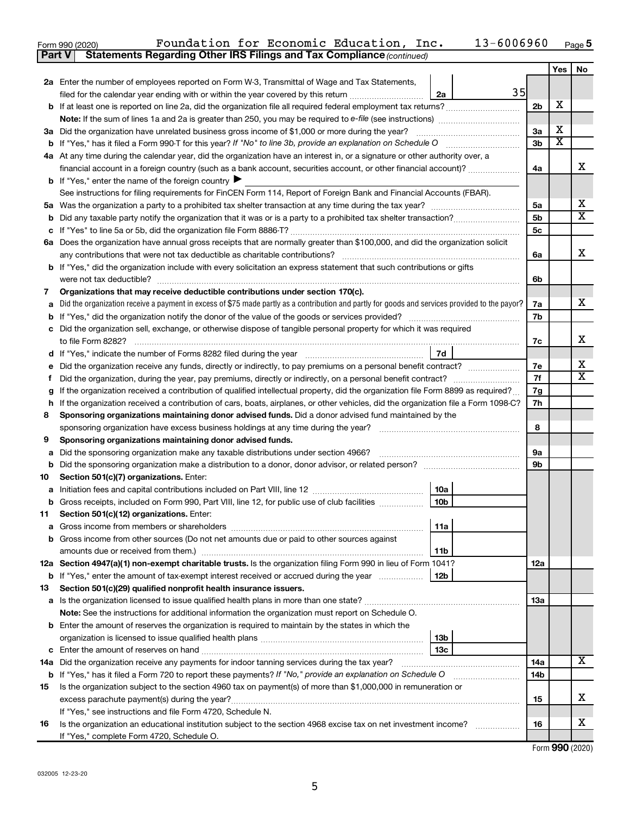| Form 990 (2020) |                                                                                     |  | Foundation for Economic Education, Inc. | $13 - 6006960$ Page 5 |  |
|-----------------|-------------------------------------------------------------------------------------|--|-----------------------------------------|-----------------------|--|
|                 | <b>Part V</b> Statements Regarding Other IRS Filings and Tax Compliance (continued) |  |                                         |                       |  |

|     | $\alpha$ , and the contract of the contract of the community of $\alpha$                                                                                                                                                                         |                |                         |                         |  |  |  |
|-----|--------------------------------------------------------------------------------------------------------------------------------------------------------------------------------------------------------------------------------------------------|----------------|-------------------------|-------------------------|--|--|--|
|     |                                                                                                                                                                                                                                                  |                | Yes                     | No                      |  |  |  |
|     | 2a Enter the number of employees reported on Form W-3, Transmittal of Wage and Tax Statements,<br>35                                                                                                                                             |                |                         |                         |  |  |  |
|     | filed for the calendar year ending with or within the year covered by this return <i>[[[[[[[[[[[[[]]]</i> ]]<br>2a                                                                                                                               |                | х                       |                         |  |  |  |
|     |                                                                                                                                                                                                                                                  | 2b             |                         |                         |  |  |  |
|     |                                                                                                                                                                                                                                                  |                | х                       |                         |  |  |  |
|     | 3a Did the organization have unrelated business gross income of \$1,000 or more during the year?                                                                                                                                                 | 3a<br>3b       | $\overline{\textbf{x}}$ |                         |  |  |  |
| b   |                                                                                                                                                                                                                                                  |                |                         |                         |  |  |  |
|     | 4a At any time during the calendar year, did the organization have an interest in, or a signature or other authority over, a<br>financial account in a foreign country (such as a bank account, securities account, or other financial account)? | 4a             |                         | х                       |  |  |  |
|     | <b>b</b> If "Yes," enter the name of the foreign country $\blacktriangleright$                                                                                                                                                                   |                |                         |                         |  |  |  |
|     | See instructions for filing requirements for FinCEN Form 114, Report of Foreign Bank and Financial Accounts (FBAR).                                                                                                                              |                |                         |                         |  |  |  |
|     |                                                                                                                                                                                                                                                  | 5a             |                         | х                       |  |  |  |
|     |                                                                                                                                                                                                                                                  | 5b             |                         | $\overline{\mathtt{x}}$ |  |  |  |
| b   |                                                                                                                                                                                                                                                  | 5 <sub>c</sub> |                         |                         |  |  |  |
| с   | 6a Does the organization have annual gross receipts that are normally greater than \$100,000, and did the organization solicit                                                                                                                   |                |                         |                         |  |  |  |
|     | any contributions that were not tax deductible as charitable contributions?                                                                                                                                                                      | 6a             |                         | x                       |  |  |  |
|     | <b>b</b> If "Yes," did the organization include with every solicitation an express statement that such contributions or gifts                                                                                                                    |                |                         |                         |  |  |  |
|     | were not tax deductible?                                                                                                                                                                                                                         | 6b             |                         |                         |  |  |  |
| 7   | Organizations that may receive deductible contributions under section 170(c).                                                                                                                                                                    |                |                         |                         |  |  |  |
| а   | Did the organization receive a payment in excess of \$75 made partly as a contribution and partly for goods and services provided to the payor?                                                                                                  | 7a             |                         | x                       |  |  |  |
| b   | If "Yes," did the organization notify the donor of the value of the goods or services provided?                                                                                                                                                  | 7b             |                         |                         |  |  |  |
|     | c Did the organization sell, exchange, or otherwise dispose of tangible personal property for which it was required                                                                                                                              |                |                         |                         |  |  |  |
|     | to file Form 8282?                                                                                                                                                                                                                               | 7c             |                         | x                       |  |  |  |
|     | 7d<br>d If "Yes," indicate the number of Forms 8282 filed during the year                                                                                                                                                                        |                |                         |                         |  |  |  |
| е   | Did the organization receive any funds, directly or indirectly, to pay premiums on a personal benefit contract?                                                                                                                                  | 7e             |                         | x                       |  |  |  |
| f.  |                                                                                                                                                                                                                                                  |                |                         |                         |  |  |  |
| g   | If the organization received a contribution of qualified intellectual property, did the organization file Form 8899 as required?                                                                                                                 |                |                         |                         |  |  |  |
| h   | If the organization received a contribution of cars, boats, airplanes, or other vehicles, did the organization file a Form 1098-C?                                                                                                               | 7g<br>7h       |                         |                         |  |  |  |
| 8   | Sponsoring organizations maintaining donor advised funds. Did a donor advised fund maintained by the                                                                                                                                             |                |                         |                         |  |  |  |
|     | sponsoring organization have excess business holdings at any time during the year?                                                                                                                                                               | 8              |                         |                         |  |  |  |
| 9   | Sponsoring organizations maintaining donor advised funds.                                                                                                                                                                                        |                |                         |                         |  |  |  |
| a   | Did the sponsoring organization make any taxable distributions under section 4966?                                                                                                                                                               | 9а             |                         |                         |  |  |  |
| b   |                                                                                                                                                                                                                                                  | 9b             |                         |                         |  |  |  |
| 10  | Section 501(c)(7) organizations. Enter:                                                                                                                                                                                                          |                |                         |                         |  |  |  |
| а   | 10a                                                                                                                                                                                                                                              |                |                         |                         |  |  |  |
|     | 10 <sub>b</sub><br>Gross receipts, included on Form 990, Part VIII, line 12, for public use of club facilities                                                                                                                                   |                |                         |                         |  |  |  |
| 11  | Section 501(c)(12) organizations. Enter:                                                                                                                                                                                                         |                |                         |                         |  |  |  |
| а   | 11a                                                                                                                                                                                                                                              |                |                         |                         |  |  |  |
| b   | Gross income from other sources (Do not net amounts due or paid to other sources against                                                                                                                                                         |                |                         |                         |  |  |  |
|     | 11b                                                                                                                                                                                                                                              |                |                         |                         |  |  |  |
|     | 12a Section 4947(a)(1) non-exempt charitable trusts. Is the organization filing Form 990 in lieu of Form 1041?                                                                                                                                   | 12a            |                         |                         |  |  |  |
| b   | 12b<br>If "Yes," enter the amount of tax-exempt interest received or accrued during the year                                                                                                                                                     |                |                         |                         |  |  |  |
| 13  | Section 501(c)(29) qualified nonprofit health insurance issuers.                                                                                                                                                                                 |                |                         |                         |  |  |  |
| а   | Is the organization licensed to issue qualified health plans in more than one state?                                                                                                                                                             | 13a            |                         |                         |  |  |  |
|     | Note: See the instructions for additional information the organization must report on Schedule O.                                                                                                                                                |                |                         |                         |  |  |  |
| b   | Enter the amount of reserves the organization is required to maintain by the states in which the                                                                                                                                                 |                |                         |                         |  |  |  |
|     | 13b                                                                                                                                                                                                                                              |                |                         |                         |  |  |  |
| с   | 13 <sub>c</sub>                                                                                                                                                                                                                                  |                |                         | x                       |  |  |  |
| 14a | Did the organization receive any payments for indoor tanning services during the tax year?                                                                                                                                                       | 14a            |                         |                         |  |  |  |
| b   | If "Yes," has it filed a Form 720 to report these payments? If "No," provide an explanation on Schedule O                                                                                                                                        | 14b            |                         |                         |  |  |  |
| 15  | Is the organization subject to the section 4960 tax on payment(s) of more than \$1,000,000 in remuneration or                                                                                                                                    |                |                         | х                       |  |  |  |
|     |                                                                                                                                                                                                                                                  | 15             |                         |                         |  |  |  |
|     | If "Yes," see instructions and file Form 4720, Schedule N.                                                                                                                                                                                       |                |                         | х                       |  |  |  |
| 16  | Is the organization an educational institution subject to the section 4968 excise tax on net investment income?                                                                                                                                  | 16             |                         |                         |  |  |  |
|     | If "Yes," complete Form 4720, Schedule O.                                                                                                                                                                                                        |                |                         |                         |  |  |  |

| Form 990 (2020) |  |
|-----------------|--|
|-----------------|--|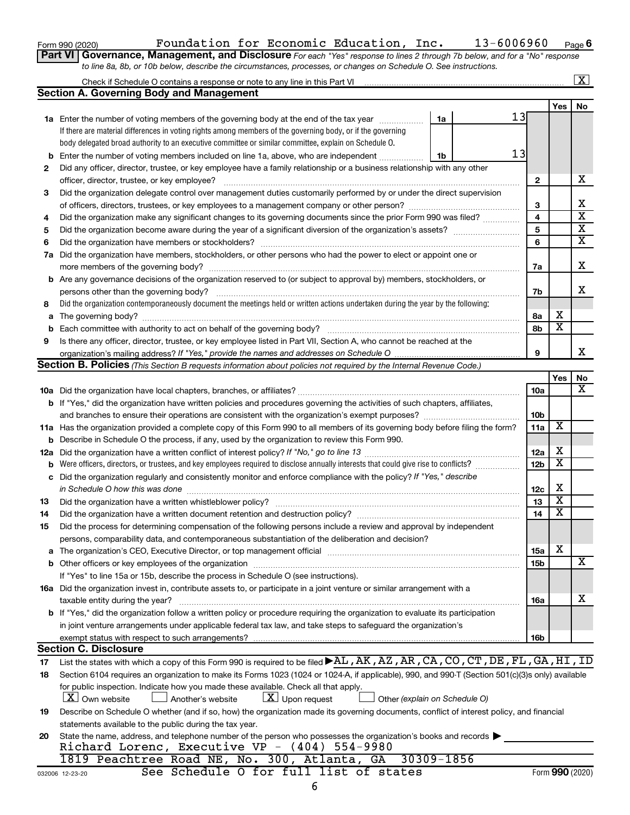| Form 990 (2020) |  |
|-----------------|--|
|-----------------|--|

# Form 990 (2020)  $\,$  Foundation for Economic Education, Inc.  $\,$  13-6006960  $\,$   $_{\rm Page}$

**6**

| Part VI   Governance, Management, and Disclosure For each "Yes" response to lines 2 through 7b below, and for a "No" response |
|-------------------------------------------------------------------------------------------------------------------------------|
| to line 8a, 8b, or 10b below, describe the circumstances, processes, or changes on Schedule O. See instructions.              |

|                                                           |                                                                                                                                                                                                                               |                               |                 |                         | $\overline{\mathbf{X}}$ |  |
|-----------------------------------------------------------|-------------------------------------------------------------------------------------------------------------------------------------------------------------------------------------------------------------------------------|-------------------------------|-----------------|-------------------------|-------------------------|--|
|                                                           | <b>Section A. Governing Body and Management</b>                                                                                                                                                                               |                               |                 |                         |                         |  |
|                                                           |                                                                                                                                                                                                                               |                               |                 | Yes                     | No                      |  |
|                                                           | <b>1a</b> Enter the number of voting members of the governing body at the end of the tax year                                                                                                                                 | 1a                            | 13              |                         |                         |  |
|                                                           | If there are material differences in voting rights among members of the governing body, or if the governing                                                                                                                   |                               |                 |                         |                         |  |
|                                                           | body delegated broad authority to an executive committee or similar committee, explain on Schedule O.                                                                                                                         |                               |                 |                         |                         |  |
| b                                                         | Enter the number of voting members included on line 1a, above, who are independent                                                                                                                                            | 1b                            | 13              |                         |                         |  |
| 2                                                         | Did any officer, director, trustee, or key employee have a family relationship or a business relationship with any other                                                                                                      |                               |                 |                         |                         |  |
|                                                           | officer, director, trustee, or key employee?                                                                                                                                                                                  |                               | $\mathbf{2}$    |                         | х                       |  |
| 3                                                         | Did the organization delegate control over management duties customarily performed by or under the direct supervision                                                                                                         |                               |                 |                         |                         |  |
|                                                           |                                                                                                                                                                                                                               |                               |                 |                         |                         |  |
| 4                                                         | Did the organization make any significant changes to its governing documents since the prior Form 990 was filed?                                                                                                              |                               | 4               |                         | $\overline{\mathbf{x}}$ |  |
| 5                                                         |                                                                                                                                                                                                                               |                               | 5               |                         | $\overline{\mathbf{x}}$ |  |
| 6                                                         |                                                                                                                                                                                                                               |                               | 6               |                         | $\overline{\mathbf{x}}$ |  |
| 7a                                                        | Did the organization have members, stockholders, or other persons who had the power to elect or appoint one or                                                                                                                |                               |                 |                         |                         |  |
|                                                           |                                                                                                                                                                                                                               |                               | 7a              |                         | х                       |  |
|                                                           | <b>b</b> Are any governance decisions of the organization reserved to (or subject to approval by) members, stockholders, or                                                                                                   |                               |                 |                         |                         |  |
|                                                           | persons other than the governing body?                                                                                                                                                                                        |                               | 7b              |                         | x                       |  |
| 8                                                         | Did the organization contemporaneously document the meetings held or written actions undertaken during the year by the following:                                                                                             |                               |                 |                         |                         |  |
| a                                                         |                                                                                                                                                                                                                               |                               | 8а              | х                       |                         |  |
| b                                                         |                                                                                                                                                                                                                               |                               | 8b              | $\overline{\textbf{x}}$ |                         |  |
| 9                                                         | Is there any officer, director, trustee, or key employee listed in Part VII, Section A, who cannot be reached at the                                                                                                          |                               |                 |                         |                         |  |
|                                                           |                                                                                                                                                                                                                               |                               | 9               |                         | x                       |  |
|                                                           | <b>Section B. Policies</b> (This Section B requests information about policies not required by the Internal Revenue Code.)                                                                                                    |                               |                 |                         |                         |  |
|                                                           |                                                                                                                                                                                                                               |                               |                 | Yes                     | No                      |  |
|                                                           |                                                                                                                                                                                                                               |                               | 10a             |                         | x                       |  |
|                                                           | b If "Yes," did the organization have written policies and procedures governing the activities of such chapters, affiliates,                                                                                                  |                               |                 |                         |                         |  |
|                                                           |                                                                                                                                                                                                                               |                               | 10 <sub>b</sub> |                         |                         |  |
|                                                           | 11a Has the organization provided a complete copy of this Form 990 to all members of its governing body before filing the form?                                                                                               |                               | 11a             | $\overline{\textbf{x}}$ |                         |  |
|                                                           | <b>b</b> Describe in Schedule O the process, if any, used by the organization to review this Form 990.                                                                                                                        |                               | 12a             | х                       |                         |  |
| 12a                                                       |                                                                                                                                                                                                                               |                               |                 |                         |                         |  |
| b                                                         | Were officers, directors, or trustees, and key employees required to disclose annually interests that could give rise to conflicts?                                                                                           |                               | 12 <sub>b</sub> | $\overline{\textbf{x}}$ |                         |  |
| с                                                         | Did the organization regularly and consistently monitor and enforce compliance with the policy? If "Yes," describe                                                                                                            |                               |                 |                         |                         |  |
|                                                           | in Schedule O how this was done                                                                                                                                                                                               |                               | 12c             | X                       |                         |  |
| 13                                                        |                                                                                                                                                                                                                               |                               | 13              | $\overline{\textbf{x}}$ |                         |  |
| 14                                                        |                                                                                                                                                                                                                               |                               | 14              | $\overline{\textbf{x}}$ |                         |  |
| 15                                                        | Did the process for determining compensation of the following persons include a review and approval by independent                                                                                                            |                               |                 |                         |                         |  |
|                                                           | persons, comparability data, and contemporaneous substantiation of the deliberation and decision?                                                                                                                             |                               |                 |                         |                         |  |
| a                                                         | The organization's CEO, Executive Director, or top management official manufactured content content of the organization's CEO, Executive Director, or top management official manufactured content of the original content of |                               | <b>15a</b>      | х                       |                         |  |
|                                                           |                                                                                                                                                                                                                               |                               | <b>15b</b>      |                         | х                       |  |
|                                                           | If "Yes" to line 15a or 15b, describe the process in Schedule O (see instructions).                                                                                                                                           |                               |                 |                         |                         |  |
|                                                           | 16a Did the organization invest in, contribute assets to, or participate in a joint venture or similar arrangement with a                                                                                                     |                               |                 |                         | х                       |  |
|                                                           | taxable entity during the year?<br>b If "Yes," did the organization follow a written policy or procedure requiring the organization to evaluate its participation                                                             |                               | <b>16a</b>      |                         |                         |  |
|                                                           |                                                                                                                                                                                                                               |                               |                 |                         |                         |  |
|                                                           | in joint venture arrangements under applicable federal tax law, and take steps to safeguard the organization's<br>exempt status with respect to such arrangements?                                                            |                               | 16b             |                         |                         |  |
|                                                           | <b>Section C. Disclosure</b>                                                                                                                                                                                                  |                               |                 |                         |                         |  |
| 17                                                        | List the states with which a copy of this Form 990 is required to be filed AL, AK, AZ, AR, CA, CO, CT, DE, FL, GA, HI, ID                                                                                                     |                               |                 |                         |                         |  |
| 18                                                        | Section 6104 requires an organization to make its Forms 1023 (1024 or 1024-A, if applicable), 990, and 990-T (Section 501(c)(3)s only) available                                                                              |                               |                 |                         |                         |  |
|                                                           | for public inspection. Indicate how you made these available. Check all that apply.                                                                                                                                           |                               |                 |                         |                         |  |
|                                                           | $\lfloor x \rfloor$ Upon request<br><b>X</b> Own website<br>Another's website                                                                                                                                                 | Other (explain on Schedule O) |                 |                         |                         |  |
| 19                                                        | Describe on Schedule O whether (and if so, how) the organization made its governing documents, conflict of interest policy, and financial                                                                                     |                               |                 |                         |                         |  |
|                                                           | statements available to the public during the tax year.                                                                                                                                                                       |                               |                 |                         |                         |  |
| 20                                                        | State the name, address, and telephone number of the person who possesses the organization's books and records                                                                                                                |                               |                 |                         |                         |  |
|                                                           | Richard Lorenc, Executive VP - (404) 554-9980                                                                                                                                                                                 |                               |                 |                         |                         |  |
|                                                           | 1819 Peachtree Road NE, No. 300, Atlanta, GA                                                                                                                                                                                  | 30309-1856                    |                 |                         |                         |  |
| See Schedule O for full list of states<br>032006 12-23-20 |                                                                                                                                                                                                                               |                               |                 |                         |                         |  |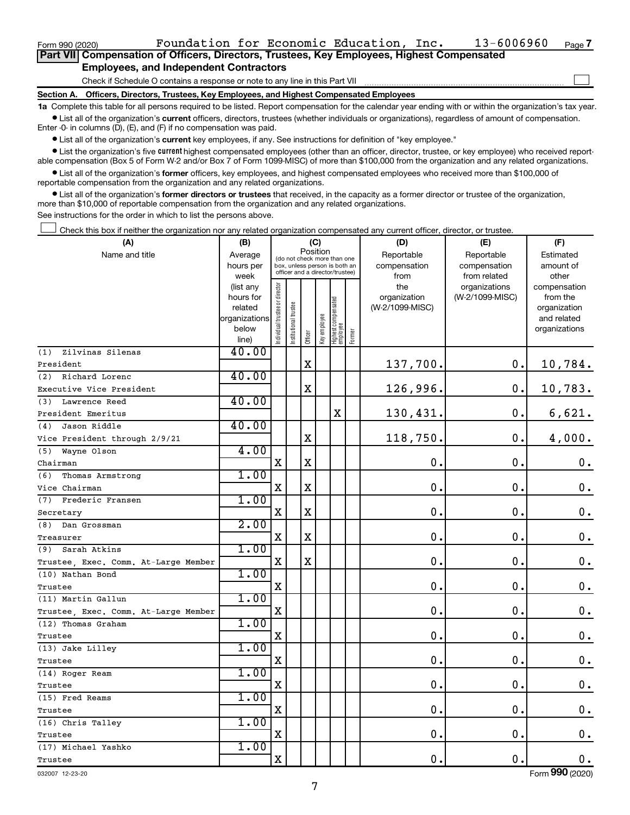**Section A. Officers, Directors, Trustees, Key Employees, and Highest Compensated Employees**

**1a**  Complete this table for all persons required to be listed. Report compensation for the calendar year ending with or within the organization's tax year.  $\bullet$  List all of the organization's current officers, directors, trustees (whether individuals or organizations), regardless of amount of compensation.

Enter -0- in columns (D), (E), and (F) if no compensation was paid.

**•** List all of the organization's current key employees, if any. See instructions for definition of "key employee."

**•** List the organization's five *current* highest compensated employees (other than an officer, director, trustee, or key employee) who received reportable compensation (Box 5 of Form W-2 and/or Box 7 of Form 1099-MISC) of more than \$100,000 from the organization and any related organizations.

 $\bullet$  List all of the organization's former officers, key employees, and highest compensated employees who received more than \$100,000 of reportable compensation from the organization and any related organizations.

**•** List all of the organization's former directors or trustees that received, in the capacity as a former director or trustee of the organization, more than \$10,000 of reportable compensation from the organization and any related organizations.

See instructions for the order in which to list the persons above.

Check this box if neither the organization nor any related organization compensated any current officer, director, or trustee.  $\Box$ 

| (A)                                  | (B)                    |                               |                                                                  |             | (C)          |                                 |        | (D)                 | (E)                              | (F)                      |
|--------------------------------------|------------------------|-------------------------------|------------------------------------------------------------------|-------------|--------------|---------------------------------|--------|---------------------|----------------------------------|--------------------------|
| Name and title                       | Average                |                               | (do not check more than one                                      | Position    |              |                                 |        | Reportable          | Reportable                       | Estimated                |
|                                      | hours per              |                               | box, unless person is both an<br>officer and a director/trustee) |             |              |                                 |        | compensation        | compensation                     | amount of                |
|                                      | week                   |                               |                                                                  |             |              |                                 |        | from                | from related                     | other                    |
|                                      | (list any<br>hours for |                               |                                                                  |             |              |                                 |        | the<br>organization | organizations<br>(W-2/1099-MISC) | compensation<br>from the |
|                                      | related                |                               |                                                                  |             |              |                                 |        | (W-2/1099-MISC)     |                                  | organization             |
|                                      | organizations          |                               |                                                                  |             |              |                                 |        |                     |                                  | and related              |
|                                      | below                  | ndividual trustee or director | Institutional trustee                                            |             | Key employee |                                 |        |                     |                                  | organizations            |
|                                      | line)                  |                               |                                                                  | Officer     |              | Highest compensated<br>employee | Former |                     |                                  |                          |
| Zilvinas Silenas<br>(1)              | 40.00                  |                               |                                                                  |             |              |                                 |        |                     |                                  |                          |
| President                            |                        |                               |                                                                  | $\mathbf X$ |              |                                 |        | 137,700.            | 0.                               | 10,784.                  |
| (2)<br>Richard Lorenc                | 40.00                  |                               |                                                                  |             |              |                                 |        |                     |                                  |                          |
| Executive Vice President             |                        |                               |                                                                  | $\mathbf X$ |              |                                 |        | 126,996.            | $\mathbf 0$ .                    | 10,783.                  |
| Lawrence Reed<br>(3)                 | 40.00                  |                               |                                                                  |             |              |                                 |        |                     |                                  |                          |
| President Emeritus                   |                        |                               |                                                                  |             |              | X                               |        | 130,431.            | 0.                               | 6,621.                   |
| Jason Riddle<br>(4)                  | 40.00                  |                               |                                                                  |             |              |                                 |        |                     |                                  |                          |
| Vice President through 2/9/21        |                        |                               |                                                                  | $\mathbf X$ |              |                                 |        | 118,750.            | 0.                               | 4,000.                   |
| (5)<br>Wayne Olson                   | 4.00                   |                               |                                                                  |             |              |                                 |        |                     |                                  |                          |
| Chairman                             |                        | $\mathbf X$                   |                                                                  | $\mathbf X$ |              |                                 |        | 0.                  | 0.                               | $\mathbf 0$ .            |
| (6)<br>Thomas Armstrong              | 1.00                   |                               |                                                                  |             |              |                                 |        |                     |                                  |                          |
| Vice Chairman                        |                        | $\mathbf X$                   |                                                                  | $\mathbf X$ |              |                                 |        | $\mathbf 0$ .       | $\mathbf 0$ .                    | 0.                       |
| Frederic Fransen<br>(7)              | 1.00                   |                               |                                                                  |             |              |                                 |        |                     |                                  |                          |
| Secretary                            |                        | $\mathbf X$                   |                                                                  | $\mathbf X$ |              |                                 |        | 0.                  | $\mathbf 0$ .                    | $\mathbf 0$ .            |
| (8)<br>Dan Grossman                  | 2.00                   |                               |                                                                  |             |              |                                 |        |                     |                                  |                          |
| Treasurer                            |                        | $\mathbf X$                   |                                                                  | $\mathbf X$ |              |                                 |        | $\mathbf 0$ .       | $\mathbf 0$ .                    | $\mathbf 0$ .            |
| Sarah Atkins<br>(9)                  | 1.00                   |                               |                                                                  |             |              |                                 |        |                     |                                  |                          |
| Trustee, Exec. Comm. At-Large Member |                        | $\mathbf X$                   |                                                                  | $\mathbf X$ |              |                                 |        | 0.                  | $\mathbf 0$ .                    | $\mathbf 0$ .            |
| (10) Nathan Bond                     | 1.00                   |                               |                                                                  |             |              |                                 |        |                     |                                  |                          |
| Trustee                              |                        | $\mathbf X$                   |                                                                  |             |              |                                 |        | 0.                  | $\mathbf 0$ .                    | $\mathbf 0$ .            |
| (11) Martin Gallun                   | 1.00                   |                               |                                                                  |             |              |                                 |        |                     |                                  |                          |
| Trustee, Exec. Comm. At-Large Member |                        | $\mathbf x$                   |                                                                  |             |              |                                 |        | $\mathbf{0}$ .      | $\mathbf 0$ .                    | $\mathbf 0$ .            |
| (12) Thomas Graham                   | 1.00                   |                               |                                                                  |             |              |                                 |        |                     |                                  |                          |
| Trustee                              |                        | $\mathbf X$                   |                                                                  |             |              |                                 |        | 0.                  | $\mathbf 0$ .                    | 0.                       |
| (13) Jake Lilley                     | 1.00                   |                               |                                                                  |             |              |                                 |        |                     |                                  |                          |
| Trustee                              |                        | $\mathbf X$                   |                                                                  |             |              |                                 |        | 0.                  | $\mathbf 0$ .                    | $\mathbf 0$ .            |
| (14) Roger Ream                      | 1.00                   |                               |                                                                  |             |              |                                 |        |                     |                                  |                          |
| Trustee                              |                        | $\mathbf X$                   |                                                                  |             |              |                                 |        | $\mathbf 0$ .       | $\mathbf 0$ .                    | 0.                       |
| (15) Fred Reams                      | 1.00                   |                               |                                                                  |             |              |                                 |        |                     |                                  |                          |
| Trustee                              |                        | $\mathbf X$                   |                                                                  |             |              |                                 |        | $\mathbf 0$ .       | $\mathbf 0$ .                    | $\mathbf 0$ .            |
| (16) Chris Talley                    | 1.00                   |                               |                                                                  |             |              |                                 |        |                     |                                  |                          |
| Trustee                              |                        | X                             |                                                                  |             |              |                                 |        | $\mathbf 0$ .       | $\mathbf 0$ .                    | $\mathbf 0$ .            |
| (17) Michael Yashko                  | 1.00                   |                               |                                                                  |             |              |                                 |        |                     |                                  |                          |
| Trustee                              |                        | X                             |                                                                  |             |              |                                 |        | 0.                  | $\mathbf 0$ .                    | 0.                       |

032007 12-23-20

Form (2020) **990**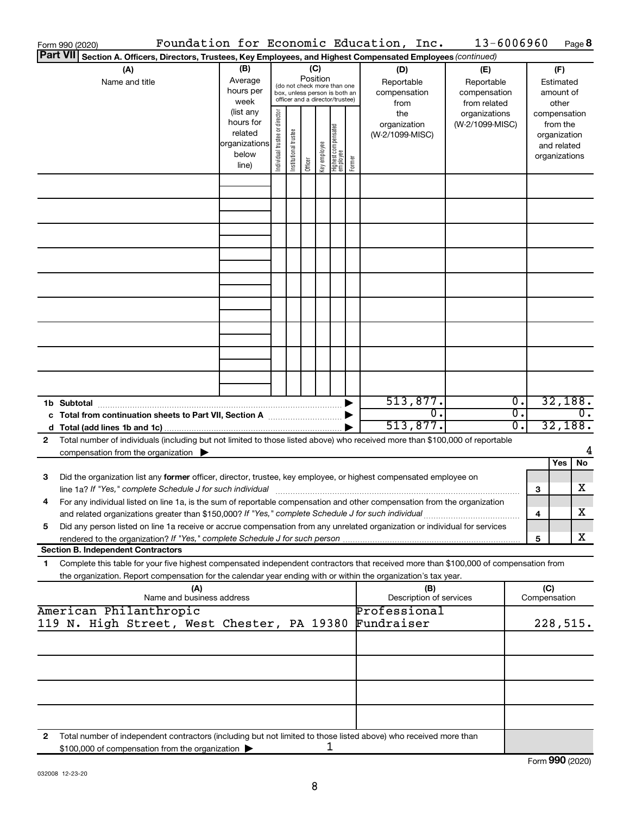| Form 990 (2020)                                                                                                                                                                                                                                                      |                                                         |                                                                                                                                                                              |                       |         |              |                                                                    |        | Foundation for Economic Education, Inc.        | 13-6006960      |                        |                                                                          | Page 8        |
|----------------------------------------------------------------------------------------------------------------------------------------------------------------------------------------------------------------------------------------------------------------------|---------------------------------------------------------|------------------------------------------------------------------------------------------------------------------------------------------------------------------------------|-----------------------|---------|--------------|--------------------------------------------------------------------|--------|------------------------------------------------|-----------------|------------------------|--------------------------------------------------------------------------|---------------|
| <b>Part VII</b><br>Section A. Officers, Directors, Trustees, Key Employees, and Highest Compensated Employees (continued)                                                                                                                                            |                                                         |                                                                                                                                                                              |                       |         |              |                                                                    |        |                                                |                 |                        |                                                                          |               |
| (A)<br>Name and title                                                                                                                                                                                                                                                | (B)<br>Average<br>hours per<br>week                     | (C)<br>(D)<br>Position<br>Reportable<br>(do not check more than one<br>compensation<br>box, unless person is both an<br>officer and a director/trustee)<br>from<br>(list any |                       |         |              | (E)<br>Reportable<br>compensation<br>from related<br>organizations |        | (F)<br>Estimated<br>amount of<br>other         |                 |                        |                                                                          |               |
|                                                                                                                                                                                                                                                                      | hours for<br>related<br>organizations<br>below<br>line) | Individual trustee or director                                                                                                                                               | Institutional trustee | Officer | key employee | Highest compensated<br>  employee                                  | Former | the<br>organization<br>(W-2/1099-MISC)         | (W-2/1099-MISC) |                        | compensation<br>from the<br>organization<br>and related<br>organizations |               |
|                                                                                                                                                                                                                                                                      |                                                         |                                                                                                                                                                              |                       |         |              |                                                                    |        |                                                |                 |                        |                                                                          |               |
|                                                                                                                                                                                                                                                                      |                                                         |                                                                                                                                                                              |                       |         |              |                                                                    |        |                                                |                 |                        |                                                                          |               |
|                                                                                                                                                                                                                                                                      |                                                         |                                                                                                                                                                              |                       |         |              |                                                                    |        |                                                |                 |                        |                                                                          |               |
|                                                                                                                                                                                                                                                                      |                                                         |                                                                                                                                                                              |                       |         |              |                                                                    |        |                                                |                 |                        |                                                                          |               |
|                                                                                                                                                                                                                                                                      |                                                         |                                                                                                                                                                              |                       |         |              |                                                                    |        |                                                |                 |                        |                                                                          |               |
|                                                                                                                                                                                                                                                                      |                                                         |                                                                                                                                                                              |                       |         |              |                                                                    |        |                                                |                 |                        |                                                                          |               |
|                                                                                                                                                                                                                                                                      |                                                         |                                                                                                                                                                              |                       |         |              |                                                                    |        |                                                |                 |                        |                                                                          |               |
|                                                                                                                                                                                                                                                                      |                                                         |                                                                                                                                                                              |                       |         |              |                                                                    |        |                                                |                 |                        |                                                                          |               |
|                                                                                                                                                                                                                                                                      |                                                         |                                                                                                                                                                              |                       |         |              |                                                                    |        | 513,877.                                       |                 | $\overline{0}$ .       |                                                                          | 32,188.       |
| 1b Subtotal                                                                                                                                                                                                                                                          |                                                         |                                                                                                                                                                              |                       |         |              |                                                                    |        | $\overline{0}$ .<br>513,877.                   |                 | $\overline{0}$ .<br>0. |                                                                          | 0.<br>32,188. |
| Total number of individuals (including but not limited to those listed above) who received more than \$100,000 of reportable<br>2<br>compensation from the organization $\triangleright$                                                                             |                                                         |                                                                                                                                                                              |                       |         |              |                                                                    |        |                                                |                 |                        |                                                                          | 4             |
|                                                                                                                                                                                                                                                                      |                                                         |                                                                                                                                                                              |                       |         |              |                                                                    |        |                                                |                 |                        | Yes                                                                      | No            |
| Did the organization list any former officer, director, trustee, key employee, or highest compensated employee on<br>3<br>line 1a? If "Yes," complete Schedule J for such individual manufacture content to the set of the set of the schedule J for such individual |                                                         |                                                                                                                                                                              |                       |         |              |                                                                    |        |                                                |                 |                        | 3                                                                        | х             |
| For any individual listed on line 1a, is the sum of reportable compensation and other compensation from the organization<br>and related organizations greater than \$150,000? If "Yes," complete Schedule J for such individual                                      |                                                         |                                                                                                                                                                              |                       |         |              |                                                                    |        |                                                |                 |                        | 4                                                                        | х             |
| Did any person listed on line 1a receive or accrue compensation from any unrelated organization or individual for services<br>5                                                                                                                                      |                                                         |                                                                                                                                                                              |                       |         |              |                                                                    |        |                                                |                 |                        | 5                                                                        | x             |
| <b>Section B. Independent Contractors</b>                                                                                                                                                                                                                            |                                                         |                                                                                                                                                                              |                       |         |              |                                                                    |        |                                                |                 |                        |                                                                          |               |
| Complete this table for your five highest compensated independent contractors that received more than \$100,000 of compensation from<br>1.<br>the organization. Report compensation for the calendar year ending with or within the organization's tax year.         |                                                         |                                                                                                                                                                              |                       |         |              |                                                                    |        |                                                |                 |                        |                                                                          |               |
| (A)<br>Name and business address                                                                                                                                                                                                                                     |                                                         |                                                                                                                                                                              |                       |         |              |                                                                    |        | (B)<br>Description of services<br>Professional |                 |                        | (C)<br>Compensation                                                      |               |
| American Philanthropic<br>119 N. High Street, West Chester, PA 19380                                                                                                                                                                                                 |                                                         |                                                                                                                                                                              |                       |         |              |                                                                    |        | Fundraiser                                     |                 |                        |                                                                          | 228,515.      |
|                                                                                                                                                                                                                                                                      |                                                         |                                                                                                                                                                              |                       |         |              |                                                                    |        |                                                |                 |                        |                                                                          |               |
|                                                                                                                                                                                                                                                                      |                                                         |                                                                                                                                                                              |                       |         |              |                                                                    |        |                                                |                 |                        |                                                                          |               |
|                                                                                                                                                                                                                                                                      |                                                         |                                                                                                                                                                              |                       |         |              |                                                                    |        |                                                |                 |                        |                                                                          |               |
| Total number of independent contractors (including but not limited to those listed above) who received more than<br>2                                                                                                                                                |                                                         |                                                                                                                                                                              |                       |         |              |                                                                    |        |                                                |                 |                        |                                                                          |               |
| \$100,000 of compensation from the organization                                                                                                                                                                                                                      |                                                         |                                                                                                                                                                              |                       |         |              | 1                                                                  |        |                                                |                 |                        |                                                                          |               |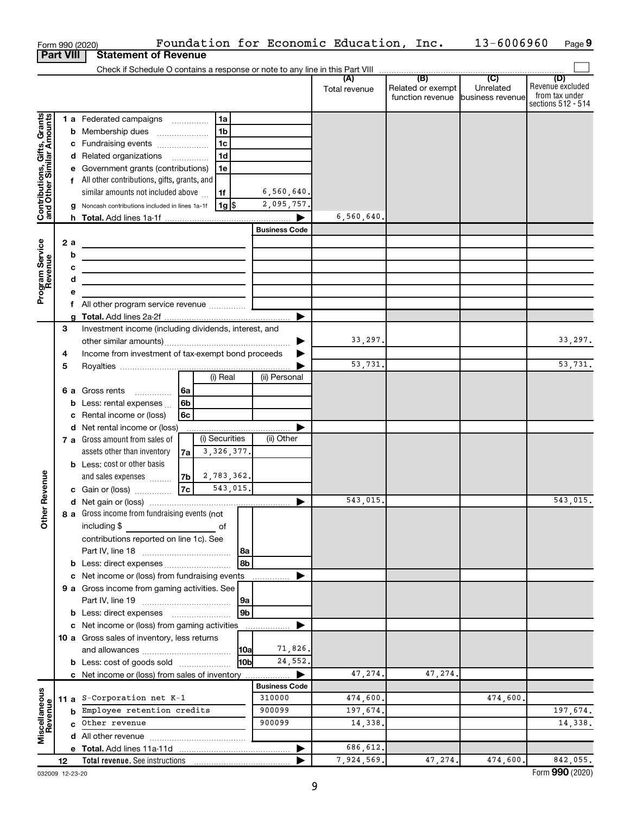|                                                           |                  | Form 990 (2020)                                                                                                       |    |                |          |                       | Foundation for Economic Education, Inc. |                                              | 13-6006960                                      | Page 9                                                          |
|-----------------------------------------------------------|------------------|-----------------------------------------------------------------------------------------------------------------------|----|----------------|----------|-----------------------|-----------------------------------------|----------------------------------------------|-------------------------------------------------|-----------------------------------------------------------------|
|                                                           | <b>Part VIII</b> | <b>Statement of Revenue</b>                                                                                           |    |                |          |                       |                                         |                                              |                                                 |                                                                 |
|                                                           |                  |                                                                                                                       |    |                |          |                       |                                         |                                              |                                                 |                                                                 |
|                                                           |                  |                                                                                                                       |    |                |          |                       | (A)<br>Total revenue                    | (B)<br>Related or exempt<br>function revenue | $\overline{C}$<br>Unrelated<br>business revenue | (D)<br>Revenue excluded<br>from tax under<br>sections 512 - 514 |
|                                                           |                  | 1 a Federated campaigns                                                                                               |    | 1a             |          |                       |                                         |                                              |                                                 |                                                                 |
|                                                           |                  | <b>b</b> Membership dues                                                                                              |    | 1b             |          |                       |                                         |                                              |                                                 |                                                                 |
| Contributions, Gifts, Grants<br>and Other Similar Amounts |                  | c Fundraising events                                                                                                  |    | 1 <sub>c</sub> |          |                       |                                         |                                              |                                                 |                                                                 |
|                                                           |                  | d Related organizations                                                                                               |    | 1 <sub>d</sub> |          |                       |                                         |                                              |                                                 |                                                                 |
|                                                           |                  | e Government grants (contributions)                                                                                   |    | 1e             |          |                       |                                         |                                              |                                                 |                                                                 |
|                                                           |                  | f All other contributions, gifts, grants, and                                                                         |    |                |          |                       |                                         |                                              |                                                 |                                                                 |
|                                                           |                  | similar amounts not included above                                                                                    |    | 1f             |          | 6,560,640.            |                                         |                                              |                                                 |                                                                 |
|                                                           |                  | Noncash contributions included in lines 1a-1f                                                                         |    | 1g             |          | 2,095,757.            |                                         |                                              |                                                 |                                                                 |
|                                                           |                  |                                                                                                                       |    |                |          |                       | 6,560,640.                              |                                              |                                                 |                                                                 |
|                                                           |                  |                                                                                                                       |    |                |          | <b>Business Code</b>  |                                         |                                              |                                                 |                                                                 |
| Program Service<br>Revenue                                | 2 a              | <u> 1980 - Johann Barn, fransk politik (d. 1980)</u>                                                                  |    |                |          |                       |                                         |                                              |                                                 |                                                                 |
|                                                           | b                | <u> 1989 - Johann Barbara, martin amerikan basar dan basa dan basa dan basa dalam basa dalam basa dalam basa dala</u> |    |                |          |                       |                                         |                                              |                                                 |                                                                 |
|                                                           | с                | <u> 1989 - Johann Barbara, martxa alemaniar arg</u>                                                                   |    |                |          |                       |                                         |                                              |                                                 |                                                                 |
|                                                           | d                | the control of the control of the control of the control of the control of                                            |    |                |          |                       |                                         |                                              |                                                 |                                                                 |
|                                                           | е                |                                                                                                                       |    |                |          |                       |                                         |                                              |                                                 |                                                                 |
|                                                           | f.               | All other program service revenue                                                                                     |    |                |          |                       |                                         |                                              |                                                 |                                                                 |
|                                                           | a<br>З           | Investment income (including dividends, interest, and                                                                 |    |                |          |                       |                                         |                                              |                                                 |                                                                 |
|                                                           |                  |                                                                                                                       |    |                |          |                       | 33,297.                                 |                                              |                                                 | 33, 297.                                                        |
|                                                           | 4                | Income from investment of tax-exempt bond proceeds                                                                    |    |                |          |                       |                                         |                                              |                                                 |                                                                 |
|                                                           | 5                |                                                                                                                       |    |                |          |                       | 53,731.                                 |                                              |                                                 | 53,731.                                                         |
|                                                           |                  |                                                                                                                       |    | (i) Real       |          | (ii) Personal         |                                         |                                              |                                                 |                                                                 |
|                                                           |                  | <b>6 a</b> Gross rents<br>.                                                                                           | 6a |                |          |                       |                                         |                                              |                                                 |                                                                 |
|                                                           |                  | <b>b</b> Less: rental expenses                                                                                        | 6b |                |          |                       |                                         |                                              |                                                 |                                                                 |
|                                                           |                  | c Rental income or (loss)                                                                                             | 6c |                |          |                       |                                         |                                              |                                                 |                                                                 |
|                                                           |                  | d Net rental income or (loss)                                                                                         |    |                |          |                       |                                         |                                              |                                                 |                                                                 |
|                                                           |                  | 7 a Gross amount from sales of                                                                                        |    | (i) Securities |          | (ii) Other            |                                         |                                              |                                                 |                                                                 |
|                                                           |                  | assets other than inventory                                                                                           | 7a | 3, 326, 377.   |          |                       |                                         |                                              |                                                 |                                                                 |
|                                                           |                  | <b>b</b> Less: cost or other basis                                                                                    |    |                |          |                       |                                         |                                              |                                                 |                                                                 |
|                                                           |                  | and sales expenses                                                                                                    | 7b | 2,783,362.     |          |                       |                                         |                                              |                                                 |                                                                 |
| evenue                                                    |                  | c Gain or (loss)                                                                                                      | 7c |                | 543,015. |                       |                                         |                                              |                                                 |                                                                 |
|                                                           |                  |                                                                                                                       |    |                |          |                       | 543,015.                                |                                              |                                                 | 543,015.                                                        |
| Other <sub>R</sub>                                        |                  | 8 a Gross income from fundraising events (not                                                                         |    |                |          |                       |                                         |                                              |                                                 |                                                                 |
|                                                           |                  | including \$                                                                                                          |    | of             |          |                       |                                         |                                              |                                                 |                                                                 |
|                                                           |                  | contributions reported on line 1c). See                                                                               |    |                |          |                       |                                         |                                              |                                                 |                                                                 |
|                                                           |                  |                                                                                                                       |    |                | 8a       |                       |                                         |                                              |                                                 |                                                                 |
|                                                           |                  | <b>b</b> Less: direct expenses                                                                                        |    |                |          |                       |                                         |                                              |                                                 |                                                                 |
|                                                           |                  | c Net income or (loss) from fundraising events<br>9 a Gross income from gaming activities. See                        |    |                |          |                       |                                         |                                              |                                                 |                                                                 |
|                                                           |                  |                                                                                                                       |    |                | 9a       |                       |                                         |                                              |                                                 |                                                                 |
|                                                           |                  | <b>b</b> Less: direct expenses <b>manually</b>                                                                        |    |                | 9b       |                       |                                         |                                              |                                                 |                                                                 |
|                                                           |                  | c Net income or (loss) from gaming activities                                                                         |    |                |          |                       |                                         |                                              |                                                 |                                                                 |
|                                                           |                  | 10 a Gross sales of inventory, less returns                                                                           |    |                |          |                       |                                         |                                              |                                                 |                                                                 |
|                                                           |                  |                                                                                                                       |    |                | 10a      | 71,826.               |                                         |                                              |                                                 |                                                                 |
|                                                           |                  | <b>b</b> Less: cost of goods sold                                                                                     |    |                | l10bl    | 24,552.               |                                         |                                              |                                                 |                                                                 |
|                                                           |                  | c Net income or (loss) from sales of inventory                                                                        |    |                |          | $\blacktriangleright$ | 47,274.                                 | 47,274.                                      |                                                 |                                                                 |
|                                                           |                  |                                                                                                                       |    |                |          | <b>Business Code</b>  |                                         |                                              |                                                 |                                                                 |
|                                                           |                  | 11 a S-Corporation net $K-1$                                                                                          |    |                |          | 310000                | 474,600.                                |                                              | 474,600.                                        |                                                                 |
| Miscellaneous<br>Revenue                                  |                  | <b>b</b> Employee retention credits                                                                                   |    |                |          | 900099                | 197,674.                                |                                              |                                                 | 197,674.                                                        |
|                                                           |                  | c Other revenue                                                                                                       |    |                |          | 900099                | 14,338.                                 |                                              |                                                 | 14,338.                                                         |
|                                                           |                  |                                                                                                                       |    |                |          |                       |                                         |                                              |                                                 |                                                                 |
|                                                           |                  |                                                                                                                       |    |                |          |                       | 686,612.                                |                                              |                                                 |                                                                 |
|                                                           | 12               |                                                                                                                       |    |                |          |                       | 7,924,569.                              | 47,274.                                      | 474,600.                                        | 842,055.                                                        |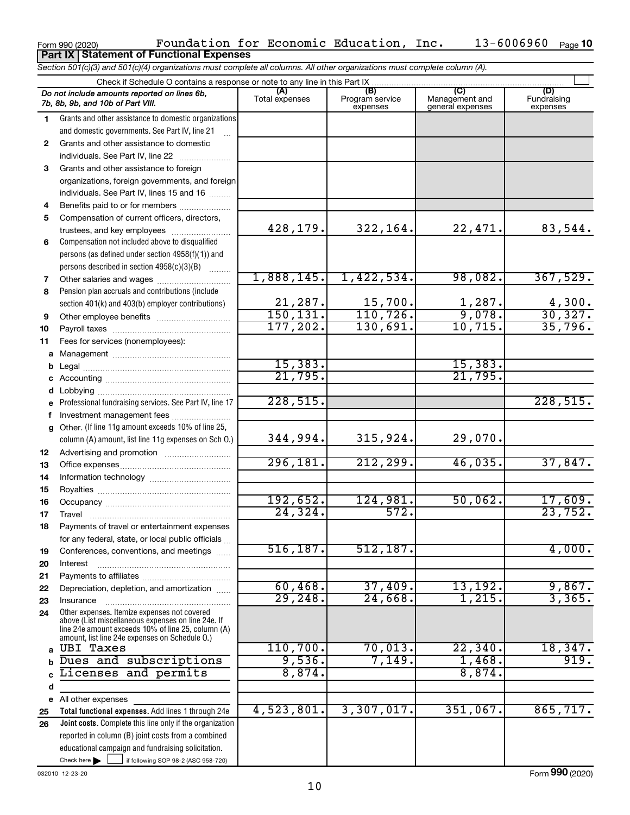|          | <b>Part IX   Statement of Functional Expenses</b>                                                                                                                                                          |                       |                                    |                                           |                                |
|----------|------------------------------------------------------------------------------------------------------------------------------------------------------------------------------------------------------------|-----------------------|------------------------------------|-------------------------------------------|--------------------------------|
|          | Section 501(c)(3) and 501(c)(4) organizations must complete all columns. All other organizations must complete column (A).                                                                                 |                       |                                    |                                           |                                |
|          | Check if Schedule O contains a response or note to any line in this Part IX                                                                                                                                |                       |                                    |                                           |                                |
|          | Do not include amounts reported on lines 6b,<br>7b, 8b, 9b, and 10b of Part VIII.                                                                                                                          | (A)<br>Total expenses | (B)<br>Program service<br>expenses | (C)<br>Management and<br>general expenses | (D)<br>Fundraising<br>expenses |
| 1.       | Grants and other assistance to domestic organizations                                                                                                                                                      |                       |                                    |                                           |                                |
|          | and domestic governments. See Part IV, line 21                                                                                                                                                             |                       |                                    |                                           |                                |
| 2        | Grants and other assistance to domestic                                                                                                                                                                    |                       |                                    |                                           |                                |
|          | individuals. See Part IV, line 22                                                                                                                                                                          |                       |                                    |                                           |                                |
| 3        | Grants and other assistance to foreign                                                                                                                                                                     |                       |                                    |                                           |                                |
|          | organizations, foreign governments, and foreign                                                                                                                                                            |                       |                                    |                                           |                                |
|          | individuals. See Part IV, lines 15 and 16                                                                                                                                                                  |                       |                                    |                                           |                                |
| 4        | Benefits paid to or for members                                                                                                                                                                            |                       |                                    |                                           |                                |
| 5        | Compensation of current officers, directors,                                                                                                                                                               | 428,179.              | 322,164.                           | 22,471.                                   | 83,544.                        |
|          | trustees, and key employees<br>Compensation not included above to disqualified                                                                                                                             |                       |                                    |                                           |                                |
| 6        | persons (as defined under section 4958(f)(1)) and                                                                                                                                                          |                       |                                    |                                           |                                |
|          | persons described in section 4958(c)(3)(B)                                                                                                                                                                 |                       |                                    |                                           |                                |
| 7        |                                                                                                                                                                                                            | 1,888,145.            | 1,422,534.                         | 98,082.                                   | 367,529.                       |
| 8        | Pension plan accruals and contributions (include                                                                                                                                                           |                       |                                    |                                           |                                |
|          | section 401(k) and 403(b) employer contributions)                                                                                                                                                          | 21,287.               |                                    |                                           | 4,300.                         |
| 9        | Other employee benefits                                                                                                                                                                                    | 150, 131.             | $\frac{15,700}{110,726}$           | $\frac{1,287}{9,078}$                     | 30,327.                        |
| 10       |                                                                                                                                                                                                            | 177, 202.             | 130,691.                           | 10, 715.                                  | 35,796.                        |
| 11       | Fees for services (nonemployees):                                                                                                                                                                          |                       |                                    |                                           |                                |
| а        |                                                                                                                                                                                                            |                       |                                    |                                           |                                |
| b        |                                                                                                                                                                                                            | 15,383.               |                                    | 15,383.                                   |                                |
| с        |                                                                                                                                                                                                            | 21,795.               |                                    | 21,795.                                   |                                |
| d        |                                                                                                                                                                                                            |                       |                                    |                                           |                                |
|          | Professional fundraising services. See Part IV, line 17                                                                                                                                                    | 228,515.              |                                    |                                           | 228,515.                       |
| f        | Investment management fees                                                                                                                                                                                 |                       |                                    |                                           |                                |
| g        | Other. (If line 11g amount exceeds 10% of line 25,                                                                                                                                                         |                       |                                    |                                           |                                |
|          | column (A) amount, list line 11g expenses on Sch O.)                                                                                                                                                       | 344,994.              | 315,924.                           | 29,070.                                   |                                |
| 12       |                                                                                                                                                                                                            | 296,181.              | 212, 299.                          | 46,035.                                   | 37,847.                        |
| 13       |                                                                                                                                                                                                            |                       |                                    |                                           |                                |
| 14       |                                                                                                                                                                                                            |                       |                                    |                                           |                                |
| 15       |                                                                                                                                                                                                            | 192,652.              | 124,981.                           | 50,062.                                   | 17,609.                        |
| 16<br>17 | Travel                                                                                                                                                                                                     | 24, 324.              | 572.                               |                                           | 23,752.                        |
| 18       | Payments of travel or entertainment expenses                                                                                                                                                               |                       |                                    |                                           |                                |
|          | for any federal, state, or local public officials                                                                                                                                                          |                       |                                    |                                           |                                |
| 19       | Conferences, conventions, and meetings                                                                                                                                                                     | 516, 187.             | 512, 187.                          |                                           | 4,000.                         |
| 20       | Interest                                                                                                                                                                                                   |                       |                                    |                                           |                                |
| 21       |                                                                                                                                                                                                            |                       |                                    |                                           |                                |
| 22       | Depreciation, depletion, and amortization                                                                                                                                                                  | 60,468.               | 37,409.                            | 13, 192.                                  | 9,867.                         |
| 23       | Insurance                                                                                                                                                                                                  | 29, 248.              | 24,668.                            | 1,215.                                    | 3,365.                         |
| 24       | Other expenses. Itemize expenses not covered<br>above (List miscellaneous expenses on line 24e. If<br>line 24e amount exceeds 10% of line 25, column (A)<br>amount, list line 24e expenses on Schedule O.) |                       |                                    |                                           |                                |
| a        | <b>UBI Taxes</b>                                                                                                                                                                                           | 110,700.              | 70,013.                            | 22, 340.                                  | 18,347.                        |
| b        | Dues and subscriptions                                                                                                                                                                                     | 9,536.                | 7,149.                             | 1,468.                                    | 919.                           |
|          | Licenses and permits                                                                                                                                                                                       | 8,874.                |                                    | 8,874.                                    |                                |
| d        |                                                                                                                                                                                                            |                       |                                    |                                           |                                |
| е        | All other expenses                                                                                                                                                                                         |                       |                                    |                                           |                                |
| 25       | Total functional expenses. Add lines 1 through 24e                                                                                                                                                         | 4,523,801.            | 3,307,017.                         | 351,067.                                  | 865, 717.                      |
| 26       | Joint costs. Complete this line only if the organization                                                                                                                                                   |                       |                                    |                                           |                                |
|          | reported in column (B) joint costs from a combined                                                                                                                                                         |                       |                                    |                                           |                                |
|          | educational campaign and fundraising solicitation.<br>Check here $\blacktriangleright$                                                                                                                     |                       |                                    |                                           |                                |
|          | if following SOP 98-2 (ASC 958-720)                                                                                                                                                                        |                       |                                    |                                           |                                |

Form 990 (2020) Toundation for Economic Education, Inc.  $13-6006960$  Page

032010 12-23-20

13-6006960 Page 10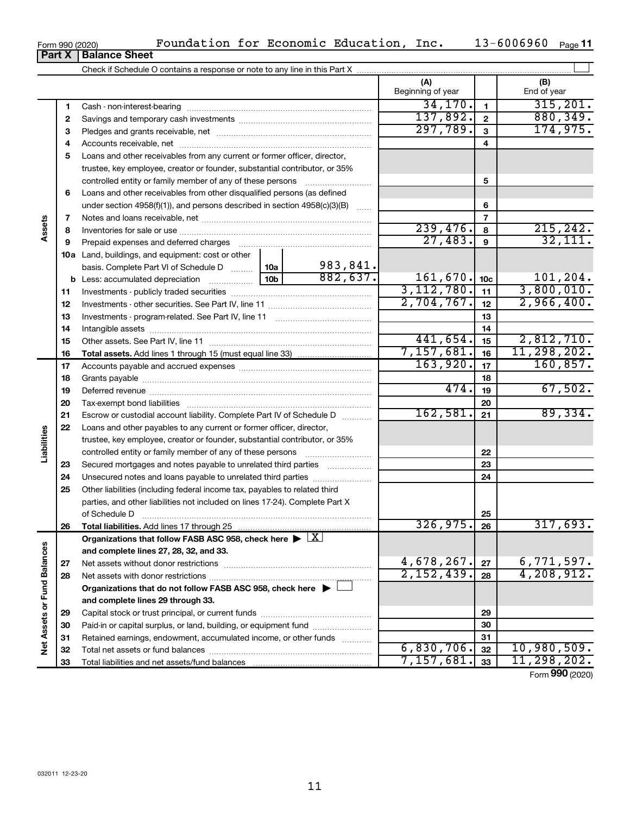| Form 990 (2020)               |  |  |
|-------------------------------|--|--|
| <b>Part X   Balance Sheet</b> |  |  |

|                             |          |                                                                                                                                                                                                                                      |                 |          | (A)<br>Beginning of year |                         | (B)<br>End of year         |
|-----------------------------|----------|--------------------------------------------------------------------------------------------------------------------------------------------------------------------------------------------------------------------------------------|-----------------|----------|--------------------------|-------------------------|----------------------------|
|                             | 1        |                                                                                                                                                                                                                                      |                 |          | 34,170.                  | $\mathbf{1}$            | 315, 201.                  |
|                             | 2        |                                                                                                                                                                                                                                      |                 |          | 137,892.                 | $\overline{\mathbf{2}}$ | 880, 349.                  |
|                             | 3        |                                                                                                                                                                                                                                      |                 |          | 297,789.                 | $\overline{\mathbf{3}}$ | 174,975.                   |
|                             | 4        |                                                                                                                                                                                                                                      |                 |          |                          | $\overline{\mathbf{4}}$ |                            |
|                             | 5        | Loans and other receivables from any current or former officer, director,                                                                                                                                                            |                 |          |                          |                         |                            |
|                             |          | trustee, key employee, creator or founder, substantial contributor, or 35%                                                                                                                                                           |                 |          |                          |                         |                            |
|                             |          | controlled entity or family member of any of these persons                                                                                                                                                                           |                 |          |                          | 5                       |                            |
|                             | 6        | Loans and other receivables from other disqualified persons (as defined                                                                                                                                                              |                 |          |                          |                         |                            |
|                             |          | under section $4958(f)(1)$ , and persons described in section $4958(c)(3)(B)$                                                                                                                                                        |                 | 6        |                          |                         |                            |
|                             | 7        |                                                                                                                                                                                                                                      |                 |          |                          | $\overline{7}$          |                            |
| Assets                      | 8        |                                                                                                                                                                                                                                      |                 |          | 239,476.                 | 8                       | 215, 242.                  |
|                             | 9        |                                                                                                                                                                                                                                      |                 | 27,483.  | $\mathbf{9}$             | 32,111.                 |                            |
|                             |          | 10a Land, buildings, and equipment: cost or other                                                                                                                                                                                    |                 |          |                          |                         |                            |
|                             |          | basis. Complete Part VI of Schedule D  10a                                                                                                                                                                                           |                 | 983,841. |                          |                         |                            |
|                             |          | <b>b</b> Less: accumulated depreciation <i>mimimimini</i> ng                                                                                                                                                                         | 10 <sub>b</sub> | 882,637. | 161, 670.                | 10 <sub>c</sub>         | 101, 204.                  |
|                             | 11       |                                                                                                                                                                                                                                      |                 |          | 3,112,780.               | 11                      | 3,800,010.                 |
|                             | 12       |                                                                                                                                                                                                                                      |                 |          | 2,704,767.               | 12                      | 2,966,400.                 |
|                             | 13       |                                                                                                                                                                                                                                      |                 |          | 13                       |                         |                            |
|                             | 14       |                                                                                                                                                                                                                                      |                 |          | 14                       |                         |                            |
|                             | 15       |                                                                                                                                                                                                                                      |                 |          | 441,654.                 | 15                      | 2,812,710.                 |
|                             | 16       |                                                                                                                                                                                                                                      |                 |          | 7,157,681.<br>163,920.   | 16                      | 11, 298, 202.<br>160, 857. |
|                             | 17       |                                                                                                                                                                                                                                      |                 |          | 17                       |                         |                            |
|                             | 18       |                                                                                                                                                                                                                                      | 474.            | 18       | 67,502.                  |                         |                            |
|                             | 19       |                                                                                                                                                                                                                                      |                 |          |                          | 19                      |                            |
|                             | 20       |                                                                                                                                                                                                                                      |                 |          | 162,581.                 | 20<br>21                | 89,334.                    |
|                             | 21<br>22 | Escrow or custodial account liability. Complete Part IV of Schedule D                                                                                                                                                                |                 |          |                          |                         |                            |
| Liabilities                 |          | Loans and other payables to any current or former officer, director,                                                                                                                                                                 |                 |          |                          |                         |                            |
|                             |          | trustee, key employee, creator or founder, substantial contributor, or 35%                                                                                                                                                           |                 |          |                          | 22                      |                            |
|                             | 23       | Secured mortgages and notes payable to unrelated third parties                                                                                                                                                                       |                 |          |                          | 23                      |                            |
|                             | 24       |                                                                                                                                                                                                                                      |                 |          |                          | 24                      |                            |
|                             | 25       | Other liabilities (including federal income tax, payables to related third                                                                                                                                                           |                 |          |                          |                         |                            |
|                             |          | parties, and other liabilities not included on lines 17-24). Complete Part X                                                                                                                                                         |                 |          |                          |                         |                            |
|                             |          | of Schedule D <b>continuum continuum continuum continuum continuum continuum continuum continuum continuum continuum continuum continuum continuum continuum continuum continuum continuum continuum continuum continuum continu</b> |                 |          |                          | 25                      |                            |
|                             | 26       | Total liabilities. Add lines 17 through 25                                                                                                                                                                                           |                 |          | 326, 975.                | 26                      | 317,693.                   |
|                             |          | Organizations that follow FASB ASC 958, check here $\blacktriangleright \lfloor \underline{X} \rfloor$                                                                                                                               |                 |          |                          |                         |                            |
|                             |          | and complete lines 27, 28, 32, and 33.                                                                                                                                                                                               |                 |          |                          |                         |                            |
|                             | 27       |                                                                                                                                                                                                                                      |                 |          | 4,678,267.               | 27                      | 6,771,597.                 |
|                             | 28       |                                                                                                                                                                                                                                      |                 |          | 2,152,439.               | 28                      | 4,208,912.                 |
|                             |          | Organizations that do not follow FASB ASC 958, check here $\blacktriangleright$                                                                                                                                                      |                 |          |                          |                         |                            |
|                             |          | and complete lines 29 through 33.                                                                                                                                                                                                    |                 |          |                          |                         |                            |
|                             | 29       |                                                                                                                                                                                                                                      |                 |          | 29                       |                         |                            |
|                             | 30       | Paid-in or capital surplus, or land, building, or equipment fund                                                                                                                                                                     |                 |          | 30                       |                         |                            |
| Net Assets or Fund Balances | 31       | Retained earnings, endowment, accumulated income, or other funds                                                                                                                                                                     |                 | 31       |                          |                         |                            |
|                             | 32       |                                                                                                                                                                                                                                      | 6,830,706.      | 32       | 10,980,509.              |                         |                            |

Form (2020) **990**

**33**

7,157,681. 11,298,202.

**33** Total liabilities and net assets/fund balances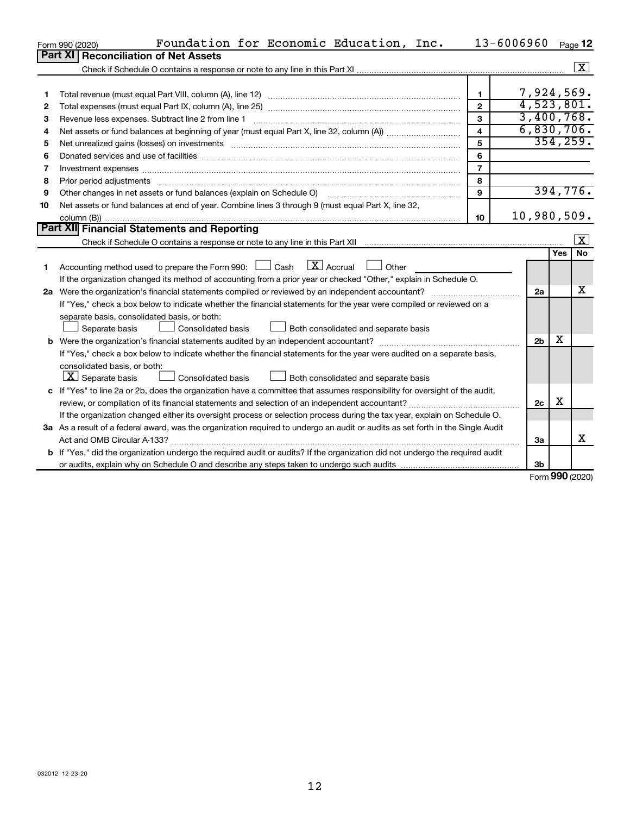|    | Foundation for Economic Education, Inc.<br>Form 990 (2020)                                                                      | 13-6006960              |                |           | Page 12                 |
|----|---------------------------------------------------------------------------------------------------------------------------------|-------------------------|----------------|-----------|-------------------------|
|    | <b>Part XI</b><br><b>Reconciliation of Net Assets</b>                                                                           |                         |                |           |                         |
|    |                                                                                                                                 |                         |                |           | $\overline{\mathbf{x}}$ |
|    |                                                                                                                                 |                         |                |           |                         |
| 1  |                                                                                                                                 | $\mathbf{1}$            | 7,924,569.     |           |                         |
| 2  |                                                                                                                                 | $\overline{2}$          | 4,523,801.     |           |                         |
| З  | Revenue less expenses. Subtract line 2 from line 1                                                                              | 3                       | 3,400,768.     |           |                         |
| 4  |                                                                                                                                 | $\overline{\mathbf{A}}$ | 6,830,706.     |           |                         |
| 5  |                                                                                                                                 | 5                       |                | 354, 259. |                         |
| 6  |                                                                                                                                 | 6                       |                |           |                         |
| 7  |                                                                                                                                 | $\overline{7}$          |                |           |                         |
| 8  | Prior period adjustments manufactured and content and content and all the manufactured adjustments manufacture                  | 8                       |                |           |                         |
| 9  | Other changes in net assets or fund balances (explain on Schedule O)                                                            | 9                       |                | 394,776.  |                         |
| 10 | Net assets or fund balances at end of year. Combine lines 3 through 9 (must equal Part X, line 32,                              |                         |                |           |                         |
|    |                                                                                                                                 | 10                      | 10,980,509.    |           |                         |
|    | Part XII Financial Statements and Reporting                                                                                     |                         |                |           |                         |
|    |                                                                                                                                 |                         |                |           | $\overline{\mathbf{X}}$ |
|    |                                                                                                                                 |                         |                | Yes       | No                      |
| 1. | $\lfloor x \rfloor$ Accrual<br>Accounting method used to prepare the Form 990: [130] Cash<br>Other                              |                         |                |           |                         |
|    | If the organization changed its method of accounting from a prior year or checked "Other," explain in Schedule O.               |                         |                |           |                         |
|    | 2a Were the organization's financial statements compiled or reviewed by an independent accountant?                              |                         | 2a             |           | x                       |
|    | If "Yes," check a box below to indicate whether the financial statements for the year were compiled or reviewed on a            |                         |                |           |                         |
|    | separate basis, consolidated basis, or both:                                                                                    |                         |                |           |                         |
|    | Separate basis<br>Consolidated basis<br>Both consolidated and separate basis                                                    |                         |                |           |                         |
|    |                                                                                                                                 |                         | 2 <sub>b</sub> | X         |                         |
|    | If "Yes," check a box below to indicate whether the financial statements for the year were audited on a separate basis,         |                         |                |           |                         |
|    | consolidated basis, or both:                                                                                                    |                         |                |           |                         |
|    | $ \mathbf{X} $ Separate basis<br><b>Consolidated basis</b><br>Both consolidated and separate basis                              |                         |                |           |                         |
|    | c If "Yes" to line 2a or 2b, does the organization have a committee that assumes responsibility for oversight of the audit,     |                         |                |           |                         |
|    | review, or compilation of its financial statements and selection of an independent accountant?                                  |                         | 2c             | х         |                         |
|    | If the organization changed either its oversight process or selection process during the tax year, explain on Schedule O.       |                         |                |           |                         |
|    | 3a As a result of a federal award, was the organization required to undergo an audit or audits as set forth in the Single Audit |                         |                |           |                         |
|    |                                                                                                                                 |                         | За             |           | X                       |
|    | b If "Yes," did the organization undergo the required audit or audits? If the organization did not undergo the required audit   |                         |                |           |                         |
|    |                                                                                                                                 |                         | 3b             |           |                         |

Form (2020) **990**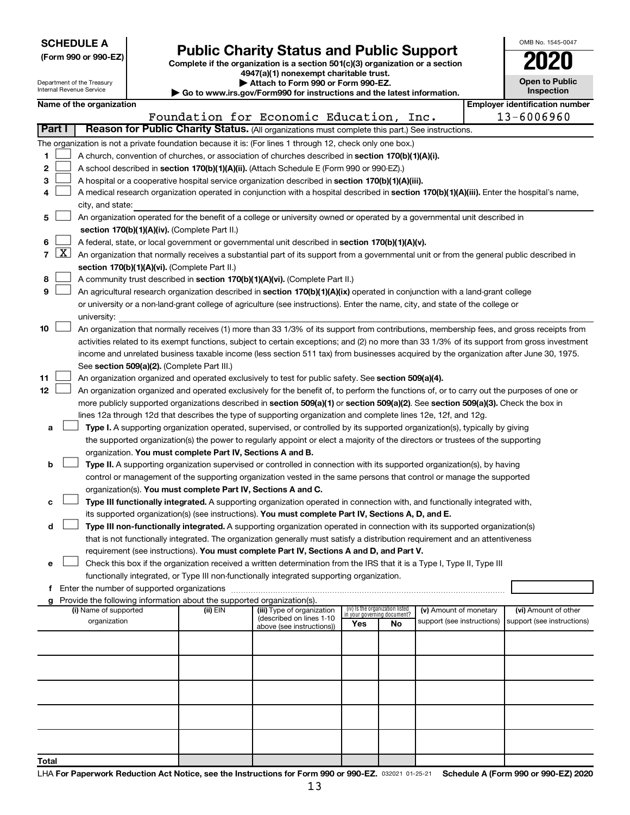| <b>SCHEDULE A</b> |  |
|-------------------|--|
|-------------------|--|

Department of the Treasury

| (Form 990 or 990-EZ) |  |  |
|----------------------|--|--|
|                      |  |  |

**(Form 990 or 990-EZ) Complete if the organization is a section 501(c)(3) organization or a section Public Charity Status and Public Support 2020 4947(a)(1) nonexempt charitable trust.**

**| Attach to Form 990 or Form 990-EZ.** 

| $\blacktriangleright$ Allach to Form 550 or Form 550 EE.               |
|------------------------------------------------------------------------|
| Go to www.irs.gov/Form990 for instructions and the latest information. |

|   | <b>Open to Public</b><br>Inspection |
|---|-------------------------------------|
| v | antification num                    |

OMB No. 1545-0047

|                |                     | Internal Revenue Service                                                                                                                  |                                               |                                                                                    | Go to www.irs.gov/Form990 for instructions and the latest information.                                                                                                                                                                                                           |     |                                                                      |                            |  |                                       | Inspection                 |  |
|----------------|---------------------|-------------------------------------------------------------------------------------------------------------------------------------------|-----------------------------------------------|------------------------------------------------------------------------------------|----------------------------------------------------------------------------------------------------------------------------------------------------------------------------------------------------------------------------------------------------------------------------------|-----|----------------------------------------------------------------------|----------------------------|--|---------------------------------------|----------------------------|--|
|                |                     | Name of the organization                                                                                                                  |                                               |                                                                                    |                                                                                                                                                                                                                                                                                  |     |                                                                      |                            |  | <b>Employer identification number</b> |                            |  |
|                |                     |                                                                                                                                           |                                               |                                                                                    | Foundation for Economic Education, Inc.                                                                                                                                                                                                                                          |     |                                                                      |                            |  |                                       | 13-6006960                 |  |
|                | Part I              |                                                                                                                                           |                                               |                                                                                    | Reason for Public Charity Status. (All organizations must complete this part.) See instructions.                                                                                                                                                                                 |     |                                                                      |                            |  |                                       |                            |  |
|                |                     |                                                                                                                                           |                                               |                                                                                    | The organization is not a private foundation because it is: (For lines 1 through 12, check only one box.)                                                                                                                                                                        |     |                                                                      |                            |  |                                       |                            |  |
| 1.             |                     |                                                                                                                                           |                                               |                                                                                    | A church, convention of churches, or association of churches described in section 170(b)(1)(A)(i).                                                                                                                                                                               |     |                                                                      |                            |  |                                       |                            |  |
| 2              |                     |                                                                                                                                           |                                               |                                                                                    | A school described in section 170(b)(1)(A)(ii). (Attach Schedule E (Form 990 or 990-EZ).)                                                                                                                                                                                        |     |                                                                      |                            |  |                                       |                            |  |
| з              |                     |                                                                                                                                           |                                               |                                                                                    | A hospital or a cooperative hospital service organization described in section 170(b)(1)(A)(iii).                                                                                                                                                                                |     |                                                                      |                            |  |                                       |                            |  |
| 4              |                     |                                                                                                                                           |                                               |                                                                                    | A medical research organization operated in conjunction with a hospital described in section 170(b)(1)(A)(iii). Enter the hospital's name,                                                                                                                                       |     |                                                                      |                            |  |                                       |                            |  |
|                |                     | city, and state:                                                                                                                          |                                               |                                                                                    |                                                                                                                                                                                                                                                                                  |     |                                                                      |                            |  |                                       |                            |  |
| 5              |                     |                                                                                                                                           |                                               |                                                                                    | An organization operated for the benefit of a college or university owned or operated by a governmental unit described in                                                                                                                                                        |     |                                                                      |                            |  |                                       |                            |  |
|                |                     |                                                                                                                                           |                                               | section 170(b)(1)(A)(iv). (Complete Part II.)                                      |                                                                                                                                                                                                                                                                                  |     |                                                                      |                            |  |                                       |                            |  |
| 6              |                     | A federal, state, or local government or governmental unit described in section 170(b)(1)(A)(v).                                          |                                               |                                                                                    |                                                                                                                                                                                                                                                                                  |     |                                                                      |                            |  |                                       |                            |  |
| $\overline{7}$ | $\lfloor x \rfloor$ | An organization that normally receives a substantial part of its support from a governmental unit or from the general public described in |                                               |                                                                                    |                                                                                                                                                                                                                                                                                  |     |                                                                      |                            |  |                                       |                            |  |
|                |                     |                                                                                                                                           |                                               | section 170(b)(1)(A)(vi). (Complete Part II.)                                      |                                                                                                                                                                                                                                                                                  |     |                                                                      |                            |  |                                       |                            |  |
| 8              |                     |                                                                                                                                           |                                               |                                                                                    | A community trust described in section 170(b)(1)(A)(vi). (Complete Part II.)                                                                                                                                                                                                     |     |                                                                      |                            |  |                                       |                            |  |
| 9              |                     |                                                                                                                                           |                                               |                                                                                    | An agricultural research organization described in section 170(b)(1)(A)(ix) operated in conjunction with a land-grant college                                                                                                                                                    |     |                                                                      |                            |  |                                       |                            |  |
|                |                     |                                                                                                                                           |                                               |                                                                                    | or university or a non-land-grant college of agriculture (see instructions). Enter the name, city, and state of the college or                                                                                                                                                   |     |                                                                      |                            |  |                                       |                            |  |
|                |                     | university:                                                                                                                               |                                               |                                                                                    |                                                                                                                                                                                                                                                                                  |     |                                                                      |                            |  |                                       |                            |  |
| 10             |                     |                                                                                                                                           |                                               |                                                                                    | An organization that normally receives (1) more than 33 1/3% of its support from contributions, membership fees, and gross receipts from                                                                                                                                         |     |                                                                      |                            |  |                                       |                            |  |
|                |                     |                                                                                                                                           |                                               |                                                                                    | activities related to its exempt functions, subject to certain exceptions; and (2) no more than 33 1/3% of its support from gross investment                                                                                                                                     |     |                                                                      |                            |  |                                       |                            |  |
|                |                     |                                                                                                                                           |                                               |                                                                                    | income and unrelated business taxable income (less section 511 tax) from businesses acquired by the organization after June 30, 1975.                                                                                                                                            |     |                                                                      |                            |  |                                       |                            |  |
|                |                     |                                                                                                                                           |                                               | See section 509(a)(2). (Complete Part III.)                                        |                                                                                                                                                                                                                                                                                  |     |                                                                      |                            |  |                                       |                            |  |
| 11<br>12       |                     |                                                                                                                                           |                                               |                                                                                    | An organization organized and operated exclusively to test for public safety. See section 509(a)(4).                                                                                                                                                                             |     |                                                                      |                            |  |                                       |                            |  |
|                |                     |                                                                                                                                           |                                               |                                                                                    | An organization organized and operated exclusively for the benefit of, to perform the functions of, or to carry out the purposes of one or<br>more publicly supported organizations described in section 509(a)(1) or section 509(a)(2). See section 509(a)(3). Check the box in |     |                                                                      |                            |  |                                       |                            |  |
|                |                     |                                                                                                                                           |                                               |                                                                                    | lines 12a through 12d that describes the type of supporting organization and complete lines 12e, 12f, and 12g.                                                                                                                                                                   |     |                                                                      |                            |  |                                       |                            |  |
| а              |                     |                                                                                                                                           |                                               |                                                                                    | Type I. A supporting organization operated, supervised, or controlled by its supported organization(s), typically by giving                                                                                                                                                      |     |                                                                      |                            |  |                                       |                            |  |
|                |                     |                                                                                                                                           |                                               |                                                                                    | the supported organization(s) the power to regularly appoint or elect a majority of the directors or trustees of the supporting                                                                                                                                                  |     |                                                                      |                            |  |                                       |                            |  |
|                |                     |                                                                                                                                           |                                               | organization. You must complete Part IV, Sections A and B.                         |                                                                                                                                                                                                                                                                                  |     |                                                                      |                            |  |                                       |                            |  |
| b              |                     |                                                                                                                                           |                                               |                                                                                    | Type II. A supporting organization supervised or controlled in connection with its supported organization(s), by having                                                                                                                                                          |     |                                                                      |                            |  |                                       |                            |  |
|                |                     |                                                                                                                                           |                                               |                                                                                    | control or management of the supporting organization vested in the same persons that control or manage the supported                                                                                                                                                             |     |                                                                      |                            |  |                                       |                            |  |
|                |                     |                                                                                                                                           |                                               |                                                                                    | organization(s). You must complete Part IV, Sections A and C.                                                                                                                                                                                                                    |     |                                                                      |                            |  |                                       |                            |  |
| с              |                     |                                                                                                                                           |                                               |                                                                                    | Type III functionally integrated. A supporting organization operated in connection with, and functionally integrated with,                                                                                                                                                       |     |                                                                      |                            |  |                                       |                            |  |
|                |                     |                                                                                                                                           |                                               |                                                                                    | its supported organization(s) (see instructions). You must complete Part IV, Sections A, D, and E.                                                                                                                                                                               |     |                                                                      |                            |  |                                       |                            |  |
| d              |                     |                                                                                                                                           |                                               |                                                                                    | Type III non-functionally integrated. A supporting organization operated in connection with its supported organization(s)                                                                                                                                                        |     |                                                                      |                            |  |                                       |                            |  |
|                |                     |                                                                                                                                           |                                               |                                                                                    | that is not functionally integrated. The organization generally must satisfy a distribution requirement and an attentiveness                                                                                                                                                     |     |                                                                      |                            |  |                                       |                            |  |
|                |                     |                                                                                                                                           |                                               |                                                                                    | requirement (see instructions). You must complete Part IV, Sections A and D, and Part V.                                                                                                                                                                                         |     |                                                                      |                            |  |                                       |                            |  |
| е              |                     |                                                                                                                                           |                                               |                                                                                    | Check this box if the organization received a written determination from the IRS that it is a Type I, Type II, Type III                                                                                                                                                          |     |                                                                      |                            |  |                                       |                            |  |
|                |                     |                                                                                                                                           |                                               |                                                                                    | functionally integrated, or Type III non-functionally integrated supporting organization.                                                                                                                                                                                        |     |                                                                      |                            |  |                                       |                            |  |
|                |                     |                                                                                                                                           | f Enter the number of supported organizations |                                                                                    |                                                                                                                                                                                                                                                                                  |     |                                                                      |                            |  |                                       |                            |  |
|                |                     | (i) Name of supported                                                                                                                     |                                               | Provide the following information about the supported organization(s).<br>(ii) EIN | (iii) Type of organization                                                                                                                                                                                                                                                       |     |                                                                      | (v) Amount of monetary     |  |                                       | (vi) Amount of other       |  |
|                |                     | organization                                                                                                                              |                                               |                                                                                    | (described on lines 1-10                                                                                                                                                                                                                                                         | Yes | (iv) Is the organization listed<br>in your governing document?<br>No | support (see instructions) |  |                                       | support (see instructions) |  |
|                |                     |                                                                                                                                           |                                               |                                                                                    | above (see instructions))                                                                                                                                                                                                                                                        |     |                                                                      |                            |  |                                       |                            |  |
|                |                     |                                                                                                                                           |                                               |                                                                                    |                                                                                                                                                                                                                                                                                  |     |                                                                      |                            |  |                                       |                            |  |
|                |                     |                                                                                                                                           |                                               |                                                                                    |                                                                                                                                                                                                                                                                                  |     |                                                                      |                            |  |                                       |                            |  |
|                |                     |                                                                                                                                           |                                               |                                                                                    |                                                                                                                                                                                                                                                                                  |     |                                                                      |                            |  |                                       |                            |  |
|                |                     |                                                                                                                                           |                                               |                                                                                    |                                                                                                                                                                                                                                                                                  |     |                                                                      |                            |  |                                       |                            |  |
|                |                     |                                                                                                                                           |                                               |                                                                                    |                                                                                                                                                                                                                                                                                  |     |                                                                      |                            |  |                                       |                            |  |
|                |                     |                                                                                                                                           |                                               |                                                                                    |                                                                                                                                                                                                                                                                                  |     |                                                                      |                            |  |                                       |                            |  |
|                |                     |                                                                                                                                           |                                               |                                                                                    |                                                                                                                                                                                                                                                                                  |     |                                                                      |                            |  |                                       |                            |  |
|                |                     |                                                                                                                                           |                                               |                                                                                    |                                                                                                                                                                                                                                                                                  |     |                                                                      |                            |  |                                       |                            |  |
|                |                     |                                                                                                                                           |                                               |                                                                                    |                                                                                                                                                                                                                                                                                  |     |                                                                      |                            |  |                                       |                            |  |
| Total          |                     |                                                                                                                                           |                                               |                                                                                    |                                                                                                                                                                                                                                                                                  |     |                                                                      |                            |  |                                       |                            |  |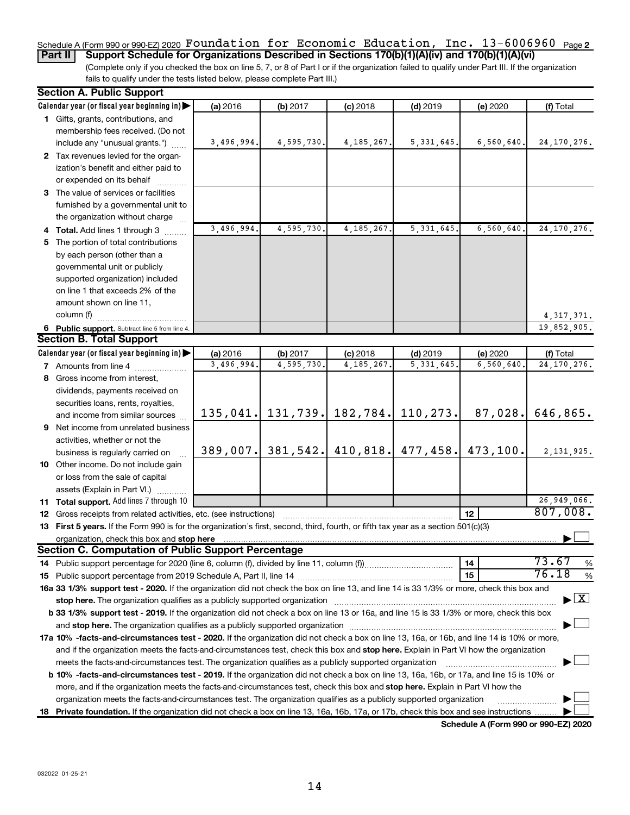# Schedule A (Form 990 or 990-EZ) 2020  $\,$  **F** $\,$ **oun** $\,$ **dation for Economic E** $\,$ **ducation, Inc. 13-6006960**  $\,$  $_{\rm Page\,2}$

(Complete only if you checked the box on line 5, 7, or 8 of Part I or if the organization failed to qualify under Part III. If the organization fails to qualify under the tests listed below, please complete Part III.) **Part II** | Support Schedule for Organizations Described in Sections 170(b)(1)(A)(iv) and 170(b)(1)(A)(vi)

| <b>Section A. Public Support</b>                                                                                                                                                                                       |            |                       |              |                       |              |                                          |
|------------------------------------------------------------------------------------------------------------------------------------------------------------------------------------------------------------------------|------------|-----------------------|--------------|-----------------------|--------------|------------------------------------------|
| Calendar year (or fiscal year beginning in)                                                                                                                                                                            | (a) 2016   | (b) 2017              | $(c)$ 2018   | $(d)$ 2019            | (e) 2020     | (f) Total                                |
| 1 Gifts, grants, contributions, and                                                                                                                                                                                    |            |                       |              |                       |              |                                          |
| membership fees received. (Do not                                                                                                                                                                                      |            |                       |              |                       |              |                                          |
| include any "unusual grants.")                                                                                                                                                                                         | 3,496,994. | 4,595,730.            | 4, 185, 267. | 5, 331, 645.          | 6, 560, 640. | 24, 170, 276.                            |
| 2 Tax revenues levied for the organ-                                                                                                                                                                                   |            |                       |              |                       |              |                                          |
| ization's benefit and either paid to                                                                                                                                                                                   |            |                       |              |                       |              |                                          |
| or expended on its behalf                                                                                                                                                                                              |            |                       |              |                       |              |                                          |
| 3 The value of services or facilities                                                                                                                                                                                  |            |                       |              |                       |              |                                          |
| furnished by a governmental unit to                                                                                                                                                                                    |            |                       |              |                       |              |                                          |
| the organization without charge                                                                                                                                                                                        |            |                       |              |                       |              |                                          |
| 4 Total. Add lines 1 through 3                                                                                                                                                                                         | 3,496,994. | 4,595,730             | 4, 185, 267. | 5, 331, 645.          | 6,560,640    | 24, 170, 276.                            |
| 5 The portion of total contributions                                                                                                                                                                                   |            |                       |              |                       |              |                                          |
| by each person (other than a                                                                                                                                                                                           |            |                       |              |                       |              |                                          |
| governmental unit or publicly                                                                                                                                                                                          |            |                       |              |                       |              |                                          |
| supported organization) included                                                                                                                                                                                       |            |                       |              |                       |              |                                          |
| on line 1 that exceeds 2% of the                                                                                                                                                                                       |            |                       |              |                       |              |                                          |
| amount shown on line 11,                                                                                                                                                                                               |            |                       |              |                       |              |                                          |
| column (f)                                                                                                                                                                                                             |            |                       |              |                       |              | 4, 317, 371.                             |
| 6 Public support. Subtract line 5 from line 4.                                                                                                                                                                         |            |                       |              |                       |              | 19,852,905.                              |
| <b>Section B. Total Support</b>                                                                                                                                                                                        |            |                       |              |                       |              |                                          |
| Calendar year (or fiscal year beginning in)                                                                                                                                                                            | (a) 2016   | (b) 2017              | $(c)$ 2018   | $(d)$ 2019            | (e) 2020     | (f) Total                                |
| <b>7</b> Amounts from line 4                                                                                                                                                                                           | 3,496,994. | 4,595,730             | 4, 185, 267. | 5, 331, 645           | 6,560,640    | 24, 170, 276.                            |
| 8 Gross income from interest,                                                                                                                                                                                          |            |                       |              |                       |              |                                          |
| dividends, payments received on                                                                                                                                                                                        |            |                       |              |                       |              |                                          |
| securities loans, rents, royalties,                                                                                                                                                                                    |            |                       |              |                       |              |                                          |
| and income from similar sources                                                                                                                                                                                        |            | $135,041.$ 131,739.   |              | 182, 784. 110, 273.   | 87,028.      | 646,865.                                 |
| 9 Net income from unrelated business                                                                                                                                                                                   |            |                       |              |                       |              |                                          |
|                                                                                                                                                                                                                        |            |                       |              |                       |              |                                          |
| activities, whether or not the                                                                                                                                                                                         |            | $389,007$ . 381, 542. |              | $410,818.$ $477,458.$ | 473,100.     | 2, 131, 925.                             |
| business is regularly carried on                                                                                                                                                                                       |            |                       |              |                       |              |                                          |
| 10 Other income. Do not include gain                                                                                                                                                                                   |            |                       |              |                       |              |                                          |
| or loss from the sale of capital                                                                                                                                                                                       |            |                       |              |                       |              |                                          |
| assets (Explain in Part VI.)                                                                                                                                                                                           |            |                       |              |                       |              | 26,949,066.                              |
| 11 Total support. Add lines 7 through 10                                                                                                                                                                               |            |                       |              |                       | 12           | 807,008.                                 |
| <b>12</b> Gross receipts from related activities, etc. (see instructions)                                                                                                                                              |            |                       |              |                       |              |                                          |
| 13 First 5 years. If the Form 990 is for the organization's first, second, third, fourth, or fifth tax year as a section 501(c)(3)                                                                                     |            |                       |              |                       |              |                                          |
| <b>Section C. Computation of Public Support Percentage</b>                                                                                                                                                             |            |                       |              |                       |              |                                          |
|                                                                                                                                                                                                                        |            |                       |              |                       | 14           | 73.67<br>%                               |
|                                                                                                                                                                                                                        |            |                       |              |                       | 15           | 76.18<br>%                               |
| 16a 33 1/3% support test - 2020. If the organization did not check the box on line 13, and line 14 is 33 1/3% or more, check this box and                                                                              |            |                       |              |                       |              |                                          |
|                                                                                                                                                                                                                        |            |                       |              |                       |              | $\blacktriangleright$ $\boxed{\text{X}}$ |
| stop here. The organization qualifies as a publicly supported organization<br>b 33 1/3% support test - 2019. If the organization did not check a box on line 13 or 16a, and line 15 is 33 1/3% or more, check this box |            |                       |              |                       |              |                                          |
|                                                                                                                                                                                                                        |            |                       |              |                       |              |                                          |
|                                                                                                                                                                                                                        |            |                       |              |                       |              |                                          |
| 17a 10% -facts-and-circumstances test - 2020. If the organization did not check a box on line 13, 16a, or 16b, and line 14 is 10% or more,                                                                             |            |                       |              |                       |              |                                          |
| and if the organization meets the facts-and-circumstances test, check this box and stop here. Explain in Part VI how the organization                                                                                  |            |                       |              |                       |              |                                          |
| meets the facts-and-circumstances test. The organization qualifies as a publicly supported organization                                                                                                                |            |                       |              |                       |              |                                          |
| <b>b 10%</b> -facts-and-circumstances test - 2019. If the organization did not check a box on line 13, 16a, 16b, or 17a, and line 15 is 10% or                                                                         |            |                       |              |                       |              |                                          |
| more, and if the organization meets the facts-and-circumstances test, check this box and stop here. Explain in Part VI how the                                                                                         |            |                       |              |                       |              |                                          |
| organization meets the facts-and-circumstances test. The organization qualifies as a publicly supported organization                                                                                                   |            |                       |              |                       |              |                                          |
| 18 Private foundation. If the organization did not check a box on line 13, 16a, 16b, 17a, or 17b, check this box and see instructions                                                                                  |            |                       |              |                       |              |                                          |

**Schedule A (Form 990 or 990-EZ) 2020**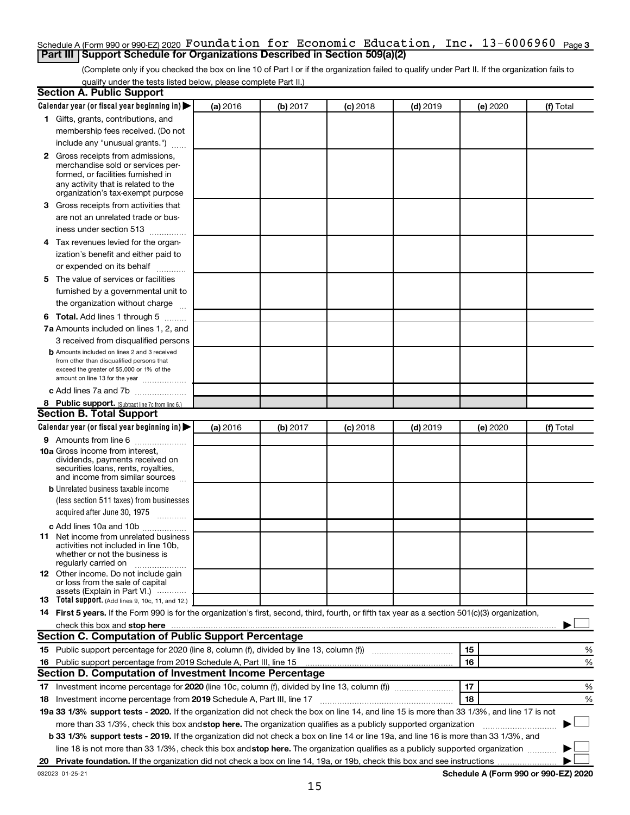#### **3** Schedule A (Form 990 or 990-EZ) 2020 Page Foundation for Economic Education, Inc. 13-6006960 **Part III | Support Schedule for Organizations Described in Section 509(a)(2)**

(Complete only if you checked the box on line 10 of Part I or if the organization failed to qualify under Part II. If the organization fails to qualify under the tests listed below, please complete Part II.)

| <b>Section A. Public Support</b>                                                                                                                 |          |          |            |            |          |           |
|--------------------------------------------------------------------------------------------------------------------------------------------------|----------|----------|------------|------------|----------|-----------|
| Calendar year (or fiscal year beginning in)                                                                                                      | (a) 2016 | (b) 2017 | $(c)$ 2018 | $(d)$ 2019 | (e) 2020 | (f) Total |
| 1 Gifts, grants, contributions, and                                                                                                              |          |          |            |            |          |           |
| membership fees received. (Do not                                                                                                                |          |          |            |            |          |           |
| include any "unusual grants.")                                                                                                                   |          |          |            |            |          |           |
| 2 Gross receipts from admissions,                                                                                                                |          |          |            |            |          |           |
| merchandise sold or services per-                                                                                                                |          |          |            |            |          |           |
| formed, or facilities furnished in                                                                                                               |          |          |            |            |          |           |
| any activity that is related to the<br>organization's tax-exempt purpose                                                                         |          |          |            |            |          |           |
| 3 Gross receipts from activities that                                                                                                            |          |          |            |            |          |           |
| are not an unrelated trade or bus-                                                                                                               |          |          |            |            |          |           |
| iness under section 513                                                                                                                          |          |          |            |            |          |           |
| 4 Tax revenues levied for the organ-                                                                                                             |          |          |            |            |          |           |
| ization's benefit and either paid to                                                                                                             |          |          |            |            |          |           |
| or expended on its behalf                                                                                                                        |          |          |            |            |          |           |
|                                                                                                                                                  |          |          |            |            |          |           |
| 5 The value of services or facilities                                                                                                            |          |          |            |            |          |           |
| furnished by a governmental unit to                                                                                                              |          |          |            |            |          |           |
| the organization without charge                                                                                                                  |          |          |            |            |          |           |
| <b>6 Total.</b> Add lines 1 through 5                                                                                                            |          |          |            |            |          |           |
| 7a Amounts included on lines 1, 2, and                                                                                                           |          |          |            |            |          |           |
| 3 received from disqualified persons                                                                                                             |          |          |            |            |          |           |
| <b>b</b> Amounts included on lines 2 and 3 received<br>from other than disqualified persons that                                                 |          |          |            |            |          |           |
| exceed the greater of \$5,000 or 1% of the                                                                                                       |          |          |            |            |          |           |
| amount on line 13 for the year                                                                                                                   |          |          |            |            |          |           |
| c Add lines 7a and 7b                                                                                                                            |          |          |            |            |          |           |
| 8 Public support. (Subtract line 7c from line 6.)                                                                                                |          |          |            |            |          |           |
| <b>Section B. Total Support</b>                                                                                                                  |          |          |            |            |          |           |
| Calendar year (or fiscal year beginning in)                                                                                                      | (a) 2016 | (b) 2017 | (c) 2018   | $(d)$ 2019 | (e) 2020 | (f) Total |
| 9 Amounts from line 6                                                                                                                            |          |          |            |            |          |           |
| <b>10a</b> Gross income from interest,                                                                                                           |          |          |            |            |          |           |
| dividends, payments received on                                                                                                                  |          |          |            |            |          |           |
| securities loans, rents, royalties,<br>and income from similar sources                                                                           |          |          |            |            |          |           |
| <b>b</b> Unrelated business taxable income                                                                                                       |          |          |            |            |          |           |
| (less section 511 taxes) from businesses                                                                                                         |          |          |            |            |          |           |
| acquired after June 30, 1975<br>$\frac{1}{2}$                                                                                                    |          |          |            |            |          |           |
| c Add lines 10a and 10b                                                                                                                          |          |          |            |            |          |           |
| 11 Net income from unrelated business                                                                                                            |          |          |            |            |          |           |
| activities not included in line 10b.                                                                                                             |          |          |            |            |          |           |
| whether or not the business is                                                                                                                   |          |          |            |            |          |           |
| regularly carried on<br><b>12</b> Other income. Do not include gain                                                                              |          |          |            |            |          |           |
| or loss from the sale of capital                                                                                                                 |          |          |            |            |          |           |
| assets (Explain in Part VI.)                                                                                                                     |          |          |            |            |          |           |
| <b>13</b> Total support. (Add lines 9, 10c, 11, and 12.)                                                                                         |          |          |            |            |          |           |
| 14 First 5 years. If the Form 990 is for the organization's first, second, third, fourth, or fifth tax year as a section 501(c)(3) organization, |          |          |            |            |          |           |
|                                                                                                                                                  |          |          |            |            |          |           |
| Section C. Computation of Public Support Percentage                                                                                              |          |          |            |            |          |           |
|                                                                                                                                                  |          |          |            |            | 15       | %         |
| 16 Public support percentage from 2019 Schedule A, Part III, line 15                                                                             |          |          |            |            | 16       | %         |
| Section D. Computation of Investment Income Percentage                                                                                           |          |          |            |            |          |           |
|                                                                                                                                                  |          |          |            |            | 17       | %         |
| 18 Investment income percentage from 2019 Schedule A, Part III, line 17                                                                          |          |          |            |            | 18       | %         |
| 19a 33 1/3% support tests - 2020. If the organization did not check the box on line 14, and line 15 is more than 33 1/3%, and line 17 is not     |          |          |            |            |          |           |
| more than 33 1/3%, check this box and stop here. The organization qualifies as a publicly supported organization                                 |          |          |            |            |          |           |
| b 33 1/3% support tests - 2019. If the organization did not check a box on line 14 or line 19a, and line 16 is more than 33 1/3%, and            |          |          |            |            |          |           |
| line 18 is not more than 33 1/3%, check this box and stop here. The organization qualifies as a publicly supported organization                  |          |          |            |            |          |           |
|                                                                                                                                                  |          |          |            |            |          |           |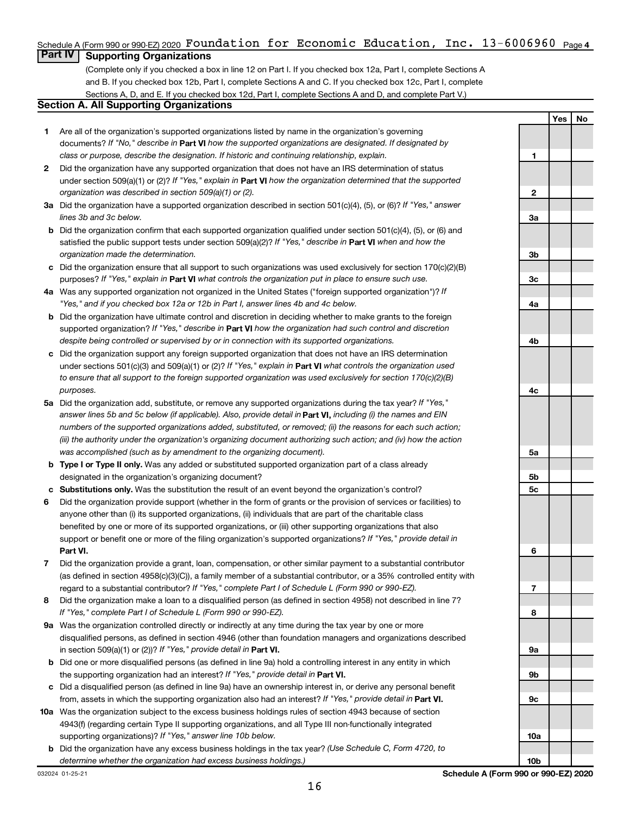# Schedule A (Form 990 or 990-EZ) 2020  $\,$  **F** $\,$ **Oun** $\,$ **dation for Economic E** $\,$ **ducation, Inc. 13-6006960**  $\,$  $_{\rm Page}$  **4**  $\,$

# **Part IV Supporting Organizations**

(Complete only if you checked a box in line 12 on Part I. If you checked box 12a, Part I, complete Sections A and B. If you checked box 12b, Part I, complete Sections A and C. If you checked box 12c, Part I, complete Sections A, D, and E. If you checked box 12d, Part I, complete Sections A and D, and complete Part V.)

# **Section A. All Supporting Organizations**

- **1** Are all of the organization's supported organizations listed by name in the organization's governing documents? If "No," describe in Part VI how the supported organizations are designated. If designated by *class or purpose, describe the designation. If historic and continuing relationship, explain.*
- **2** Did the organization have any supported organization that does not have an IRS determination of status under section 509(a)(1) or (2)? If "Yes," explain in Part **VI** how the organization determined that the supported *organization was described in section 509(a)(1) or (2).*
- **3a** Did the organization have a supported organization described in section 501(c)(4), (5), or (6)? If "Yes," answer *lines 3b and 3c below.*
- **b** Did the organization confirm that each supported organization qualified under section 501(c)(4), (5), or (6) and satisfied the public support tests under section 509(a)(2)? If "Yes," describe in Part VI when and how the *organization made the determination.*
- **c** Did the organization ensure that all support to such organizations was used exclusively for section 170(c)(2)(B) purposes? If "Yes," explain in Part VI what controls the organization put in place to ensure such use.
- **4 a** *If* Was any supported organization not organized in the United States ("foreign supported organization")? *"Yes," and if you checked box 12a or 12b in Part I, answer lines 4b and 4c below.*
- **b** Did the organization have ultimate control and discretion in deciding whether to make grants to the foreign supported organization? If "Yes," describe in Part VI how the organization had such control and discretion *despite being controlled or supervised by or in connection with its supported organizations.*
- **c** Did the organization support any foreign supported organization that does not have an IRS determination under sections 501(c)(3) and 509(a)(1) or (2)? If "Yes," explain in Part VI what controls the organization used *to ensure that all support to the foreign supported organization was used exclusively for section 170(c)(2)(B) purposes.*
- **5a** Did the organization add, substitute, or remove any supported organizations during the tax year? If "Yes," answer lines 5b and 5c below (if applicable). Also, provide detail in **Part VI,** including (i) the names and EIN *numbers of the supported organizations added, substituted, or removed; (ii) the reasons for each such action; (iii) the authority under the organization's organizing document authorizing such action; and (iv) how the action was accomplished (such as by amendment to the organizing document).*
- **b Type I or Type II only.** Was any added or substituted supported organization part of a class already designated in the organization's organizing document?
- **c Substitutions only.**  Was the substitution the result of an event beyond the organization's control?
- **6** Did the organization provide support (whether in the form of grants or the provision of services or facilities) to **Part VI.** support or benefit one or more of the filing organization's supported organizations? If "Yes," provide detail in anyone other than (i) its supported organizations, (ii) individuals that are part of the charitable class benefited by one or more of its supported organizations, or (iii) other supporting organizations that also
- **7** Did the organization provide a grant, loan, compensation, or other similar payment to a substantial contributor regard to a substantial contributor? If "Yes," complete Part I of Schedule L (Form 990 or 990-EZ). (as defined in section 4958(c)(3)(C)), a family member of a substantial contributor, or a 35% controlled entity with
- **8** Did the organization make a loan to a disqualified person (as defined in section 4958) not described in line 7? *If "Yes," complete Part I of Schedule L (Form 990 or 990-EZ).*
- **9 a** Was the organization controlled directly or indirectly at any time during the tax year by one or more in section 509(a)(1) or (2))? If "Yes," provide detail in **Part VI.** disqualified persons, as defined in section 4946 (other than foundation managers and organizations described
- **b** Did one or more disqualified persons (as defined in line 9a) hold a controlling interest in any entity in which the supporting organization had an interest? If "Yes," provide detail in Part VI.
- **c** Did a disqualified person (as defined in line 9a) have an ownership interest in, or derive any personal benefit from, assets in which the supporting organization also had an interest? If "Yes," provide detail in Part VI.
- **10 a** Was the organization subject to the excess business holdings rules of section 4943 because of section supporting organizations)? If "Yes," answer line 10b below. 4943(f) (regarding certain Type II supporting organizations, and all Type III non-functionally integrated
- **b** Did the organization have any excess business holdings in the tax year? (Use Schedule C, Form 4720, to *determine whether the organization had excess business holdings.)*

**1 2 3a 3b 3c 4a 4b 4c 5a 5b 5c 6 7 8 9a 9b 9c 10a**

**Yes No**

**10b**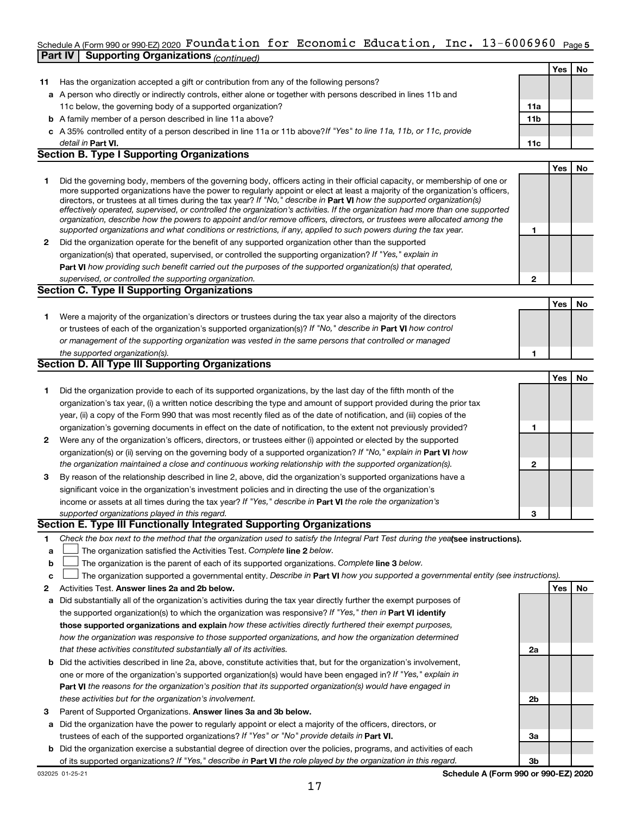#### **5** Schedule A (Form 990 or 990-EZ) 2020 Page Foundation for Economic Education, Inc. 13-6006960 **Part IV | Supporting Organizations** *(continued)*

|              |                                                                                                                                                                                                                                                                 |                 | <b>Yes</b> | No |
|--------------|-----------------------------------------------------------------------------------------------------------------------------------------------------------------------------------------------------------------------------------------------------------------|-----------------|------------|----|
| 11           | Has the organization accepted a gift or contribution from any of the following persons?                                                                                                                                                                         |                 |            |    |
|              | a A person who directly or indirectly controls, either alone or together with persons described in lines 11b and                                                                                                                                                |                 |            |    |
|              | 11c below, the governing body of a supported organization?                                                                                                                                                                                                      | 11a             |            |    |
|              | <b>b</b> A family member of a person described in line 11a above?                                                                                                                                                                                               | 11 <sub>b</sub> |            |    |
|              | c A 35% controlled entity of a person described in line 11a or 11b above? If "Yes" to line 11a, 11b, or 11c, provide                                                                                                                                            |                 |            |    |
|              | detail in <b>Part VI.</b>                                                                                                                                                                                                                                       | 11c             |            |    |
|              | <b>Section B. Type I Supporting Organizations</b>                                                                                                                                                                                                               |                 |            |    |
|              |                                                                                                                                                                                                                                                                 |                 | Yes        | No |
| 1            | Did the governing body, members of the governing body, officers acting in their official capacity, or membership of one or                                                                                                                                      |                 |            |    |
|              | more supported organizations have the power to regularly appoint or elect at least a majority of the organization's officers,<br>directors, or trustees at all times during the tax year? If "No," describe in <b>Part VI</b> how the supported organization(s) |                 |            |    |
|              | effectively operated, supervised, or controlled the organization's activities. If the organization had more than one supported                                                                                                                                  |                 |            |    |
|              | organization, describe how the powers to appoint and/or remove officers, directors, or trustees were allocated among the                                                                                                                                        |                 |            |    |
|              | supported organizations and what conditions or restrictions, if any, applied to such powers during the tax year.                                                                                                                                                | 1               |            |    |
| 2            | Did the organization operate for the benefit of any supported organization other than the supported                                                                                                                                                             |                 |            |    |
|              | organization(s) that operated, supervised, or controlled the supporting organization? If "Yes," explain in                                                                                                                                                      |                 |            |    |
|              | Part VI how providing such benefit carried out the purposes of the supported organization(s) that operated,                                                                                                                                                     |                 |            |    |
|              | supervised, or controlled the supporting organization.                                                                                                                                                                                                          | 2               |            |    |
|              | <b>Section C. Type II Supporting Organizations</b>                                                                                                                                                                                                              |                 |            |    |
|              |                                                                                                                                                                                                                                                                 |                 | <b>Yes</b> | No |
| 1.           | Were a majority of the organization's directors or trustees during the tax year also a majority of the directors                                                                                                                                                |                 |            |    |
|              | or trustees of each of the organization's supported organization(s)? If "No," describe in Part VI how control                                                                                                                                                   |                 |            |    |
|              | or management of the supporting organization was vested in the same persons that controlled or managed                                                                                                                                                          |                 |            |    |
|              | the supported organization(s).                                                                                                                                                                                                                                  | 1               |            |    |
|              | Section D. All Type III Supporting Organizations                                                                                                                                                                                                                |                 |            |    |
|              |                                                                                                                                                                                                                                                                 |                 | Yes        | No |
| 1            | Did the organization provide to each of its supported organizations, by the last day of the fifth month of the                                                                                                                                                  |                 |            |    |
|              | organization's tax year, (i) a written notice describing the type and amount of support provided during the prior tax                                                                                                                                           |                 |            |    |
|              | year, (ii) a copy of the Form 990 that was most recently filed as of the date of notification, and (iii) copies of the                                                                                                                                          |                 |            |    |
|              | organization's governing documents in effect on the date of notification, to the extent not previously provided?                                                                                                                                                | 1               |            |    |
| $\mathbf{2}$ | Were any of the organization's officers, directors, or trustees either (i) appointed or elected by the supported                                                                                                                                                |                 |            |    |
|              | organization(s) or (ii) serving on the governing body of a supported organization? If "No," explain in Part VI how                                                                                                                                              |                 |            |    |
|              | the organization maintained a close and continuous working relationship with the supported organization(s).                                                                                                                                                     | $\mathbf{2}$    |            |    |
| 3            | By reason of the relationship described in line 2, above, did the organization's supported organizations have a                                                                                                                                                 |                 |            |    |
|              | significant voice in the organization's investment policies and in directing the use of the organization's                                                                                                                                                      |                 |            |    |
|              | income or assets at all times during the tax year? If "Yes," describe in Part VI the role the organization's                                                                                                                                                    |                 |            |    |
|              | supported organizations played in this regard.                                                                                                                                                                                                                  | 3               |            |    |
|              | Section E. Type III Functionally Integrated Supporting Organizations                                                                                                                                                                                            |                 |            |    |
| 1            | Check the box next to the method that the organization used to satisfy the Integral Part Test during the yeafsee instructions).                                                                                                                                 |                 |            |    |
| a            | The organization satisfied the Activities Test. Complete line 2 below.                                                                                                                                                                                          |                 |            |    |
| b            | The organization is the parent of each of its supported organizations. Complete line 3 below.                                                                                                                                                                   |                 |            |    |

- **c** † The organization supported a governmental entity. Describe in Part VI how you supported a governmental entity (see instructions).
- **2 Answer lines 2a and 2b below. Yes No** Activities Test.
- **a** Did substantially all of the organization's activities during the tax year directly further the exempt purposes of the supported organization(s) to which the organization was responsive? If "Yes," then in Part VI identify **those supported organizations and explain**  *how these activities directly furthered their exempt purposes, how the organization was responsive to those supported organizations, and how the organization determined that these activities constituted substantially all of its activities.*
- **b** Did the activities described in line 2a, above, constitute activities that, but for the organization's involvement, **Part VI**  *the reasons for the organization's position that its supported organization(s) would have engaged in* one or more of the organization's supported organization(s) would have been engaged in? If "Yes," explain in *these activities but for the organization's involvement.*
- **3** Parent of Supported Organizations. Answer lines 3a and 3b below.
- **a** Did the organization have the power to regularly appoint or elect a majority of the officers, directors, or trustees of each of the supported organizations? If "Yes" or "No" provide details in Part VI.
- **b** Did the organization exercise a substantial degree of direction over the policies, programs, and activities of each of its supported organizations? If "Yes," describe in Part VI the role played by the organization in this regard.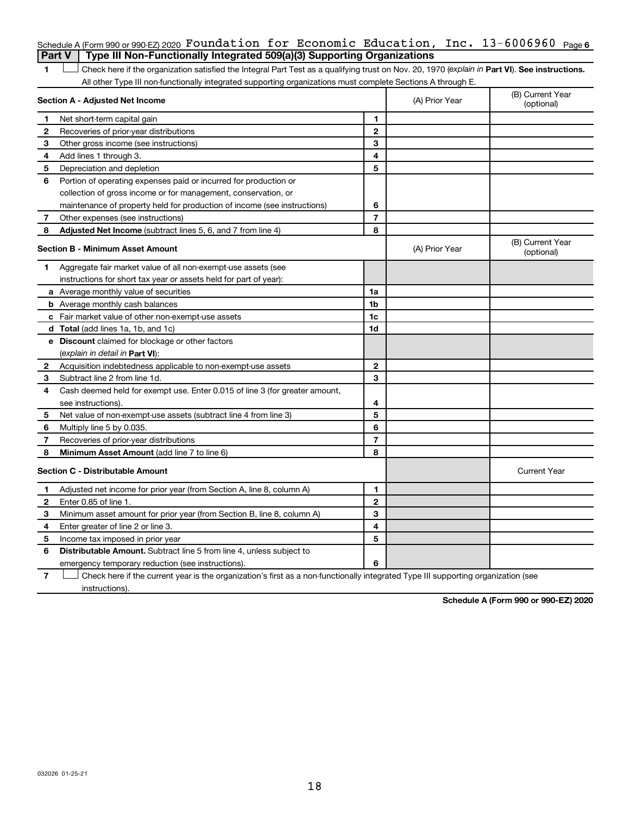|              | Schedule A (Form 990 or 990 EZ) 2020 Foundation for Economic Education, Inc. $13-6006960$ Page 6                                               |                          |                |                                |
|--------------|------------------------------------------------------------------------------------------------------------------------------------------------|--------------------------|----------------|--------------------------------|
|              | Type III Non-Functionally Integrated 509(a)(3) Supporting Organizations<br><b>Part V</b>                                                       |                          |                |                                |
| 1            | Check here if the organization satisfied the Integral Part Test as a qualifying trust on Nov. 20, 1970 (explain in Part VI). See instructions. |                          |                |                                |
|              | All other Type III non-functionally integrated supporting organizations must complete Sections A through E.                                    |                          |                |                                |
|              | Section A - Adjusted Net Income                                                                                                                |                          | (A) Prior Year | (B) Current Year<br>(optional) |
| 1            | Net short-term capital gain                                                                                                                    | 1                        |                |                                |
| 2            | Recoveries of prior-year distributions                                                                                                         | $\mathbf{2}$             |                |                                |
| 3            | Other gross income (see instructions)                                                                                                          | 3                        |                |                                |
| 4            | Add lines 1 through 3.                                                                                                                         | 4                        |                |                                |
| 5            | Depreciation and depletion                                                                                                                     | 5                        |                |                                |
| 6            | Portion of operating expenses paid or incurred for production or                                                                               |                          |                |                                |
|              | collection of gross income or for management, conservation, or                                                                                 |                          |                |                                |
|              | maintenance of property held for production of income (see instructions)                                                                       | 6                        |                |                                |
| 7            | Other expenses (see instructions)                                                                                                              | $\overline{7}$           |                |                                |
| 8            | Adjusted Net Income (subtract lines 5, 6, and 7 from line 4)                                                                                   | 8                        |                |                                |
|              | Section B - Minimum Asset Amount                                                                                                               |                          | (A) Prior Year | (B) Current Year<br>(optional) |
| 1            | Aggregate fair market value of all non-exempt-use assets (see                                                                                  |                          |                |                                |
|              | instructions for short tax year or assets held for part of year):                                                                              |                          |                |                                |
|              | a Average monthly value of securities                                                                                                          | 1a                       |                |                                |
|              | <b>b</b> Average monthly cash balances                                                                                                         | 1 <sub>b</sub>           |                |                                |
|              | <b>c</b> Fair market value of other non-exempt-use assets                                                                                      | 1c                       |                |                                |
|              | <b>d</b> Total (add lines 1a, 1b, and 1c)                                                                                                      | 1 <sub>d</sub>           |                |                                |
|              | e Discount claimed for blockage or other factors                                                                                               |                          |                |                                |
|              | (explain in detail in <b>Part VI</b> ):                                                                                                        |                          |                |                                |
| 2            | Acquisition indebtedness applicable to non-exempt-use assets                                                                                   | $\mathbf{2}$             |                |                                |
| З            | Subtract line 2 from line 1d.                                                                                                                  | 3                        |                |                                |
| 4            | Cash deemed held for exempt use. Enter 0.015 of line 3 (for greater amount,                                                                    |                          |                |                                |
|              | see instructions).                                                                                                                             | 4                        |                |                                |
| 5            | Net value of non-exempt-use assets (subtract line 4 from line 3)                                                                               | 5                        |                |                                |
| 6            | Multiply line 5 by 0.035.                                                                                                                      | 6                        |                |                                |
| 7            | Recoveries of prior-year distributions                                                                                                         | $\overline{\phantom{a}}$ |                |                                |
| 8            | Minimum Asset Amount (add line 7 to line 6)                                                                                                    | 8                        |                |                                |
|              | <b>Section C - Distributable Amount</b>                                                                                                        |                          |                | <b>Current Year</b>            |
| 1            | Adjusted net income for prior year (from Section A, line 8, column A)                                                                          | $\mathbf{1}$             |                |                                |
| $\mathbf{2}$ | Enter 0.85 of line 1.                                                                                                                          | $\mathbf{2}$             |                |                                |
| 3            | Minimum asset amount for prior year (from Section B, line 8, column A)                                                                         | 3                        |                |                                |
| 4            | Enter greater of line 2 or line 3.                                                                                                             | 4                        |                |                                |
| 5            | Income tax imposed in prior year                                                                                                               | 5                        |                |                                |
| 6            | <b>Distributable Amount.</b> Subtract line 5 from line 4, unless subject to                                                                    |                          |                |                                |
|              | emergency temporary reduction (see instructions).                                                                                              | 6                        |                |                                |
|              |                                                                                                                                                |                          |                |                                |

**7** Check here if the current year is the organization's first as a non-functionally integrated Type III supporting organization (see instructions).

**Schedule A (Form 990 or 990-EZ) 2020**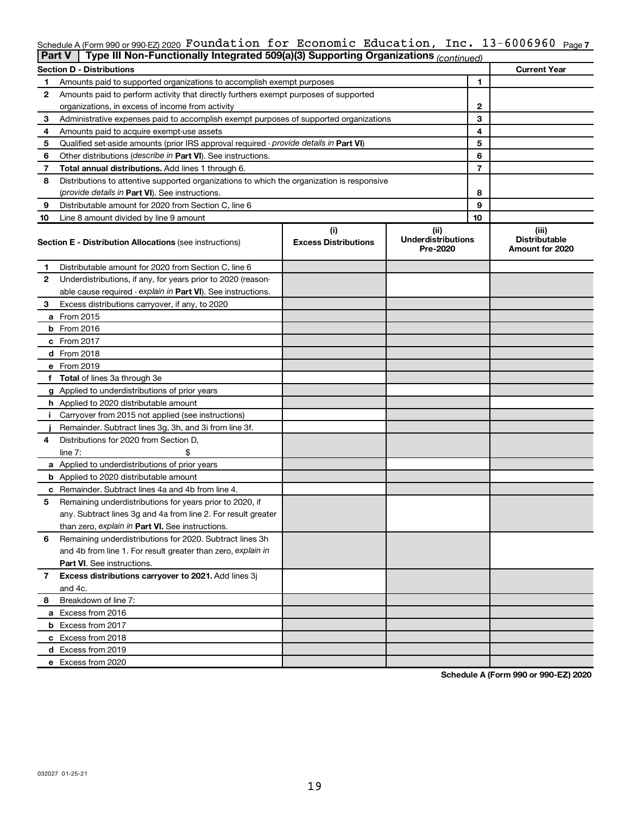#### Schedule A (Form 990 or 990-EZ) 2020 **FOUNCAtion for ECONOMIC EQUCAtion, InC. I**3-6006960 <sub>Page 7</sub> Foundation for Economic Education, Inc. 13-6006960

| <b>Part V</b> | Type III Non-Functionally Integrated 509(a)(3) Supporting Organizations (continued)        |                             |                                       |                                         |
|---------------|--------------------------------------------------------------------------------------------|-----------------------------|---------------------------------------|-----------------------------------------|
|               | <b>Section D - Distributions</b>                                                           |                             |                                       | <b>Current Year</b>                     |
| 1             | Amounts paid to supported organizations to accomplish exempt purposes                      |                             | $\mathbf{1}$                          |                                         |
| 2             | Amounts paid to perform activity that directly furthers exempt purposes of supported       |                             |                                       |                                         |
|               | organizations, in excess of income from activity                                           |                             | $\mathbf{2}$                          |                                         |
| 3             | Administrative expenses paid to accomplish exempt purposes of supported organizations      |                             | 3                                     |                                         |
| 4             | Amounts paid to acquire exempt-use assets                                                  |                             | 4                                     |                                         |
| 5             | Qualified set-aside amounts (prior IRS approval required - provide details in Part VI)     |                             | 5                                     |                                         |
| 6             | Other distributions ( <i>describe in Part VI</i> ). See instructions.                      |                             | 6                                     |                                         |
| 7             | Total annual distributions. Add lines 1 through 6.                                         |                             | $\overline{7}$                        |                                         |
| 8             | Distributions to attentive supported organizations to which the organization is responsive |                             |                                       |                                         |
|               | ( <i>provide details in Part VI</i> ). See instructions.                                   |                             | 8                                     |                                         |
| 9             | Distributable amount for 2020 from Section C, line 6                                       |                             | 9                                     |                                         |
| 10            | Line 8 amount divided by line 9 amount                                                     |                             | 10                                    |                                         |
|               |                                                                                            | (i)                         | (ii)                                  | (iii)                                   |
|               | <b>Section E - Distribution Allocations (see instructions)</b>                             | <b>Excess Distributions</b> | <b>Underdistributions</b><br>Pre-2020 | <b>Distributable</b><br>Amount for 2020 |
| 1             | Distributable amount for 2020 from Section C, line 6                                       |                             |                                       |                                         |
| 2             | Underdistributions, if any, for years prior to 2020 (reason-                               |                             |                                       |                                         |
|               | able cause required - explain in Part VI). See instructions.                               |                             |                                       |                                         |
| 3             | Excess distributions carryover, if any, to 2020                                            |                             |                                       |                                         |
|               | a From 2015                                                                                |                             |                                       |                                         |
|               | $b$ From 2016                                                                              |                             |                                       |                                         |
|               | c From 2017                                                                                |                             |                                       |                                         |
|               | <b>d</b> From 2018                                                                         |                             |                                       |                                         |
|               | e From 2019                                                                                |                             |                                       |                                         |
|               | f Total of lines 3a through 3e                                                             |                             |                                       |                                         |
|               | g Applied to underdistributions of prior years                                             |                             |                                       |                                         |
|               | <b>h</b> Applied to 2020 distributable amount                                              |                             |                                       |                                         |
| Ť.            | Carryover from 2015 not applied (see instructions)                                         |                             |                                       |                                         |
|               | Remainder. Subtract lines 3g, 3h, and 3i from line 3f.                                     |                             |                                       |                                         |
| 4             | Distributions for 2020 from Section D,                                                     |                             |                                       |                                         |
|               | line $7:$                                                                                  |                             |                                       |                                         |
|               | a Applied to underdistributions of prior years                                             |                             |                                       |                                         |
|               | <b>b</b> Applied to 2020 distributable amount                                              |                             |                                       |                                         |
|               | <b>c</b> Remainder. Subtract lines 4a and 4b from line 4.                                  |                             |                                       |                                         |
| 5             | Remaining underdistributions for years prior to 2020, if                                   |                             |                                       |                                         |
|               | any. Subtract lines 3g and 4a from line 2. For result greater                              |                             |                                       |                                         |
|               | than zero, explain in Part VI. See instructions.                                           |                             |                                       |                                         |
| 6             | Remaining underdistributions for 2020. Subtract lines 3h                                   |                             |                                       |                                         |
|               | and 4b from line 1. For result greater than zero, explain in                               |                             |                                       |                                         |
|               | <b>Part VI.</b> See instructions.                                                          |                             |                                       |                                         |
| 7             | Excess distributions carryover to 2021. Add lines 3j                                       |                             |                                       |                                         |
|               | and 4c.                                                                                    |                             |                                       |                                         |
| 8             | Breakdown of line 7:                                                                       |                             |                                       |                                         |
|               | a Excess from 2016                                                                         |                             |                                       |                                         |
|               | <b>b</b> Excess from 2017                                                                  |                             |                                       |                                         |
|               | c Excess from 2018                                                                         |                             |                                       |                                         |
|               | d Excess from 2019                                                                         |                             |                                       |                                         |
|               | e Excess from 2020                                                                         |                             |                                       |                                         |

**Schedule A (Form 990 or 990-EZ) 2020**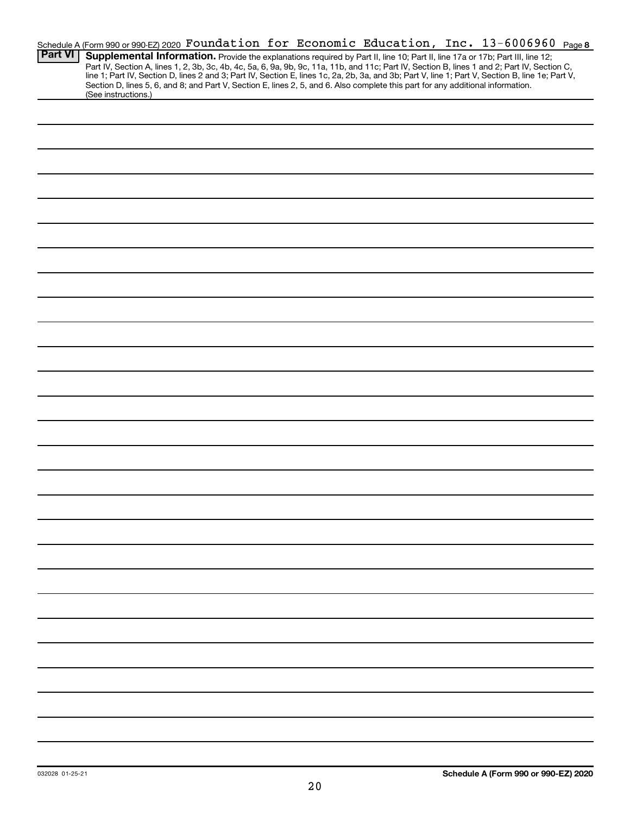|                | Schedule A (Form 990 or 990-EZ) 2020 Foundation for Economic Education, Inc. 13-6006960 Page 8                                                                                                                                                                                                   |  |  |  |  |
|----------------|--------------------------------------------------------------------------------------------------------------------------------------------------------------------------------------------------------------------------------------------------------------------------------------------------|--|--|--|--|
| <b>Part VI</b> | Supplemental Information. Provide the explanations required by Part II, line 10; Part II, line 17a or 17b; Part III, line 12;                                                                                                                                                                    |  |  |  |  |
|                | Part IV, Section A, lines 1, 2, 3b, 3c, 4b, 4c, 5a, 6, 9a, 9b, 9c, 11a, 11b, and 11c; Part IV, Section B, lines 1 and 2; Part IV, Section C,<br>line 1; Part IV, Section D, lines 2 and 3; Part IV, Section E, lines 1c, 2a, 2b, 3a, and 3b; Part V, line 1; Part V, Section B, line 1e; Part V, |  |  |  |  |
|                | Section D, lines 5, 6, and 8; and Part V, Section E, lines 2, 5, and 6. Also complete this part for any additional information.                                                                                                                                                                  |  |  |  |  |
|                | (See instructions.)                                                                                                                                                                                                                                                                              |  |  |  |  |
|                |                                                                                                                                                                                                                                                                                                  |  |  |  |  |
|                |                                                                                                                                                                                                                                                                                                  |  |  |  |  |
|                |                                                                                                                                                                                                                                                                                                  |  |  |  |  |
|                |                                                                                                                                                                                                                                                                                                  |  |  |  |  |
|                |                                                                                                                                                                                                                                                                                                  |  |  |  |  |
|                |                                                                                                                                                                                                                                                                                                  |  |  |  |  |
|                |                                                                                                                                                                                                                                                                                                  |  |  |  |  |
|                |                                                                                                                                                                                                                                                                                                  |  |  |  |  |
|                |                                                                                                                                                                                                                                                                                                  |  |  |  |  |
|                |                                                                                                                                                                                                                                                                                                  |  |  |  |  |
|                |                                                                                                                                                                                                                                                                                                  |  |  |  |  |
|                |                                                                                                                                                                                                                                                                                                  |  |  |  |  |
|                |                                                                                                                                                                                                                                                                                                  |  |  |  |  |
|                |                                                                                                                                                                                                                                                                                                  |  |  |  |  |
|                |                                                                                                                                                                                                                                                                                                  |  |  |  |  |
|                |                                                                                                                                                                                                                                                                                                  |  |  |  |  |
|                |                                                                                                                                                                                                                                                                                                  |  |  |  |  |
|                |                                                                                                                                                                                                                                                                                                  |  |  |  |  |
|                |                                                                                                                                                                                                                                                                                                  |  |  |  |  |
|                |                                                                                                                                                                                                                                                                                                  |  |  |  |  |
|                |                                                                                                                                                                                                                                                                                                  |  |  |  |  |
|                |                                                                                                                                                                                                                                                                                                  |  |  |  |  |
|                |                                                                                                                                                                                                                                                                                                  |  |  |  |  |
|                |                                                                                                                                                                                                                                                                                                  |  |  |  |  |
|                |                                                                                                                                                                                                                                                                                                  |  |  |  |  |
|                |                                                                                                                                                                                                                                                                                                  |  |  |  |  |
|                |                                                                                                                                                                                                                                                                                                  |  |  |  |  |
|                |                                                                                                                                                                                                                                                                                                  |  |  |  |  |
|                |                                                                                                                                                                                                                                                                                                  |  |  |  |  |
|                |                                                                                                                                                                                                                                                                                                  |  |  |  |  |
|                |                                                                                                                                                                                                                                                                                                  |  |  |  |  |
|                |                                                                                                                                                                                                                                                                                                  |  |  |  |  |
|                |                                                                                                                                                                                                                                                                                                  |  |  |  |  |
|                |                                                                                                                                                                                                                                                                                                  |  |  |  |  |
|                |                                                                                                                                                                                                                                                                                                  |  |  |  |  |
|                |                                                                                                                                                                                                                                                                                                  |  |  |  |  |
|                |                                                                                                                                                                                                                                                                                                  |  |  |  |  |
|                |                                                                                                                                                                                                                                                                                                  |  |  |  |  |
|                |                                                                                                                                                                                                                                                                                                  |  |  |  |  |
|                |                                                                                                                                                                                                                                                                                                  |  |  |  |  |
|                |                                                                                                                                                                                                                                                                                                  |  |  |  |  |
|                |                                                                                                                                                                                                                                                                                                  |  |  |  |  |
|                |                                                                                                                                                                                                                                                                                                  |  |  |  |  |
|                |                                                                                                                                                                                                                                                                                                  |  |  |  |  |
|                |                                                                                                                                                                                                                                                                                                  |  |  |  |  |
|                |                                                                                                                                                                                                                                                                                                  |  |  |  |  |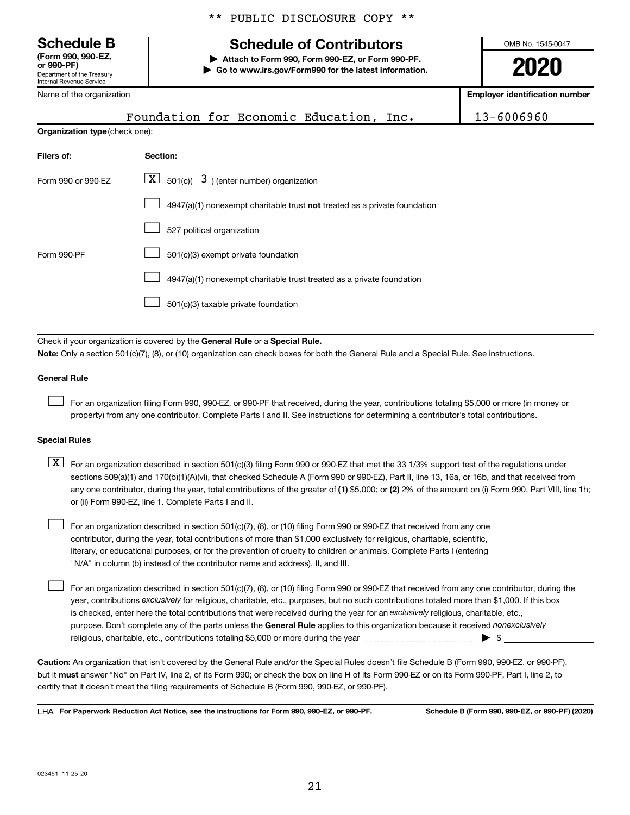**(Form 990, 990-EZ,**

Department of the Treasury Internal Revenue Service

Name of the organization

# **Schedule B Schedule of Contributors**

**or 990-PF) | Attach to Form 990, Form 990-EZ, or Form 990-PF. | Go to www.irs.gov/Form990 for the latest information.** OMB No. 1545-0047

**2020**

**Employer identification number**

| Name of the organization       | <b>Employer identification number</b>                                                                                                                                                                                                                                                                                                                                                                                                                                                                                                                                 |            |
|--------------------------------|-----------------------------------------------------------------------------------------------------------------------------------------------------------------------------------------------------------------------------------------------------------------------------------------------------------------------------------------------------------------------------------------------------------------------------------------------------------------------------------------------------------------------------------------------------------------------|------------|
|                                | Foundation for Economic Education, Inc.                                                                                                                                                                                                                                                                                                                                                                                                                                                                                                                               | 13-6006960 |
| Organization type (check one): |                                                                                                                                                                                                                                                                                                                                                                                                                                                                                                                                                                       |            |
| Filers of:                     | Section:                                                                                                                                                                                                                                                                                                                                                                                                                                                                                                                                                              |            |
| Form 990 or 990-EZ             | $\lfloor x \rfloor$<br>501(c)( $\overline{3}$ ) (enter number) organization                                                                                                                                                                                                                                                                                                                                                                                                                                                                                           |            |
|                                | $4947(a)(1)$ nonexempt charitable trust not treated as a private foundation                                                                                                                                                                                                                                                                                                                                                                                                                                                                                           |            |
|                                | 527 political organization                                                                                                                                                                                                                                                                                                                                                                                                                                                                                                                                            |            |
| Form 990-PF                    | 501(c)(3) exempt private foundation                                                                                                                                                                                                                                                                                                                                                                                                                                                                                                                                   |            |
|                                | 4947(a)(1) nonexempt charitable trust treated as a private foundation                                                                                                                                                                                                                                                                                                                                                                                                                                                                                                 |            |
|                                | 501(c)(3) taxable private foundation                                                                                                                                                                                                                                                                                                                                                                                                                                                                                                                                  |            |
| <b>General Rule</b>            | Check if your organization is covered by the General Rule or a Special Rule.<br>Note: Only a section 501(c)(7), (8), or (10) organization can check boxes for both the General Rule and a Special Rule. See instructions.<br>For an organization filing Form 990, 990-EZ, or 990-PF that received, during the year, contributions totaling \$5,000 or more (in money or                                                                                                                                                                                               |            |
| <b>Special Rules</b>           | property) from any one contributor. Complete Parts I and II. See instructions for determining a contributor's total contributions.                                                                                                                                                                                                                                                                                                                                                                                                                                    |            |
| $\lfloor x \rfloor$            | For an organization described in section 501(c)(3) filing Form 990 or 990-EZ that met the 33 1/3% support test of the regulations under<br>sections 509(a)(1) and 170(b)(1)(A)(vi), that checked Schedule A (Form 990 or 990-EZ), Part II, line 13, 16a, or 16b, and that received from<br>any one contributor, during the year, total contributions of the greater of (1) \$5,000; or (2) 2% of the amount on (i) Form 990, Part VIII, line 1h;<br>or (ii) Form 990-EZ, line 1. Complete Parts I and II.                                                             |            |
|                                | For an organization described in section 501(c)(7), (8), or (10) filing Form 990 or 990 EZ that received from any one<br>contributor, during the year, total contributions of more than \$1,000 exclusively for religious, charitable, scientific,<br>literary, or educational purposes, or for the prevention of cruelty to children or animals. Complete Parts I (entering<br>"N/A" in column (b) instead of the contributor name and address), II, and III.                                                                                                        |            |
|                                | For an organization described in section 501(c)(7), (8), or (10) filing Form 990 or 990-EZ that received from any one contributor, during the<br>year, contributions exclusively for religious, charitable, etc., purposes, but no such contributions totaled more than \$1,000. If this box<br>is checked, enter here the total contributions that were received during the year for an exclusively religious, charitable, etc.,<br>purpose. Don't complete any of the parts unless the General Rule applies to this organization because it received nonexclusively |            |
|                                |                                                                                                                                                                                                                                                                                                                                                                                                                                                                                                                                                                       |            |

**Caution:**  An organization that isn't covered by the General Rule and/or the Special Rules doesn't file Schedule B (Form 990, 990-EZ, or 990-PF),  **must** but it answer "No" on Part IV, line 2, of its Form 990; or check the box on line H of its Form 990-EZ or on its Form 990-PF, Part I, line 2, to certify that it doesn't meet the filing requirements of Schedule B (Form 990, 990-EZ, or 990-PF).

**For Paperwork Reduction Act Notice, see the instructions for Form 990, 990-EZ, or 990-PF. Schedule B (Form 990, 990-EZ, or 990-PF) (2020)** LHA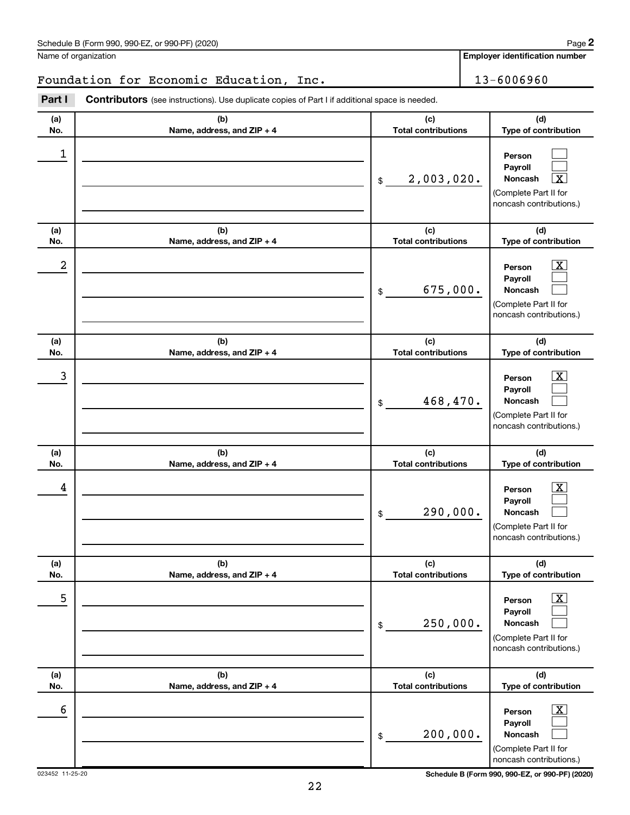Name of organization

**Employer identification number**

# Foundation for Economic Education, Inc. 13-6006960

| Part I     | Contributors (see instructions). Use duplicate copies of Part I if additional space is needed. |                                   |                                                                                                                  |
|------------|------------------------------------------------------------------------------------------------|-----------------------------------|------------------------------------------------------------------------------------------------------------------|
| (a)<br>No. | (b)<br>Name, address, and ZIP + 4                                                              | (c)<br><b>Total contributions</b> | (d)<br>Type of contribution                                                                                      |
| 1          |                                                                                                | 2,003,020.<br>\$                  | Person<br>Payroll<br>$\overline{\textbf{x}}$<br>Noncash<br>(Complete Part II for<br>noncash contributions.)      |
| (a)<br>No. | (b)<br>Name, address, and ZIP + 4                                                              | (c)<br><b>Total contributions</b> | (d)<br>Type of contribution                                                                                      |
| 2          |                                                                                                | 675,000.<br>\$                    | $\overline{\text{X}}$<br>Person<br>Payroll<br><b>Noncash</b><br>(Complete Part II for<br>noncash contributions.) |
| (a)<br>No. | (b)<br>Name, address, and ZIP + 4                                                              | (c)<br><b>Total contributions</b> | (d)<br>Type of contribution                                                                                      |
| 3          |                                                                                                | 468,470.<br>\$                    | $\overline{\text{X}}$<br>Person<br>Payroll<br><b>Noncash</b><br>(Complete Part II for<br>noncash contributions.) |
| (a)<br>No. | (b)<br>Name, address, and ZIP + 4                                                              | (c)<br><b>Total contributions</b> | (d)<br>Type of contribution                                                                                      |
| 4          |                                                                                                | 290,000.<br>\$                    | $\overline{\text{X}}$<br>Person<br>Payroll<br>Noncash<br>(Complete Part II for<br>noncash contributions.)        |
| (a)<br>No. | (b)<br>Name, address, and ZIP + 4                                                              | (c)<br><b>Total contributions</b> | (d)<br>Type of contribution                                                                                      |
| 5          |                                                                                                | 250,000.<br>$\$$                  | $\overline{\textbf{x}}$<br>Person<br>Payroll<br>Noncash<br>(Complete Part II for<br>noncash contributions.)      |
| (a)<br>No. | (b)<br>Name, address, and ZIP + 4                                                              | (c)<br><b>Total contributions</b> | (d)<br>Type of contribution                                                                                      |
| 6          |                                                                                                | 200,000.<br>\$                    | $\overline{\textbf{x}}$<br>Person<br>Payroll<br>Noncash<br>(Complete Part II for                                 |

023452 11-25-20 **Schedule B (Form 990, 990-EZ, or 990-PF) (2020)**

noncash contributions.)

**2**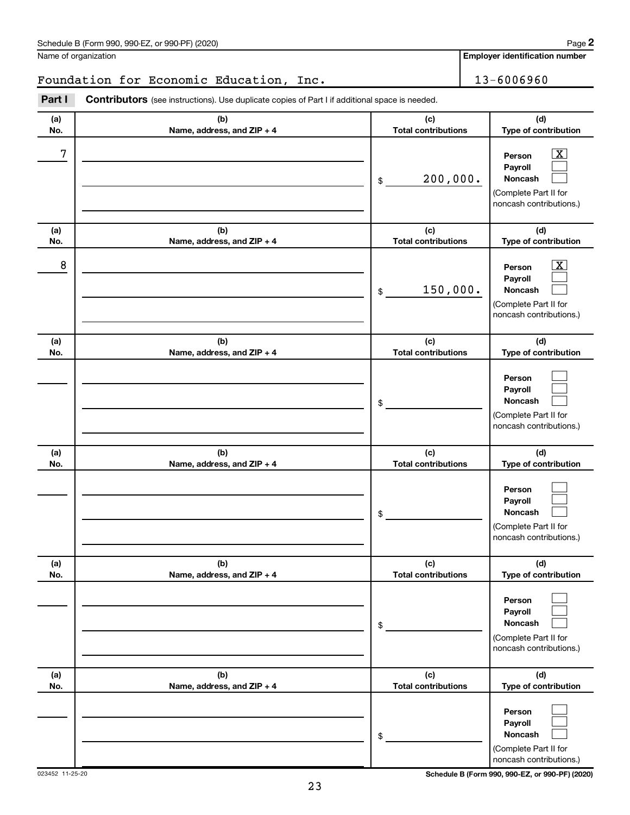Name of organization

**2**

**Employer identification number**

Foundation for Economic Education, Inc. 13-6006960

| Part I     | <b>Contributors</b> (see instructions). Use duplicate copies of Part I if additional space is needed. |                                   |                                                                                                             |
|------------|-------------------------------------------------------------------------------------------------------|-----------------------------------|-------------------------------------------------------------------------------------------------------------|
| (a)<br>No. | (b)<br>Name, address, and ZIP + 4                                                                     | (c)<br><b>Total contributions</b> | (d)<br>Type of contribution                                                                                 |
| 7          |                                                                                                       | 200,000.<br>\$                    | $\overline{\mathbf{X}}$<br>Person<br>Payroll<br>Noncash<br>(Complete Part II for<br>noncash contributions.) |
| (a)<br>No. | (b)<br>Name, address, and ZIP + 4                                                                     | (c)<br><b>Total contributions</b> | (d)<br>Type of contribution                                                                                 |
| 8          |                                                                                                       | 150,000.<br>\$                    | $\overline{\mathbf{X}}$<br>Person<br>Payroll<br>Noncash<br>(Complete Part II for<br>noncash contributions.) |
| (a)<br>No. | (b)<br>Name, address, and ZIP + 4                                                                     | (c)<br><b>Total contributions</b> | (d)<br>Type of contribution                                                                                 |
|            |                                                                                                       | \$                                | Person<br>Payroll<br>Noncash<br>(Complete Part II for<br>noncash contributions.)                            |
| (a)        | (b)                                                                                                   | (c)                               | (d)                                                                                                         |
| No.        | Name, address, and ZIP + 4                                                                            | <b>Total contributions</b><br>\$  | Type of contribution<br>Person<br>Payroll<br>Noncash<br>(Complete Part II for<br>noncash contributions.)    |
| (a)<br>No. | (b)<br>Name, address, and ZIP + 4                                                                     | (c)<br><b>Total contributions</b> | (d)<br>Type of contribution                                                                                 |
|            |                                                                                                       | \$                                | Person<br>Payroll<br>Noncash<br>(Complete Part II for<br>noncash contributions.)                            |
| (a)<br>No. | (b)<br>Name, address, and ZIP + 4                                                                     | (c)<br><b>Total contributions</b> | (d)<br>Type of contribution                                                                                 |
|            |                                                                                                       | \$                                | Person<br>Payroll<br>Noncash<br>(Complete Part II for<br>noncash contributions.)                            |

023452 11-25-20 **Schedule B (Form 990, 990-EZ, or 990-PF) (2020)**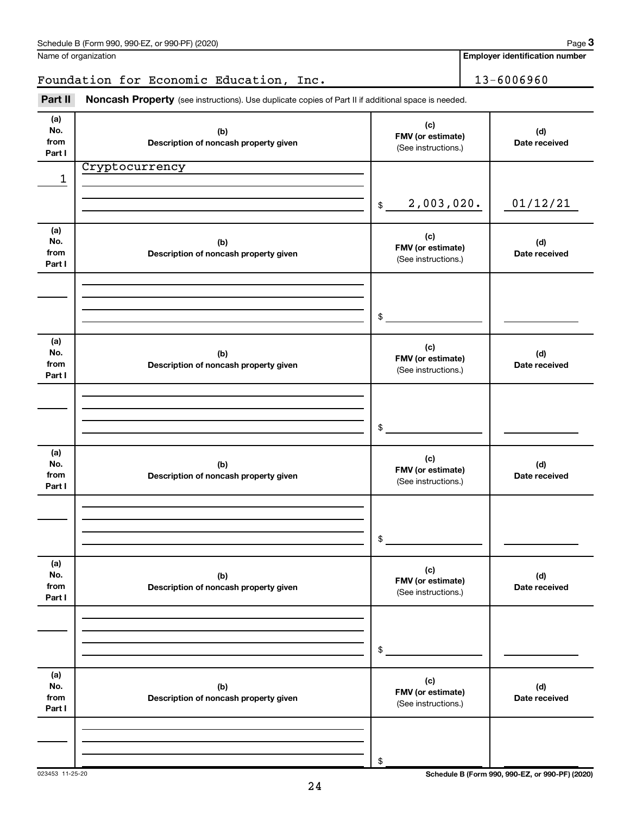|                              | Foundation for Economic Education, Inc.                                                             |                                                 | 13-6006960           |
|------------------------------|-----------------------------------------------------------------------------------------------------|-------------------------------------------------|----------------------|
| Part II                      | Noncash Property (see instructions). Use duplicate copies of Part II if additional space is needed. |                                                 |                      |
| (a)<br>No.<br>from<br>Part I | (b)<br>Description of noncash property given                                                        | (c)<br>FMV (or estimate)<br>(See instructions.) | (d)<br>Date received |
| 1                            | Cryptocurrency                                                                                      | 2,003,020.<br>\$                                | 01/12/21             |
| (a)<br>No.<br>from<br>Part I | (b)<br>Description of noncash property given                                                        | (c)<br>FMV (or estimate)<br>(See instructions.) | (d)<br>Date received |
|                              |                                                                                                     | \$                                              |                      |
| (a)<br>No.<br>from<br>Part I | (b)<br>Description of noncash property given                                                        | (c)<br>FMV (or estimate)<br>(See instructions.) | (d)<br>Date received |
|                              |                                                                                                     | \$                                              |                      |
| (a)<br>No.<br>from<br>Part I | (b)<br>Description of noncash property given                                                        | (c)<br>FMV (or estimate)<br>(See instructions.) | (d)<br>Date received |
|                              |                                                                                                     | \$                                              |                      |
| (a)<br>No.<br>from<br>Part I | (b)<br>Description of noncash property given                                                        | (c)<br>FMV (or estimate)<br>(See instructions.) | (d)<br>Date received |
|                              |                                                                                                     | \$                                              |                      |
| (a)<br>No.<br>from<br>Part I | (b)<br>Description of noncash property given                                                        | (c)<br>FMV (or estimate)<br>(See instructions.) | (d)<br>Date received |
|                              |                                                                                                     | \$                                              |                      |

Name of organization

**Employer identification number**

023453 11-25-20 **Schedule B (Form 990, 990-EZ, or 990-PF) (2020)**

24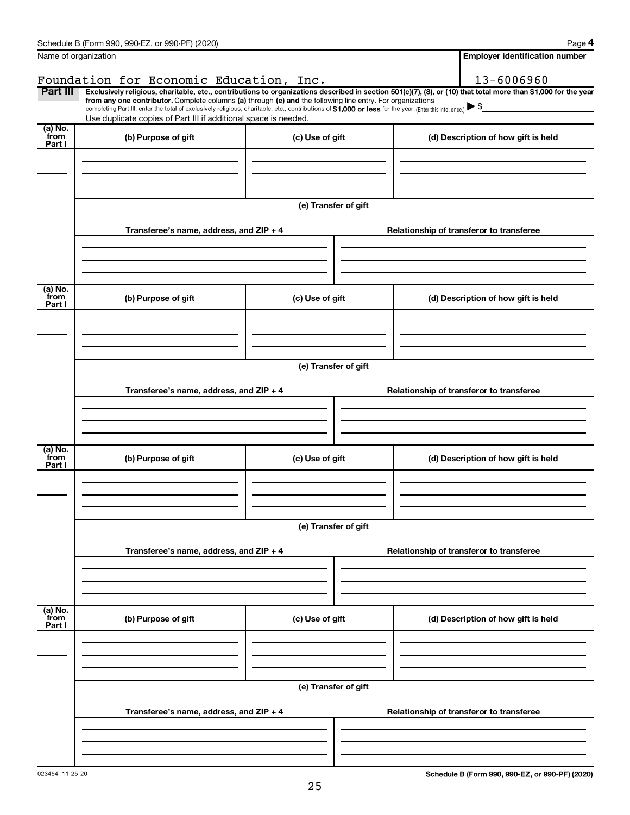|                           | Schedule B (Form 990, 990-EZ, or 990-PF) (2020)                                                                                                                                                                             |                      | Page 4                                                                                                                                                         |  |  |  |  |
|---------------------------|-----------------------------------------------------------------------------------------------------------------------------------------------------------------------------------------------------------------------------|----------------------|----------------------------------------------------------------------------------------------------------------------------------------------------------------|--|--|--|--|
|                           | Name of organization                                                                                                                                                                                                        |                      | <b>Employer identification number</b>                                                                                                                          |  |  |  |  |
|                           | Foundation for Economic Education, Inc.                                                                                                                                                                                     |                      | 13-6006960                                                                                                                                                     |  |  |  |  |
| Part III                  | from any one contributor. Complete columns (a) through (e) and the following line entry. For organizations                                                                                                                  |                      | Exclusively religious, charitable, etc., contributions to organizations described in section 501(c)(7), (8), or (10) that total more than \$1,000 for the year |  |  |  |  |
|                           | completing Part III, enter the total of exclusively religious, charitable, etc., contributions of \$1,000 or less for the year. (Enter this info. once.)<br>Use duplicate copies of Part III if additional space is needed. |                      |                                                                                                                                                                |  |  |  |  |
| (a) No.                   |                                                                                                                                                                                                                             |                      |                                                                                                                                                                |  |  |  |  |
| from<br>Part I            | (b) Purpose of gift                                                                                                                                                                                                         | (c) Use of gift      | (d) Description of how gift is held                                                                                                                            |  |  |  |  |
|                           |                                                                                                                                                                                                                             |                      |                                                                                                                                                                |  |  |  |  |
|                           |                                                                                                                                                                                                                             |                      |                                                                                                                                                                |  |  |  |  |
|                           |                                                                                                                                                                                                                             |                      |                                                                                                                                                                |  |  |  |  |
|                           |                                                                                                                                                                                                                             | (e) Transfer of gift |                                                                                                                                                                |  |  |  |  |
|                           | Transferee's name, address, and ZIP + 4                                                                                                                                                                                     |                      | Relationship of transferor to transferee                                                                                                                       |  |  |  |  |
|                           |                                                                                                                                                                                                                             |                      |                                                                                                                                                                |  |  |  |  |
|                           |                                                                                                                                                                                                                             |                      |                                                                                                                                                                |  |  |  |  |
|                           |                                                                                                                                                                                                                             |                      |                                                                                                                                                                |  |  |  |  |
| (a) No.<br>from           | (b) Purpose of gift<br>(c) Use of gift                                                                                                                                                                                      |                      | (d) Description of how gift is held                                                                                                                            |  |  |  |  |
| Part I                    |                                                                                                                                                                                                                             |                      |                                                                                                                                                                |  |  |  |  |
|                           |                                                                                                                                                                                                                             |                      |                                                                                                                                                                |  |  |  |  |
|                           |                                                                                                                                                                                                                             |                      |                                                                                                                                                                |  |  |  |  |
|                           | (e) Transfer of gift                                                                                                                                                                                                        |                      |                                                                                                                                                                |  |  |  |  |
|                           |                                                                                                                                                                                                                             |                      |                                                                                                                                                                |  |  |  |  |
|                           | Transferee's name, address, and ZIP + 4                                                                                                                                                                                     |                      | Relationship of transferor to transferee                                                                                                                       |  |  |  |  |
|                           |                                                                                                                                                                                                                             |                      |                                                                                                                                                                |  |  |  |  |
|                           |                                                                                                                                                                                                                             |                      |                                                                                                                                                                |  |  |  |  |
| (a) No.<br>from           |                                                                                                                                                                                                                             |                      |                                                                                                                                                                |  |  |  |  |
| Part I                    | (b) Purpose of gift                                                                                                                                                                                                         | (c) Use of gift      | (d) Description of how gift is held                                                                                                                            |  |  |  |  |
|                           |                                                                                                                                                                                                                             |                      |                                                                                                                                                                |  |  |  |  |
|                           |                                                                                                                                                                                                                             |                      |                                                                                                                                                                |  |  |  |  |
|                           |                                                                                                                                                                                                                             |                      |                                                                                                                                                                |  |  |  |  |
|                           |                                                                                                                                                                                                                             | (e) Transfer of gift |                                                                                                                                                                |  |  |  |  |
|                           | Transferee's name, address, and ZIP + 4                                                                                                                                                                                     |                      | Relationship of transferor to transferee                                                                                                                       |  |  |  |  |
|                           |                                                                                                                                                                                                                             |                      |                                                                                                                                                                |  |  |  |  |
|                           |                                                                                                                                                                                                                             |                      |                                                                                                                                                                |  |  |  |  |
|                           |                                                                                                                                                                                                                             |                      |                                                                                                                                                                |  |  |  |  |
| (a) No.<br>from<br>Part I | (b) Purpose of gift                                                                                                                                                                                                         | (c) Use of gift      | (d) Description of how gift is held                                                                                                                            |  |  |  |  |
|                           |                                                                                                                                                                                                                             |                      |                                                                                                                                                                |  |  |  |  |
|                           |                                                                                                                                                                                                                             |                      |                                                                                                                                                                |  |  |  |  |
|                           |                                                                                                                                                                                                                             |                      |                                                                                                                                                                |  |  |  |  |
|                           | (e) Transfer of gift                                                                                                                                                                                                        |                      |                                                                                                                                                                |  |  |  |  |
|                           | Transferee's name, address, and ZIP + 4                                                                                                                                                                                     |                      | Relationship of transferor to transferee                                                                                                                       |  |  |  |  |
|                           |                                                                                                                                                                                                                             |                      |                                                                                                                                                                |  |  |  |  |
|                           |                                                                                                                                                                                                                             |                      |                                                                                                                                                                |  |  |  |  |
|                           |                                                                                                                                                                                                                             |                      |                                                                                                                                                                |  |  |  |  |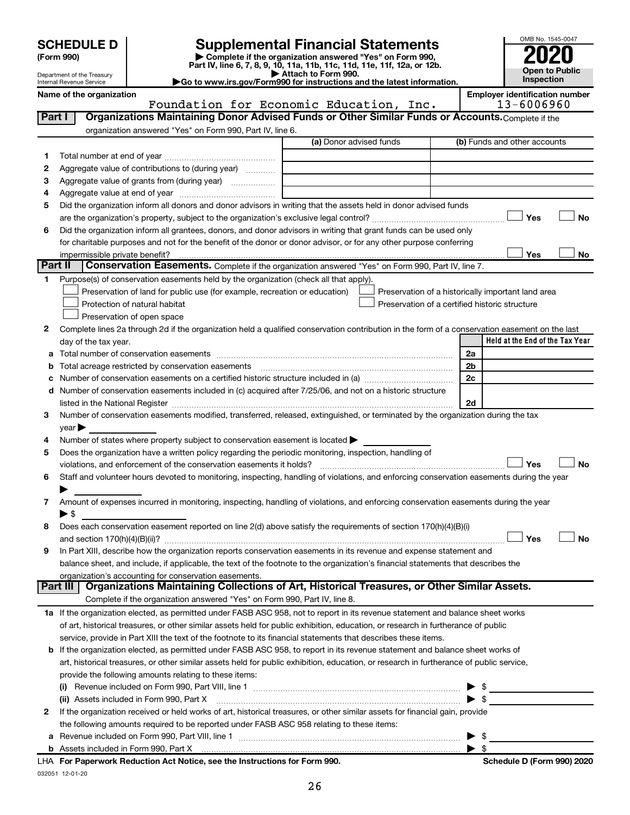| <b>SCHEDULE D</b> |  |
|-------------------|--|
|-------------------|--|

# **SCHEDULE D Supplemental Financial Statements**<br> **Form 990 2020**<br> **Part IV** line 6.7.8.9.10, 11a, 11b, 11d, 11d, 11d, 11d, 11d, 12a, 0r, 12b

**(Form 990) | Complete if the organization answered "Yes" on Form 990, Part IV, line 6, 7, 8, 9, 10, 11a, 11b, 11c, 11d, 11e, 11f, 12a, or 12b.**



| Department of the Treasury<br>Internal Revenue Service | $\blacktriangleright$ Attach to Form 990.<br>Go to www.irs.gov/Form990 for instructions and the latest information. | <b>ODEN TO PUBIIC</b><br><b>Inspection</b> |
|--------------------------------------------------------|---------------------------------------------------------------------------------------------------------------------|--------------------------------------------|
| Name of the organization                               |                                                                                                                     | <b>Employer identification number</b>      |
|                                                        | Foundation for Economic Education.<br>Inc.                                                                          | $13 - 6006960$                             |

| Part I  | Organizations Maintaining Donor Advised Funds or Other Similar Funds or Accounts. Complete if the                                              |                         |                                                    |
|---------|------------------------------------------------------------------------------------------------------------------------------------------------|-------------------------|----------------------------------------------------|
|         | organization answered "Yes" on Form 990, Part IV, line 6.                                                                                      |                         |                                                    |
|         |                                                                                                                                                | (a) Donor advised funds | (b) Funds and other accounts                       |
| 1       |                                                                                                                                                |                         |                                                    |
| 2       | Aggregate value of contributions to (during year)                                                                                              |                         |                                                    |
| з       | Aggregate value of grants from (during year)                                                                                                   |                         |                                                    |
| 4       |                                                                                                                                                |                         |                                                    |
| 5       | Did the organization inform all donors and donor advisors in writing that the assets held in donor advised funds                               |                         |                                                    |
|         |                                                                                                                                                |                         | Yes<br><b>No</b>                                   |
| 6       | Did the organization inform all grantees, donors, and donor advisors in writing that grant funds can be used only                              |                         |                                                    |
|         | for charitable purposes and not for the benefit of the donor or donor advisor, or for any other purpose conferring                             |                         |                                                    |
| Part II |                                                                                                                                                |                         | Yes<br>No                                          |
|         | Conservation Easements. Complete if the organization answered "Yes" on Form 990, Part IV, line 7.                                              |                         |                                                    |
| 1       | Purpose(s) of conservation easements held by the organization (check all that apply).                                                          |                         |                                                    |
|         | Preservation of land for public use (for example, recreation or education)                                                                     |                         | Preservation of a historically important land area |
|         | Protection of natural habitat                                                                                                                  |                         | Preservation of a certified historic structure     |
|         | Preservation of open space                                                                                                                     |                         |                                                    |
| 2       | Complete lines 2a through 2d if the organization held a qualified conservation contribution in the form of a conservation easement on the last |                         | Held at the End of the Tax Year                    |
|         | day of the tax year.                                                                                                                           |                         |                                                    |
| а       |                                                                                                                                                |                         | 2a<br>2 <sub>b</sub>                               |
| b       | Total acreage restricted by conservation easements [11] [12] matter and acreage restricted by conservation easements                           |                         | 2 <sub>c</sub>                                     |
|         | d Number of conservation easements included in (c) acquired after 7/25/06, and not on a historic structure                                     |                         |                                                    |
|         |                                                                                                                                                |                         | 2d                                                 |
| 3       | Number of conservation easements modified, transferred, released, extinguished, or terminated by the organization during the tax               |                         |                                                    |
|         | $year \triangleright$                                                                                                                          |                         |                                                    |
| 4       | Number of states where property subject to conservation easement is located >                                                                  |                         |                                                    |
| 5       | Does the organization have a written policy regarding the periodic monitoring, inspection, handling of                                         |                         |                                                    |
|         | violations, and enforcement of the conservation easements it holds?                                                                            |                         | Yes<br><b>No</b>                                   |
| 6       | Staff and volunteer hours devoted to monitoring, inspecting, handling of violations, and enforcing conservation easements during the year      |                         |                                                    |
|         |                                                                                                                                                |                         |                                                    |
| 7       | Amount of expenses incurred in monitoring, inspecting, handling of violations, and enforcing conservation easements during the year            |                         |                                                    |
|         | ▶ \$                                                                                                                                           |                         |                                                    |
| 8       | Does each conservation easement reported on line 2(d) above satisfy the requirements of section 170(h)(4)(B)(i)                                |                         |                                                    |
|         |                                                                                                                                                |                         | Yes<br><b>No</b>                                   |
| 9       | In Part XIII, describe how the organization reports conservation easements in its revenue and expense statement and                            |                         |                                                    |
|         | balance sheet, and include, if applicable, the text of the footnote to the organization's financial statements that describes the              |                         |                                                    |
|         | organization's accounting for conservation easements.                                                                                          |                         |                                                    |
|         | Organizations Maintaining Collections of Art, Historical Treasures, or Other Similar Assets.<br>Part III                                       |                         |                                                    |
|         | Complete if the organization answered "Yes" on Form 990, Part IV, line 8.                                                                      |                         |                                                    |
|         | 1a If the organization elected, as permitted under FASB ASC 958, not to report in its revenue statement and balance sheet works                |                         |                                                    |
|         | of art, historical treasures, or other similar assets held for public exhibition, education, or research in furtherance of public              |                         |                                                    |
|         | service, provide in Part XIII the text of the footnote to its financial statements that describes these items.                                 |                         |                                                    |
|         | b If the organization elected, as permitted under FASB ASC 958, to report in its revenue statement and balance sheet works of                  |                         |                                                    |
|         | art, historical treasures, or other similar assets held for public exhibition, education, or research in furtherance of public service,        |                         |                                                    |
|         | provide the following amounts relating to these items:                                                                                         |                         |                                                    |
|         |                                                                                                                                                |                         | \$                                                 |
|         | (ii) Assets included in Form 990, Part X                                                                                                       |                         | $\bullet$ \$                                       |
| 2       | If the organization received or held works of art, historical treasures, or other similar assets for financial gain, provide                   |                         |                                                    |
|         | the following amounts required to be reported under FASB ASC 958 relating to these items:                                                      |                         |                                                    |
|         |                                                                                                                                                |                         | \$                                                 |
|         | b Assets included in Form 990, Part X [11, 120] Marten and March 2014 March 2015 (120) March 2015 (120) March 2015                             |                         | $\blacktriangleright$ s                            |
|         | LHA For Paperwork Reduction Act Notice, see the Instructions for Form 990.                                                                     |                         | Schedule D (Form 990) 2020                         |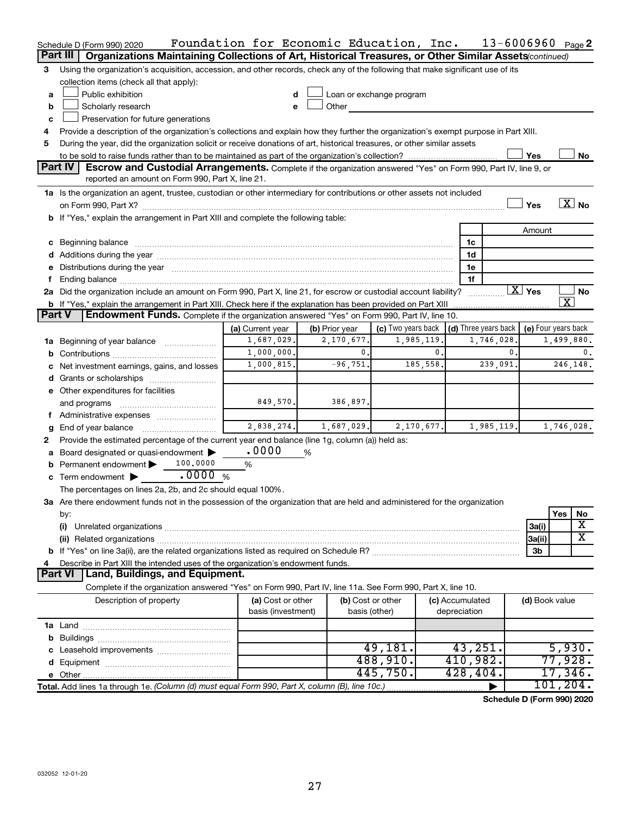| Part III<br>Organizations Maintaining Collections of Art, Historical Treasures, or Other Similar Assets (continued)<br>Using the organization's acquisition, accession, and other records, check any of the following that make significant use of its<br>3<br>collection items (check all that apply):<br>Public exhibition<br>Loan or exchange program<br>d<br>a<br>Scholarly research<br>Other<br>b<br>e<br>Preservation for future generations<br>c<br>Provide a description of the organization's collections and explain how they further the organization's exempt purpose in Part XIII.<br>During the year, did the organization solicit or receive donations of art, historical treasures, or other similar assets<br>5<br>Yes<br>No<br>Part IV<br>Escrow and Custodial Arrangements. Complete if the organization answered "Yes" on Form 990, Part IV, line 9, or<br>reported an amount on Form 990, Part X, line 21.<br>1a Is the organization an agent, trustee, custodian or other intermediary for contributions or other assets not included<br>$\boxed{\text{X}}$ No<br>Yes<br>b If "Yes," explain the arrangement in Part XIII and complete the following table:<br>Amount<br>1c<br>1d<br>e Distributions during the year manufactured and continuum and contained and the year manufactured and contained and the year manufactured and contained and contained and contained and contained and contained and contained<br>1e<br>1f<br>$\overline{X}$ Yes<br>2a Did the organization include an amount on Form 990, Part X, line 21, for escrow or custodial account liability?<br>No<br>x<br><b>b</b> If "Yes," explain the arrangement in Part XIII. Check here if the explanation has been provided on Part XIII<br><b>Part V</b><br>Endowment Funds. Complete if the organization answered "Yes" on Form 990, Part IV, line 10.<br>(c) Two years back $\vert$ (d) Three years back $\vert$<br>(e) Four years back<br>(a) Current year<br>(b) Prior year<br>1,687,029.<br>2,170,677.<br>1,985,119.<br>1,746,028.<br>1,499,880.<br>Beginning of year balance <i>manumman</i><br>1a<br>1,000,000.<br>0.<br>0.<br>$\mathbf{0}$ .<br>0.<br>b<br>185,558.<br>1,000,815.<br>$-96,751.$<br>239,091.<br>246,148.<br>c Net investment earnings, gains, and losses<br>e Other expenditures for facilities<br>849,570.<br>386,897.<br>and programs<br>Administrative expenses <i></i><br>τ.<br>2,838,274.<br>1,687,029.<br>2,170,677.<br>1,985,119.<br>1,746,028.<br>End of year balance<br>g<br>Provide the estimated percentage of the current year end balance (line 1g, column (a)) held as:<br>2<br>.0000<br>Board designated or quasi-endowment<br>%<br>100,0000<br>Permanent endowment<br>$\%$<br>.0000%<br>c Term endowment $\blacktriangleright$<br>The percentages on lines 2a, 2b, and 2c should equal 100%.<br>3a Are there endowment funds not in the possession of the organization that are held and administered for the organization<br>Yes<br>No<br>by:<br>х<br>3a(i)<br>(i)<br>x<br>3a(ii)<br>3b<br>Describe in Part XIII the intended uses of the organization's endowment funds.<br>4<br><b>Part VI</b><br>Land, Buildings, and Equipment.<br>Complete if the organization answered "Yes" on Form 990, Part IV, line 11a. See Form 990, Part X, line 10.<br>(b) Cost or other<br>Description of property<br>(a) Cost or other<br>(c) Accumulated<br>(d) Book value<br>basis (investment)<br>depreciation<br>basis (other)<br>43,251.<br>5,930.<br>49,181.<br>488,910.<br>77,928.<br>410,982.<br>445,750.<br>17,346.<br>428,404.<br>101, 204.<br>Total. Add lines 1a through 1e. (Column (d) must equal Form 990, Part X, column (B), line 10c.) | Schedule D (Form 990) 2020 | Foundation for Economic Education, Inc. |  | $13 - 6006960$ Page 2 |  |  |
|--------------------------------------------------------------------------------------------------------------------------------------------------------------------------------------------------------------------------------------------------------------------------------------------------------------------------------------------------------------------------------------------------------------------------------------------------------------------------------------------------------------------------------------------------------------------------------------------------------------------------------------------------------------------------------------------------------------------------------------------------------------------------------------------------------------------------------------------------------------------------------------------------------------------------------------------------------------------------------------------------------------------------------------------------------------------------------------------------------------------------------------------------------------------------------------------------------------------------------------------------------------------------------------------------------------------------------------------------------------------------------------------------------------------------------------------------------------------------------------------------------------------------------------------------------------------------------------------------------------------------------------------------------------------------------------------------------------------------------------------------------------------------------------------------------------------------------------------------------------------------------------------------------------------------------------------------------------------------------------------------------------------------------------------------------------------------------------------------------------------------------------------------------------------------------------------------------------------------------------------------------------------------------------------------------------------------------------------------------------------------------------------------------------------------------------------------------------------------------------------------------------------------------------------------------------------------------------------------------------------------------------------------------------------------------------------------------------------------------------------------------------------------------------------------------------------------------------------------------------------------------------------------------------------------------------------------------------------------------------------------------------------------------------------------------------------------------------------------------------------------------------------------------------------------------------------------------------------------------------------------------------------------------------------------------------------------------------------------------------------------------------------------------------------------------------------------------------------------------------------------------------------------------------------------------------------------------------------------------------------------------------------------------------------------------|----------------------------|-----------------------------------------|--|-----------------------|--|--|
|                                                                                                                                                                                                                                                                                                                                                                                                                                                                                                                                                                                                                                                                                                                                                                                                                                                                                                                                                                                                                                                                                                                                                                                                                                                                                                                                                                                                                                                                                                                                                                                                                                                                                                                                                                                                                                                                                                                                                                                                                                                                                                                                                                                                                                                                                                                                                                                                                                                                                                                                                                                                                                                                                                                                                                                                                                                                                                                                                                                                                                                                                                                                                                                                                                                                                                                                                                                                                                                                                                                                                                                                                                                                                |                            |                                         |  |                       |  |  |
|                                                                                                                                                                                                                                                                                                                                                                                                                                                                                                                                                                                                                                                                                                                                                                                                                                                                                                                                                                                                                                                                                                                                                                                                                                                                                                                                                                                                                                                                                                                                                                                                                                                                                                                                                                                                                                                                                                                                                                                                                                                                                                                                                                                                                                                                                                                                                                                                                                                                                                                                                                                                                                                                                                                                                                                                                                                                                                                                                                                                                                                                                                                                                                                                                                                                                                                                                                                                                                                                                                                                                                                                                                                                                |                            |                                         |  |                       |  |  |
|                                                                                                                                                                                                                                                                                                                                                                                                                                                                                                                                                                                                                                                                                                                                                                                                                                                                                                                                                                                                                                                                                                                                                                                                                                                                                                                                                                                                                                                                                                                                                                                                                                                                                                                                                                                                                                                                                                                                                                                                                                                                                                                                                                                                                                                                                                                                                                                                                                                                                                                                                                                                                                                                                                                                                                                                                                                                                                                                                                                                                                                                                                                                                                                                                                                                                                                                                                                                                                                                                                                                                                                                                                                                                |                            |                                         |  |                       |  |  |
|                                                                                                                                                                                                                                                                                                                                                                                                                                                                                                                                                                                                                                                                                                                                                                                                                                                                                                                                                                                                                                                                                                                                                                                                                                                                                                                                                                                                                                                                                                                                                                                                                                                                                                                                                                                                                                                                                                                                                                                                                                                                                                                                                                                                                                                                                                                                                                                                                                                                                                                                                                                                                                                                                                                                                                                                                                                                                                                                                                                                                                                                                                                                                                                                                                                                                                                                                                                                                                                                                                                                                                                                                                                                                |                            |                                         |  |                       |  |  |
|                                                                                                                                                                                                                                                                                                                                                                                                                                                                                                                                                                                                                                                                                                                                                                                                                                                                                                                                                                                                                                                                                                                                                                                                                                                                                                                                                                                                                                                                                                                                                                                                                                                                                                                                                                                                                                                                                                                                                                                                                                                                                                                                                                                                                                                                                                                                                                                                                                                                                                                                                                                                                                                                                                                                                                                                                                                                                                                                                                                                                                                                                                                                                                                                                                                                                                                                                                                                                                                                                                                                                                                                                                                                                |                            |                                         |  |                       |  |  |
|                                                                                                                                                                                                                                                                                                                                                                                                                                                                                                                                                                                                                                                                                                                                                                                                                                                                                                                                                                                                                                                                                                                                                                                                                                                                                                                                                                                                                                                                                                                                                                                                                                                                                                                                                                                                                                                                                                                                                                                                                                                                                                                                                                                                                                                                                                                                                                                                                                                                                                                                                                                                                                                                                                                                                                                                                                                                                                                                                                                                                                                                                                                                                                                                                                                                                                                                                                                                                                                                                                                                                                                                                                                                                |                            |                                         |  |                       |  |  |
|                                                                                                                                                                                                                                                                                                                                                                                                                                                                                                                                                                                                                                                                                                                                                                                                                                                                                                                                                                                                                                                                                                                                                                                                                                                                                                                                                                                                                                                                                                                                                                                                                                                                                                                                                                                                                                                                                                                                                                                                                                                                                                                                                                                                                                                                                                                                                                                                                                                                                                                                                                                                                                                                                                                                                                                                                                                                                                                                                                                                                                                                                                                                                                                                                                                                                                                                                                                                                                                                                                                                                                                                                                                                                |                            |                                         |  |                       |  |  |
|                                                                                                                                                                                                                                                                                                                                                                                                                                                                                                                                                                                                                                                                                                                                                                                                                                                                                                                                                                                                                                                                                                                                                                                                                                                                                                                                                                                                                                                                                                                                                                                                                                                                                                                                                                                                                                                                                                                                                                                                                                                                                                                                                                                                                                                                                                                                                                                                                                                                                                                                                                                                                                                                                                                                                                                                                                                                                                                                                                                                                                                                                                                                                                                                                                                                                                                                                                                                                                                                                                                                                                                                                                                                                |                            |                                         |  |                       |  |  |
|                                                                                                                                                                                                                                                                                                                                                                                                                                                                                                                                                                                                                                                                                                                                                                                                                                                                                                                                                                                                                                                                                                                                                                                                                                                                                                                                                                                                                                                                                                                                                                                                                                                                                                                                                                                                                                                                                                                                                                                                                                                                                                                                                                                                                                                                                                                                                                                                                                                                                                                                                                                                                                                                                                                                                                                                                                                                                                                                                                                                                                                                                                                                                                                                                                                                                                                                                                                                                                                                                                                                                                                                                                                                                |                            |                                         |  |                       |  |  |
|                                                                                                                                                                                                                                                                                                                                                                                                                                                                                                                                                                                                                                                                                                                                                                                                                                                                                                                                                                                                                                                                                                                                                                                                                                                                                                                                                                                                                                                                                                                                                                                                                                                                                                                                                                                                                                                                                                                                                                                                                                                                                                                                                                                                                                                                                                                                                                                                                                                                                                                                                                                                                                                                                                                                                                                                                                                                                                                                                                                                                                                                                                                                                                                                                                                                                                                                                                                                                                                                                                                                                                                                                                                                                |                            |                                         |  |                       |  |  |
|                                                                                                                                                                                                                                                                                                                                                                                                                                                                                                                                                                                                                                                                                                                                                                                                                                                                                                                                                                                                                                                                                                                                                                                                                                                                                                                                                                                                                                                                                                                                                                                                                                                                                                                                                                                                                                                                                                                                                                                                                                                                                                                                                                                                                                                                                                                                                                                                                                                                                                                                                                                                                                                                                                                                                                                                                                                                                                                                                                                                                                                                                                                                                                                                                                                                                                                                                                                                                                                                                                                                                                                                                                                                                |                            |                                         |  |                       |  |  |
|                                                                                                                                                                                                                                                                                                                                                                                                                                                                                                                                                                                                                                                                                                                                                                                                                                                                                                                                                                                                                                                                                                                                                                                                                                                                                                                                                                                                                                                                                                                                                                                                                                                                                                                                                                                                                                                                                                                                                                                                                                                                                                                                                                                                                                                                                                                                                                                                                                                                                                                                                                                                                                                                                                                                                                                                                                                                                                                                                                                                                                                                                                                                                                                                                                                                                                                                                                                                                                                                                                                                                                                                                                                                                |                            |                                         |  |                       |  |  |
|                                                                                                                                                                                                                                                                                                                                                                                                                                                                                                                                                                                                                                                                                                                                                                                                                                                                                                                                                                                                                                                                                                                                                                                                                                                                                                                                                                                                                                                                                                                                                                                                                                                                                                                                                                                                                                                                                                                                                                                                                                                                                                                                                                                                                                                                                                                                                                                                                                                                                                                                                                                                                                                                                                                                                                                                                                                                                                                                                                                                                                                                                                                                                                                                                                                                                                                                                                                                                                                                                                                                                                                                                                                                                |                            |                                         |  |                       |  |  |
|                                                                                                                                                                                                                                                                                                                                                                                                                                                                                                                                                                                                                                                                                                                                                                                                                                                                                                                                                                                                                                                                                                                                                                                                                                                                                                                                                                                                                                                                                                                                                                                                                                                                                                                                                                                                                                                                                                                                                                                                                                                                                                                                                                                                                                                                                                                                                                                                                                                                                                                                                                                                                                                                                                                                                                                                                                                                                                                                                                                                                                                                                                                                                                                                                                                                                                                                                                                                                                                                                                                                                                                                                                                                                |                            |                                         |  |                       |  |  |
|                                                                                                                                                                                                                                                                                                                                                                                                                                                                                                                                                                                                                                                                                                                                                                                                                                                                                                                                                                                                                                                                                                                                                                                                                                                                                                                                                                                                                                                                                                                                                                                                                                                                                                                                                                                                                                                                                                                                                                                                                                                                                                                                                                                                                                                                                                                                                                                                                                                                                                                                                                                                                                                                                                                                                                                                                                                                                                                                                                                                                                                                                                                                                                                                                                                                                                                                                                                                                                                                                                                                                                                                                                                                                |                            |                                         |  |                       |  |  |
|                                                                                                                                                                                                                                                                                                                                                                                                                                                                                                                                                                                                                                                                                                                                                                                                                                                                                                                                                                                                                                                                                                                                                                                                                                                                                                                                                                                                                                                                                                                                                                                                                                                                                                                                                                                                                                                                                                                                                                                                                                                                                                                                                                                                                                                                                                                                                                                                                                                                                                                                                                                                                                                                                                                                                                                                                                                                                                                                                                                                                                                                                                                                                                                                                                                                                                                                                                                                                                                                                                                                                                                                                                                                                |                            |                                         |  |                       |  |  |
|                                                                                                                                                                                                                                                                                                                                                                                                                                                                                                                                                                                                                                                                                                                                                                                                                                                                                                                                                                                                                                                                                                                                                                                                                                                                                                                                                                                                                                                                                                                                                                                                                                                                                                                                                                                                                                                                                                                                                                                                                                                                                                                                                                                                                                                                                                                                                                                                                                                                                                                                                                                                                                                                                                                                                                                                                                                                                                                                                                                                                                                                                                                                                                                                                                                                                                                                                                                                                                                                                                                                                                                                                                                                                |                            |                                         |  |                       |  |  |
|                                                                                                                                                                                                                                                                                                                                                                                                                                                                                                                                                                                                                                                                                                                                                                                                                                                                                                                                                                                                                                                                                                                                                                                                                                                                                                                                                                                                                                                                                                                                                                                                                                                                                                                                                                                                                                                                                                                                                                                                                                                                                                                                                                                                                                                                                                                                                                                                                                                                                                                                                                                                                                                                                                                                                                                                                                                                                                                                                                                                                                                                                                                                                                                                                                                                                                                                                                                                                                                                                                                                                                                                                                                                                |                            |                                         |  |                       |  |  |
|                                                                                                                                                                                                                                                                                                                                                                                                                                                                                                                                                                                                                                                                                                                                                                                                                                                                                                                                                                                                                                                                                                                                                                                                                                                                                                                                                                                                                                                                                                                                                                                                                                                                                                                                                                                                                                                                                                                                                                                                                                                                                                                                                                                                                                                                                                                                                                                                                                                                                                                                                                                                                                                                                                                                                                                                                                                                                                                                                                                                                                                                                                                                                                                                                                                                                                                                                                                                                                                                                                                                                                                                                                                                                |                            |                                         |  |                       |  |  |
|                                                                                                                                                                                                                                                                                                                                                                                                                                                                                                                                                                                                                                                                                                                                                                                                                                                                                                                                                                                                                                                                                                                                                                                                                                                                                                                                                                                                                                                                                                                                                                                                                                                                                                                                                                                                                                                                                                                                                                                                                                                                                                                                                                                                                                                                                                                                                                                                                                                                                                                                                                                                                                                                                                                                                                                                                                                                                                                                                                                                                                                                                                                                                                                                                                                                                                                                                                                                                                                                                                                                                                                                                                                                                |                            |                                         |  |                       |  |  |
|                                                                                                                                                                                                                                                                                                                                                                                                                                                                                                                                                                                                                                                                                                                                                                                                                                                                                                                                                                                                                                                                                                                                                                                                                                                                                                                                                                                                                                                                                                                                                                                                                                                                                                                                                                                                                                                                                                                                                                                                                                                                                                                                                                                                                                                                                                                                                                                                                                                                                                                                                                                                                                                                                                                                                                                                                                                                                                                                                                                                                                                                                                                                                                                                                                                                                                                                                                                                                                                                                                                                                                                                                                                                                |                            |                                         |  |                       |  |  |
|                                                                                                                                                                                                                                                                                                                                                                                                                                                                                                                                                                                                                                                                                                                                                                                                                                                                                                                                                                                                                                                                                                                                                                                                                                                                                                                                                                                                                                                                                                                                                                                                                                                                                                                                                                                                                                                                                                                                                                                                                                                                                                                                                                                                                                                                                                                                                                                                                                                                                                                                                                                                                                                                                                                                                                                                                                                                                                                                                                                                                                                                                                                                                                                                                                                                                                                                                                                                                                                                                                                                                                                                                                                                                |                            |                                         |  |                       |  |  |
|                                                                                                                                                                                                                                                                                                                                                                                                                                                                                                                                                                                                                                                                                                                                                                                                                                                                                                                                                                                                                                                                                                                                                                                                                                                                                                                                                                                                                                                                                                                                                                                                                                                                                                                                                                                                                                                                                                                                                                                                                                                                                                                                                                                                                                                                                                                                                                                                                                                                                                                                                                                                                                                                                                                                                                                                                                                                                                                                                                                                                                                                                                                                                                                                                                                                                                                                                                                                                                                                                                                                                                                                                                                                                |                            |                                         |  |                       |  |  |
|                                                                                                                                                                                                                                                                                                                                                                                                                                                                                                                                                                                                                                                                                                                                                                                                                                                                                                                                                                                                                                                                                                                                                                                                                                                                                                                                                                                                                                                                                                                                                                                                                                                                                                                                                                                                                                                                                                                                                                                                                                                                                                                                                                                                                                                                                                                                                                                                                                                                                                                                                                                                                                                                                                                                                                                                                                                                                                                                                                                                                                                                                                                                                                                                                                                                                                                                                                                                                                                                                                                                                                                                                                                                                |                            |                                         |  |                       |  |  |
|                                                                                                                                                                                                                                                                                                                                                                                                                                                                                                                                                                                                                                                                                                                                                                                                                                                                                                                                                                                                                                                                                                                                                                                                                                                                                                                                                                                                                                                                                                                                                                                                                                                                                                                                                                                                                                                                                                                                                                                                                                                                                                                                                                                                                                                                                                                                                                                                                                                                                                                                                                                                                                                                                                                                                                                                                                                                                                                                                                                                                                                                                                                                                                                                                                                                                                                                                                                                                                                                                                                                                                                                                                                                                |                            |                                         |  |                       |  |  |
|                                                                                                                                                                                                                                                                                                                                                                                                                                                                                                                                                                                                                                                                                                                                                                                                                                                                                                                                                                                                                                                                                                                                                                                                                                                                                                                                                                                                                                                                                                                                                                                                                                                                                                                                                                                                                                                                                                                                                                                                                                                                                                                                                                                                                                                                                                                                                                                                                                                                                                                                                                                                                                                                                                                                                                                                                                                                                                                                                                                                                                                                                                                                                                                                                                                                                                                                                                                                                                                                                                                                                                                                                                                                                |                            |                                         |  |                       |  |  |
|                                                                                                                                                                                                                                                                                                                                                                                                                                                                                                                                                                                                                                                                                                                                                                                                                                                                                                                                                                                                                                                                                                                                                                                                                                                                                                                                                                                                                                                                                                                                                                                                                                                                                                                                                                                                                                                                                                                                                                                                                                                                                                                                                                                                                                                                                                                                                                                                                                                                                                                                                                                                                                                                                                                                                                                                                                                                                                                                                                                                                                                                                                                                                                                                                                                                                                                                                                                                                                                                                                                                                                                                                                                                                |                            |                                         |  |                       |  |  |
|                                                                                                                                                                                                                                                                                                                                                                                                                                                                                                                                                                                                                                                                                                                                                                                                                                                                                                                                                                                                                                                                                                                                                                                                                                                                                                                                                                                                                                                                                                                                                                                                                                                                                                                                                                                                                                                                                                                                                                                                                                                                                                                                                                                                                                                                                                                                                                                                                                                                                                                                                                                                                                                                                                                                                                                                                                                                                                                                                                                                                                                                                                                                                                                                                                                                                                                                                                                                                                                                                                                                                                                                                                                                                |                            |                                         |  |                       |  |  |
|                                                                                                                                                                                                                                                                                                                                                                                                                                                                                                                                                                                                                                                                                                                                                                                                                                                                                                                                                                                                                                                                                                                                                                                                                                                                                                                                                                                                                                                                                                                                                                                                                                                                                                                                                                                                                                                                                                                                                                                                                                                                                                                                                                                                                                                                                                                                                                                                                                                                                                                                                                                                                                                                                                                                                                                                                                                                                                                                                                                                                                                                                                                                                                                                                                                                                                                                                                                                                                                                                                                                                                                                                                                                                |                            |                                         |  |                       |  |  |
|                                                                                                                                                                                                                                                                                                                                                                                                                                                                                                                                                                                                                                                                                                                                                                                                                                                                                                                                                                                                                                                                                                                                                                                                                                                                                                                                                                                                                                                                                                                                                                                                                                                                                                                                                                                                                                                                                                                                                                                                                                                                                                                                                                                                                                                                                                                                                                                                                                                                                                                                                                                                                                                                                                                                                                                                                                                                                                                                                                                                                                                                                                                                                                                                                                                                                                                                                                                                                                                                                                                                                                                                                                                                                |                            |                                         |  |                       |  |  |
|                                                                                                                                                                                                                                                                                                                                                                                                                                                                                                                                                                                                                                                                                                                                                                                                                                                                                                                                                                                                                                                                                                                                                                                                                                                                                                                                                                                                                                                                                                                                                                                                                                                                                                                                                                                                                                                                                                                                                                                                                                                                                                                                                                                                                                                                                                                                                                                                                                                                                                                                                                                                                                                                                                                                                                                                                                                                                                                                                                                                                                                                                                                                                                                                                                                                                                                                                                                                                                                                                                                                                                                                                                                                                |                            |                                         |  |                       |  |  |
|                                                                                                                                                                                                                                                                                                                                                                                                                                                                                                                                                                                                                                                                                                                                                                                                                                                                                                                                                                                                                                                                                                                                                                                                                                                                                                                                                                                                                                                                                                                                                                                                                                                                                                                                                                                                                                                                                                                                                                                                                                                                                                                                                                                                                                                                                                                                                                                                                                                                                                                                                                                                                                                                                                                                                                                                                                                                                                                                                                                                                                                                                                                                                                                                                                                                                                                                                                                                                                                                                                                                                                                                                                                                                |                            |                                         |  |                       |  |  |
|                                                                                                                                                                                                                                                                                                                                                                                                                                                                                                                                                                                                                                                                                                                                                                                                                                                                                                                                                                                                                                                                                                                                                                                                                                                                                                                                                                                                                                                                                                                                                                                                                                                                                                                                                                                                                                                                                                                                                                                                                                                                                                                                                                                                                                                                                                                                                                                                                                                                                                                                                                                                                                                                                                                                                                                                                                                                                                                                                                                                                                                                                                                                                                                                                                                                                                                                                                                                                                                                                                                                                                                                                                                                                |                            |                                         |  |                       |  |  |
|                                                                                                                                                                                                                                                                                                                                                                                                                                                                                                                                                                                                                                                                                                                                                                                                                                                                                                                                                                                                                                                                                                                                                                                                                                                                                                                                                                                                                                                                                                                                                                                                                                                                                                                                                                                                                                                                                                                                                                                                                                                                                                                                                                                                                                                                                                                                                                                                                                                                                                                                                                                                                                                                                                                                                                                                                                                                                                                                                                                                                                                                                                                                                                                                                                                                                                                                                                                                                                                                                                                                                                                                                                                                                |                            |                                         |  |                       |  |  |
|                                                                                                                                                                                                                                                                                                                                                                                                                                                                                                                                                                                                                                                                                                                                                                                                                                                                                                                                                                                                                                                                                                                                                                                                                                                                                                                                                                                                                                                                                                                                                                                                                                                                                                                                                                                                                                                                                                                                                                                                                                                                                                                                                                                                                                                                                                                                                                                                                                                                                                                                                                                                                                                                                                                                                                                                                                                                                                                                                                                                                                                                                                                                                                                                                                                                                                                                                                                                                                                                                                                                                                                                                                                                                |                            |                                         |  |                       |  |  |
|                                                                                                                                                                                                                                                                                                                                                                                                                                                                                                                                                                                                                                                                                                                                                                                                                                                                                                                                                                                                                                                                                                                                                                                                                                                                                                                                                                                                                                                                                                                                                                                                                                                                                                                                                                                                                                                                                                                                                                                                                                                                                                                                                                                                                                                                                                                                                                                                                                                                                                                                                                                                                                                                                                                                                                                                                                                                                                                                                                                                                                                                                                                                                                                                                                                                                                                                                                                                                                                                                                                                                                                                                                                                                |                            |                                         |  |                       |  |  |
|                                                                                                                                                                                                                                                                                                                                                                                                                                                                                                                                                                                                                                                                                                                                                                                                                                                                                                                                                                                                                                                                                                                                                                                                                                                                                                                                                                                                                                                                                                                                                                                                                                                                                                                                                                                                                                                                                                                                                                                                                                                                                                                                                                                                                                                                                                                                                                                                                                                                                                                                                                                                                                                                                                                                                                                                                                                                                                                                                                                                                                                                                                                                                                                                                                                                                                                                                                                                                                                                                                                                                                                                                                                                                |                            |                                         |  |                       |  |  |
|                                                                                                                                                                                                                                                                                                                                                                                                                                                                                                                                                                                                                                                                                                                                                                                                                                                                                                                                                                                                                                                                                                                                                                                                                                                                                                                                                                                                                                                                                                                                                                                                                                                                                                                                                                                                                                                                                                                                                                                                                                                                                                                                                                                                                                                                                                                                                                                                                                                                                                                                                                                                                                                                                                                                                                                                                                                                                                                                                                                                                                                                                                                                                                                                                                                                                                                                                                                                                                                                                                                                                                                                                                                                                |                            |                                         |  |                       |  |  |
|                                                                                                                                                                                                                                                                                                                                                                                                                                                                                                                                                                                                                                                                                                                                                                                                                                                                                                                                                                                                                                                                                                                                                                                                                                                                                                                                                                                                                                                                                                                                                                                                                                                                                                                                                                                                                                                                                                                                                                                                                                                                                                                                                                                                                                                                                                                                                                                                                                                                                                                                                                                                                                                                                                                                                                                                                                                                                                                                                                                                                                                                                                                                                                                                                                                                                                                                                                                                                                                                                                                                                                                                                                                                                |                            |                                         |  |                       |  |  |
|                                                                                                                                                                                                                                                                                                                                                                                                                                                                                                                                                                                                                                                                                                                                                                                                                                                                                                                                                                                                                                                                                                                                                                                                                                                                                                                                                                                                                                                                                                                                                                                                                                                                                                                                                                                                                                                                                                                                                                                                                                                                                                                                                                                                                                                                                                                                                                                                                                                                                                                                                                                                                                                                                                                                                                                                                                                                                                                                                                                                                                                                                                                                                                                                                                                                                                                                                                                                                                                                                                                                                                                                                                                                                |                            |                                         |  |                       |  |  |
|                                                                                                                                                                                                                                                                                                                                                                                                                                                                                                                                                                                                                                                                                                                                                                                                                                                                                                                                                                                                                                                                                                                                                                                                                                                                                                                                                                                                                                                                                                                                                                                                                                                                                                                                                                                                                                                                                                                                                                                                                                                                                                                                                                                                                                                                                                                                                                                                                                                                                                                                                                                                                                                                                                                                                                                                                                                                                                                                                                                                                                                                                                                                                                                                                                                                                                                                                                                                                                                                                                                                                                                                                                                                                |                            |                                         |  |                       |  |  |
|                                                                                                                                                                                                                                                                                                                                                                                                                                                                                                                                                                                                                                                                                                                                                                                                                                                                                                                                                                                                                                                                                                                                                                                                                                                                                                                                                                                                                                                                                                                                                                                                                                                                                                                                                                                                                                                                                                                                                                                                                                                                                                                                                                                                                                                                                                                                                                                                                                                                                                                                                                                                                                                                                                                                                                                                                                                                                                                                                                                                                                                                                                                                                                                                                                                                                                                                                                                                                                                                                                                                                                                                                                                                                |                            |                                         |  |                       |  |  |
|                                                                                                                                                                                                                                                                                                                                                                                                                                                                                                                                                                                                                                                                                                                                                                                                                                                                                                                                                                                                                                                                                                                                                                                                                                                                                                                                                                                                                                                                                                                                                                                                                                                                                                                                                                                                                                                                                                                                                                                                                                                                                                                                                                                                                                                                                                                                                                                                                                                                                                                                                                                                                                                                                                                                                                                                                                                                                                                                                                                                                                                                                                                                                                                                                                                                                                                                                                                                                                                                                                                                                                                                                                                                                |                            |                                         |  |                       |  |  |
|                                                                                                                                                                                                                                                                                                                                                                                                                                                                                                                                                                                                                                                                                                                                                                                                                                                                                                                                                                                                                                                                                                                                                                                                                                                                                                                                                                                                                                                                                                                                                                                                                                                                                                                                                                                                                                                                                                                                                                                                                                                                                                                                                                                                                                                                                                                                                                                                                                                                                                                                                                                                                                                                                                                                                                                                                                                                                                                                                                                                                                                                                                                                                                                                                                                                                                                                                                                                                                                                                                                                                                                                                                                                                |                            |                                         |  |                       |  |  |
|                                                                                                                                                                                                                                                                                                                                                                                                                                                                                                                                                                                                                                                                                                                                                                                                                                                                                                                                                                                                                                                                                                                                                                                                                                                                                                                                                                                                                                                                                                                                                                                                                                                                                                                                                                                                                                                                                                                                                                                                                                                                                                                                                                                                                                                                                                                                                                                                                                                                                                                                                                                                                                                                                                                                                                                                                                                                                                                                                                                                                                                                                                                                                                                                                                                                                                                                                                                                                                                                                                                                                                                                                                                                                |                            |                                         |  |                       |  |  |
|                                                                                                                                                                                                                                                                                                                                                                                                                                                                                                                                                                                                                                                                                                                                                                                                                                                                                                                                                                                                                                                                                                                                                                                                                                                                                                                                                                                                                                                                                                                                                                                                                                                                                                                                                                                                                                                                                                                                                                                                                                                                                                                                                                                                                                                                                                                                                                                                                                                                                                                                                                                                                                                                                                                                                                                                                                                                                                                                                                                                                                                                                                                                                                                                                                                                                                                                                                                                                                                                                                                                                                                                                                                                                |                            |                                         |  |                       |  |  |
|                                                                                                                                                                                                                                                                                                                                                                                                                                                                                                                                                                                                                                                                                                                                                                                                                                                                                                                                                                                                                                                                                                                                                                                                                                                                                                                                                                                                                                                                                                                                                                                                                                                                                                                                                                                                                                                                                                                                                                                                                                                                                                                                                                                                                                                                                                                                                                                                                                                                                                                                                                                                                                                                                                                                                                                                                                                                                                                                                                                                                                                                                                                                                                                                                                                                                                                                                                                                                                                                                                                                                                                                                                                                                |                            |                                         |  |                       |  |  |
|                                                                                                                                                                                                                                                                                                                                                                                                                                                                                                                                                                                                                                                                                                                                                                                                                                                                                                                                                                                                                                                                                                                                                                                                                                                                                                                                                                                                                                                                                                                                                                                                                                                                                                                                                                                                                                                                                                                                                                                                                                                                                                                                                                                                                                                                                                                                                                                                                                                                                                                                                                                                                                                                                                                                                                                                                                                                                                                                                                                                                                                                                                                                                                                                                                                                                                                                                                                                                                                                                                                                                                                                                                                                                |                            |                                         |  |                       |  |  |
|                                                                                                                                                                                                                                                                                                                                                                                                                                                                                                                                                                                                                                                                                                                                                                                                                                                                                                                                                                                                                                                                                                                                                                                                                                                                                                                                                                                                                                                                                                                                                                                                                                                                                                                                                                                                                                                                                                                                                                                                                                                                                                                                                                                                                                                                                                                                                                                                                                                                                                                                                                                                                                                                                                                                                                                                                                                                                                                                                                                                                                                                                                                                                                                                                                                                                                                                                                                                                                                                                                                                                                                                                                                                                |                            |                                         |  |                       |  |  |
|                                                                                                                                                                                                                                                                                                                                                                                                                                                                                                                                                                                                                                                                                                                                                                                                                                                                                                                                                                                                                                                                                                                                                                                                                                                                                                                                                                                                                                                                                                                                                                                                                                                                                                                                                                                                                                                                                                                                                                                                                                                                                                                                                                                                                                                                                                                                                                                                                                                                                                                                                                                                                                                                                                                                                                                                                                                                                                                                                                                                                                                                                                                                                                                                                                                                                                                                                                                                                                                                                                                                                                                                                                                                                |                            |                                         |  |                       |  |  |

**Schedule D (Form 990) 2020**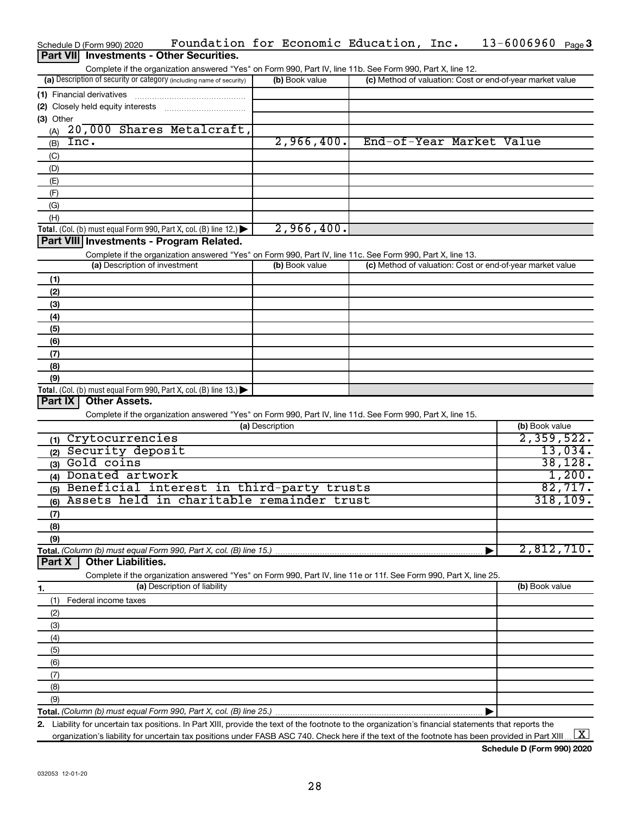|                  | Schedule D (Form 990) 2020    | Foundation for Economic Education, Inc.                                                                                                              |                 |                |  | 13-6006960                                                | Page $3$  |
|------------------|-------------------------------|------------------------------------------------------------------------------------------------------------------------------------------------------|-----------------|----------------|--|-----------------------------------------------------------|-----------|
| <b>Part VIII</b> |                               | <b>Investments - Other Securities.</b>                                                                                                               |                 |                |  |                                                           |           |
|                  |                               | Complete if the organization answered "Yes" on Form 990, Part IV, line 11b. See Form 990, Part X, line 12.                                           |                 |                |  |                                                           |           |
|                  |                               | (a) Description of security or category (including name of security)                                                                                 |                 | (b) Book value |  | (c) Method of valuation: Cost or end-of-year market value |           |
|                  | (1) Financial derivatives     |                                                                                                                                                      |                 |                |  |                                                           |           |
|                  |                               |                                                                                                                                                      |                 |                |  |                                                           |           |
| (3) Other        |                               |                                                                                                                                                      |                 |                |  |                                                           |           |
| (A)              |                               | 20,000 Shares Metalcraft,                                                                                                                            |                 |                |  |                                                           |           |
| (B)              | Inc.                          |                                                                                                                                                      |                 | 2,966,400.     |  | End-of-Year Market Value                                  |           |
| (C)              |                               |                                                                                                                                                      |                 |                |  |                                                           |           |
| (D)              |                               |                                                                                                                                                      |                 |                |  |                                                           |           |
| (E)              |                               |                                                                                                                                                      |                 |                |  |                                                           |           |
|                  |                               |                                                                                                                                                      |                 |                |  |                                                           |           |
| (F)<br>(G)       |                               |                                                                                                                                                      |                 |                |  |                                                           |           |
| (H)              |                               |                                                                                                                                                      |                 |                |  |                                                           |           |
|                  |                               |                                                                                                                                                      |                 | 2,966,400.     |  |                                                           |           |
|                  |                               | Total. (Col. (b) must equal Form 990, Part X, col. (B) line 12.)<br>Part VIII Investments - Program Related.                                         |                 |                |  |                                                           |           |
|                  |                               |                                                                                                                                                      |                 |                |  |                                                           |           |
|                  | (a) Description of investment | Complete if the organization answered "Yes" on Form 990, Part IV, line 11c. See Form 990, Part X, line 13.                                           |                 | (b) Book value |  | (c) Method of valuation: Cost or end-of-year market value |           |
|                  |                               |                                                                                                                                                      |                 |                |  |                                                           |           |
| (1)              |                               |                                                                                                                                                      |                 |                |  |                                                           |           |
| (2)              |                               |                                                                                                                                                      |                 |                |  |                                                           |           |
| (3)              |                               |                                                                                                                                                      |                 |                |  |                                                           |           |
| (4)              |                               |                                                                                                                                                      |                 |                |  |                                                           |           |
| (5)              |                               |                                                                                                                                                      |                 |                |  |                                                           |           |
| (6)              |                               |                                                                                                                                                      |                 |                |  |                                                           |           |
| (7)              |                               |                                                                                                                                                      |                 |                |  |                                                           |           |
| (8)              |                               |                                                                                                                                                      |                 |                |  |                                                           |           |
| (9)              |                               |                                                                                                                                                      |                 |                |  |                                                           |           |
| Part IX          | <b>Other Assets.</b>          | Total. (Col. (b) must equal Form 990, Part X, col. (B) line 13.)                                                                                     |                 |                |  |                                                           |           |
|                  |                               | Complete if the organization answered "Yes" on Form 990, Part IV, line 11d. See Form 990, Part X, line 15.                                           |                 |                |  |                                                           |           |
|                  |                               |                                                                                                                                                      | (a) Description |                |  | (b) Book value                                            |           |
| (1)              | Crytocurrencies               |                                                                                                                                                      |                 |                |  | 2,359,522.                                                |           |
|                  | (2) Security deposit          |                                                                                                                                                      |                 |                |  |                                                           | 13,034.   |
|                  | (3) Gold coins                |                                                                                                                                                      |                 |                |  |                                                           | 38, 128.  |
|                  | (4) Donated artwork           |                                                                                                                                                      |                 |                |  |                                                           | 1,200.    |
|                  |                               | (5) Beneficial interest in third-party trusts                                                                                                        |                 |                |  |                                                           | 82,717.   |
|                  |                               | (6) Assets held in charitable remainder trust                                                                                                        |                 |                |  |                                                           | 318, 109. |
|                  |                               |                                                                                                                                                      |                 |                |  |                                                           |           |
| (7)              |                               |                                                                                                                                                      |                 |                |  |                                                           |           |
| (8)              |                               |                                                                                                                                                      |                 |                |  |                                                           |           |
| (9)              |                               |                                                                                                                                                      |                 |                |  | 2,812,710.                                                |           |
| Part X           | <b>Other Liabilities.</b>     | Total. (Column (b) must equal Form 990, Part X, col. (B) line 15.)                                                                                   |                 |                |  |                                                           |           |
|                  |                               |                                                                                                                                                      |                 |                |  |                                                           |           |
|                  |                               | Complete if the organization answered "Yes" on Form 990, Part IV, line 11e or 11f. See Form 990, Part X, line 25.<br>(a) Description of liability    |                 |                |  | (b) Book value                                            |           |
| 1.               |                               |                                                                                                                                                      |                 |                |  |                                                           |           |
| (1)              | Federal income taxes          |                                                                                                                                                      |                 |                |  |                                                           |           |
| (2)              |                               |                                                                                                                                                      |                 |                |  |                                                           |           |
| (3)              |                               |                                                                                                                                                      |                 |                |  |                                                           |           |
| (4)              |                               |                                                                                                                                                      |                 |                |  |                                                           |           |
| (5)              |                               |                                                                                                                                                      |                 |                |  |                                                           |           |
| (6)              |                               |                                                                                                                                                      |                 |                |  |                                                           |           |
| (7)              |                               |                                                                                                                                                      |                 |                |  |                                                           |           |
| (8)              |                               |                                                                                                                                                      |                 |                |  |                                                           |           |
| (9)              |                               |                                                                                                                                                      |                 |                |  |                                                           |           |
|                  |                               | 2. Lighility for uncertain tax positions, In Part YIII, provide the text of the footpate to the eraspization's financial statements that reports the |                 |                |  |                                                           |           |

**2.** Liability for uncertain tax positions. In Part XIII, provide the text of the footnote to the organization's financial statements that reports the organization's liability for uncertain tax positions under FASB ASC 740. Check here if the text of the footnote has been provided in Part XIII ...  $\fbox{\bf X}$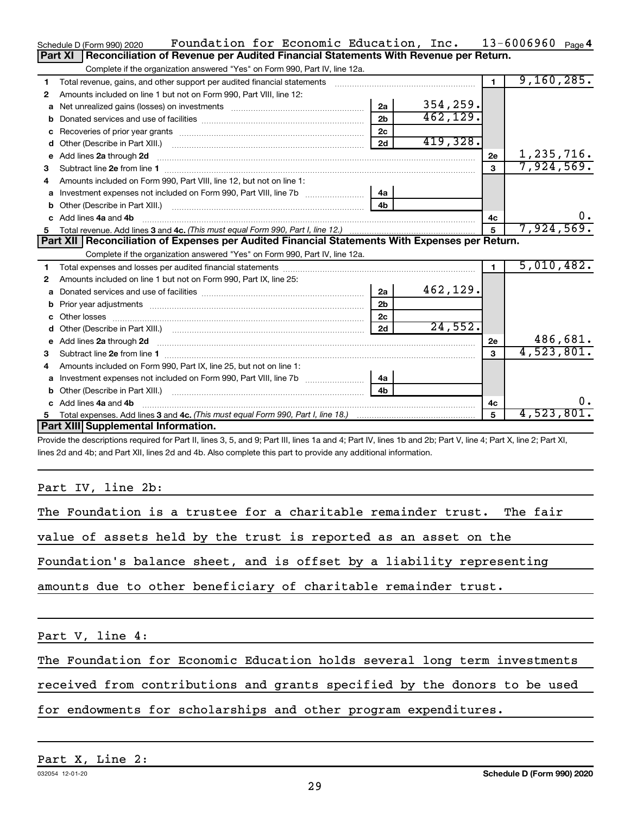|    | Foundation for Economic Education, Inc.<br>Schedule D (Form 990) 2020                                                                                                          |                |           |                | $13 - 6006960$ Page 4 |
|----|--------------------------------------------------------------------------------------------------------------------------------------------------------------------------------|----------------|-----------|----------------|-----------------------|
|    | Reconciliation of Revenue per Audited Financial Statements With Revenue per Return.<br>Part XI                                                                                 |                |           |                |                       |
|    | Complete if the organization answered "Yes" on Form 990, Part IV, line 12a.                                                                                                    |                |           |                |                       |
| 1  | Total revenue, gains, and other support per audited financial statements                                                                                                       |                |           | $\blacksquare$ | 9,160,285.            |
| 2  | Amounts included on line 1 but not on Form 990, Part VIII, line 12:                                                                                                            |                |           |                |                       |
| a  |                                                                                                                                                                                | 2a             | 354, 259. |                |                       |
| b  |                                                                                                                                                                                | 2 <sub>b</sub> | 462, 129. |                |                       |
|    |                                                                                                                                                                                | 2c             |           |                |                       |
| d  |                                                                                                                                                                                | 2d             | 419,328.  |                |                       |
| е  | Add lines 2a through 2d                                                                                                                                                        |                |           | 2e             | 1,235,716.            |
| 3  |                                                                                                                                                                                |                |           | $\mathbf{a}$   | 7,924,569.            |
| 4  | Amounts included on Form 990, Part VIII, line 12, but not on line 1:                                                                                                           |                |           |                |                       |
| a  |                                                                                                                                                                                | 4a             |           |                |                       |
|    |                                                                                                                                                                                | 4 <sub>h</sub> |           |                |                       |
|    | c Add lines 4a and 4b                                                                                                                                                          |                |           | 4с             | 0.                    |
| 5  |                                                                                                                                                                                |                |           | 5              | 7,924,569.            |
|    | Part XII Reconciliation of Expenses per Audited Financial Statements With Expenses per Return.                                                                                 |                |           |                |                       |
|    | Complete if the organization answered "Yes" on Form 990, Part IV, line 12a.                                                                                                    |                |           |                |                       |
| 1  |                                                                                                                                                                                |                |           | $\blacksquare$ | 5,010,482.            |
| 2  | Amounts included on line 1 but not on Form 990, Part IX, line 25:                                                                                                              |                |           |                |                       |
|    |                                                                                                                                                                                | 2a             | 462,129.  |                |                       |
| b  |                                                                                                                                                                                | 2 <sub>b</sub> |           |                |                       |
|    |                                                                                                                                                                                | 2 <sub>c</sub> |           |                |                       |
| d  |                                                                                                                                                                                | 2d             | 24,552.   |                |                       |
| e  | Add lines 2a through 2d <b>must be a constructed as the constant of the constant of the constant of the construction</b>                                                       |                |           | 2e             | 486,681.              |
| 3  |                                                                                                                                                                                |                |           | 3              | 4,523,801.            |
|    | Amounts included on Form 990, Part IX, line 25, but not on line 1:                                                                                                             |                |           |                |                       |
| a  |                                                                                                                                                                                | 4a             |           |                |                       |
| b  | Other (Describe in Part XIII.) [100] [100] [100] [100] [100] [100] [100] [100] [100] [100] [100] [100] [100] [                                                                 | 4 <sub>h</sub> |           |                |                       |
| c. | Add lines 4a and 4b                                                                                                                                                            |                |           | 4с             | 0.                    |
| 5  |                                                                                                                                                                                |                |           | 5              | 4,523,801.            |
|    | Part XIII Supplemental Information.                                                                                                                                            |                |           |                |                       |
|    | Drouble the descriptions required for Dart II, lines $9.5$ and $0.0$ Dart III, lines to and $4.0$ Dart IV, lines the and $2b$ , Dart V, line $4.0$ Dart V, line $2.0$ Dart VI. |                |           |                |                       |

Provide the descriptions required for Part II, lines 3, 5, and 9; Part III, lines 1a and 4; Part IV, lines 1b and 2b; Part V, line 4; Part X, line 2; Part XI, lines 2d and 4b; and Part XII, lines 2d and 4b. Also complete this part to provide any additional information.

# Part IV, line 2b:

| The Foundation is a trustee for a charitable remainder trust. The fair    |  |  |  |  |  |  |  |
|---------------------------------------------------------------------------|--|--|--|--|--|--|--|
| value of assets held by the trust is reported as an asset on the          |  |  |  |  |  |  |  |
| Foundation's balance sheet, and is offset by a liability representing     |  |  |  |  |  |  |  |
| amounts due to other beneficiary of charitable remainder trust.           |  |  |  |  |  |  |  |
|                                                                           |  |  |  |  |  |  |  |
| Part V, line 4:                                                           |  |  |  |  |  |  |  |
| The Foundation for Economic Education holds several long term investments |  |  |  |  |  |  |  |

received from contributions and grants specified by the donors to be used

for endowments for scholarships and other program expenditures.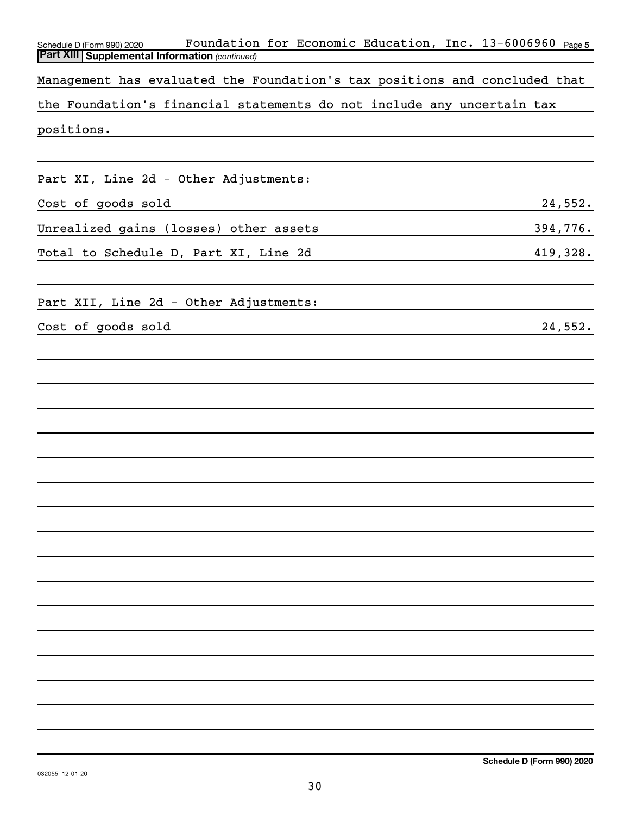| Foundation for Economic Education, Inc. 13-6006960 Page5<br>Schedule D (Form 990) 2020<br><b>Part XIII   Supplemental Information (continued)</b> |          |
|---------------------------------------------------------------------------------------------------------------------------------------------------|----------|
| Management has evaluated the Foundation's tax positions and concluded that                                                                        |          |
| the Foundation's financial statements do not include any uncertain tax                                                                            |          |
| positions.                                                                                                                                        |          |
|                                                                                                                                                   |          |
| Part XI, Line 2d - Other Adjustments:                                                                                                             |          |
| Cost of goods sold                                                                                                                                | 24,552.  |
| Unrealized gains (losses) other assets                                                                                                            | 394,776. |
| Total to Schedule D, Part XI, Line 2d                                                                                                             | 419,328. |
|                                                                                                                                                   |          |
| Part XII, Line 2d - Other Adjustments:                                                                                                            |          |
| Cost of goods sold                                                                                                                                | 24,552.  |
|                                                                                                                                                   |          |
|                                                                                                                                                   |          |
|                                                                                                                                                   |          |
|                                                                                                                                                   |          |
|                                                                                                                                                   |          |
|                                                                                                                                                   |          |
|                                                                                                                                                   |          |
|                                                                                                                                                   |          |
|                                                                                                                                                   |          |
|                                                                                                                                                   |          |
|                                                                                                                                                   |          |
|                                                                                                                                                   |          |
|                                                                                                                                                   |          |
|                                                                                                                                                   |          |
|                                                                                                                                                   |          |
|                                                                                                                                                   |          |
|                                                                                                                                                   |          |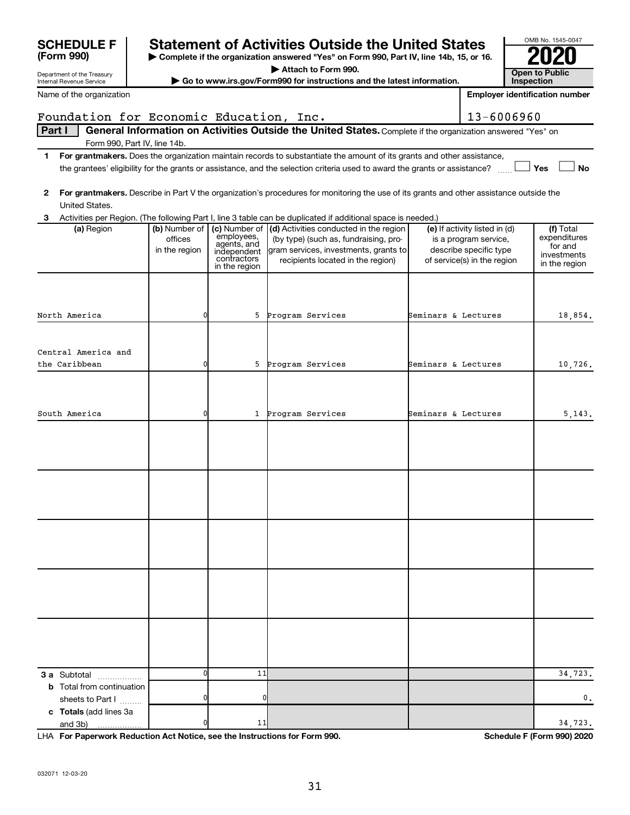| Department of the Treasury                           |                                           |                                                                          | Attach to Form 990.                                                                                                                                                         |                     |                                                                                                                 | <b>Open to Public</b>                                                |
|------------------------------------------------------|-------------------------------------------|--------------------------------------------------------------------------|-----------------------------------------------------------------------------------------------------------------------------------------------------------------------------|---------------------|-----------------------------------------------------------------------------------------------------------------|----------------------------------------------------------------------|
| Internal Revenue Service                             |                                           |                                                                          | Go to www.irs.gov/Form990 for instructions and the latest information.                                                                                                      |                     |                                                                                                                 | <b>Inspection</b>                                                    |
| Name of the organization                             |                                           |                                                                          |                                                                                                                                                                             |                     |                                                                                                                 | <b>Employer identification number</b>                                |
| Foundation for Economic Education, Inc.              |                                           |                                                                          |                                                                                                                                                                             |                     | 13-6006960                                                                                                      |                                                                      |
| Part I<br>Form 990, Part IV, line 14b.               |                                           |                                                                          | General Information on Activities Outside the United States. Complete if the organization answered "Yes" on                                                                 |                     |                                                                                                                 |                                                                      |
| 1.                                                   |                                           |                                                                          | For grantmakers. Does the organization maintain records to substantiate the amount of its grants and other assistance,                                                      |                     |                                                                                                                 |                                                                      |
|                                                      |                                           |                                                                          | the grantees' eligibility for the grants or assistance, and the selection criteria used to award the grants or assistance?                                                  |                     |                                                                                                                 | Yes<br><b>No</b>                                                     |
| 2<br>United States.                                  |                                           |                                                                          | For grantmakers. Describe in Part V the organization's procedures for monitoring the use of its grants and other assistance outside the                                     |                     |                                                                                                                 |                                                                      |
| 3                                                    |                                           |                                                                          | Activities per Region. (The following Part I, line 3 table can be duplicated if additional space is needed.)                                                                |                     |                                                                                                                 |                                                                      |
| (a) Region                                           | (b) Number of<br>offices<br>in the region | employees,<br>agents, and<br>independent<br>contractors<br>in the region | (c) Number of (d) Activities conducted in the region<br>(by type) (such as, fundraising, pro-<br>gram services, investments, grants to<br>recipients located in the region) |                     | (e) If activity listed in (d)<br>is a program service,<br>describe specific type<br>of service(s) in the region | (f) Total<br>expenditures<br>for and<br>investments<br>in the region |
|                                                      |                                           |                                                                          |                                                                                                                                                                             |                     |                                                                                                                 |                                                                      |
| North America                                        | 0                                         | 5                                                                        | Program Services                                                                                                                                                            | Seminars & Lectures |                                                                                                                 | 18,854.                                                              |
| Central America and                                  |                                           |                                                                          |                                                                                                                                                                             |                     |                                                                                                                 |                                                                      |
| the Caribbean                                        | 0                                         | 5                                                                        | Program Services                                                                                                                                                            | Seminars & Lectures |                                                                                                                 | 10,726.                                                              |
|                                                      |                                           |                                                                          |                                                                                                                                                                             |                     |                                                                                                                 |                                                                      |
| South America                                        | 0                                         | $\mathbf{1}$                                                             | Program Services                                                                                                                                                            | Seminars & Lectures |                                                                                                                 | 5,143.                                                               |
|                                                      |                                           |                                                                          |                                                                                                                                                                             |                     |                                                                                                                 |                                                                      |
|                                                      |                                           |                                                                          |                                                                                                                                                                             |                     |                                                                                                                 |                                                                      |
|                                                      |                                           |                                                                          |                                                                                                                                                                             |                     |                                                                                                                 |                                                                      |
|                                                      |                                           |                                                                          |                                                                                                                                                                             |                     |                                                                                                                 |                                                                      |
|                                                      |                                           |                                                                          |                                                                                                                                                                             |                     |                                                                                                                 |                                                                      |
| <b>3 a</b> Subtotal                                  | 0                                         | 11                                                                       |                                                                                                                                                                             |                     |                                                                                                                 | 34,723.                                                              |
| <b>b</b> Total from continuation<br>sheets to Part I |                                           | 0                                                                        |                                                                                                                                                                             |                     |                                                                                                                 | 0.                                                                   |
| c Totals (add lines 3a<br>and 3b)<br>.               | 0                                         | 11                                                                       |                                                                                                                                                                             |                     |                                                                                                                 | 34,723.                                                              |

**| Complete if the organization answered "Yes" on Form 990, Part IV, line 14b, 15, or 16.**

**SCHEDULE F** Statement of Activities Outside the United States  $\frac{6008 \text{ No. }1545-004}{2020}$ 

**For Paperwork Reduction Act Notice, see the Instructions for Form 990. Schedule F (Form 990) 2020** LHA

OMB No. 1545-0047

**(Form 990)**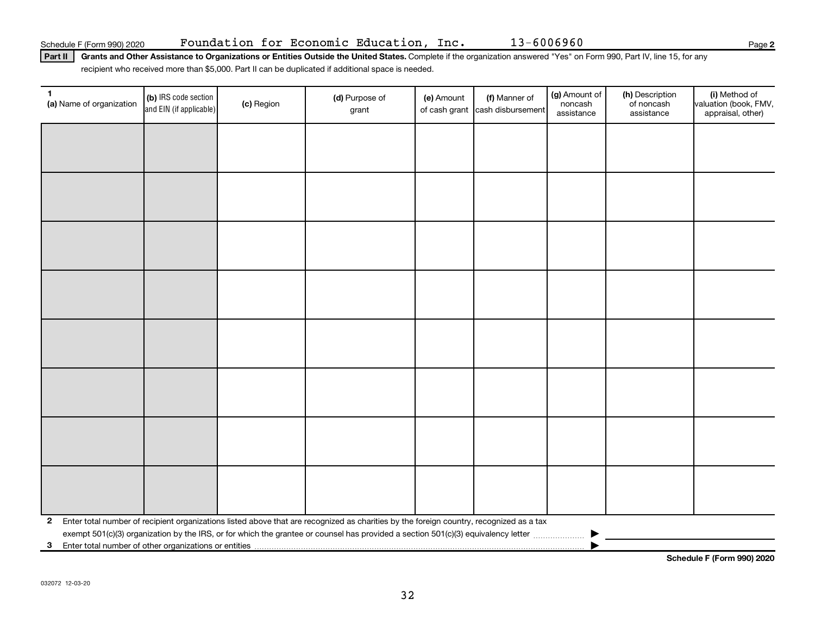**2**

Part II | Grants and Other Assistance to Organizations or Entities Outside the United States. Complete if the organization answered "Yes" on Form 990, Part IV, line 15, for any recipient who received more than \$5,000. Part II can be duplicated if additional space is needed.

| (a) Name of organization | (b) IRS code section<br>and EIN (if applicable) | (c) Region | (d) Purpose of<br>grant                                                                                                                 | (e) Amount | (f) Manner of<br>of cash grant cash disbursement | (g) Amount of<br>noncash<br>assistance | (h) Description<br>of noncash<br>assistance | (i) Method of<br>valuation (book, FMV,<br>appraisal, other) |
|--------------------------|-------------------------------------------------|------------|-----------------------------------------------------------------------------------------------------------------------------------------|------------|--------------------------------------------------|----------------------------------------|---------------------------------------------|-------------------------------------------------------------|
|                          |                                                 |            |                                                                                                                                         |            |                                                  |                                        |                                             |                                                             |
|                          |                                                 |            |                                                                                                                                         |            |                                                  |                                        |                                             |                                                             |
|                          |                                                 |            |                                                                                                                                         |            |                                                  |                                        |                                             |                                                             |
|                          |                                                 |            |                                                                                                                                         |            |                                                  |                                        |                                             |                                                             |
|                          |                                                 |            |                                                                                                                                         |            |                                                  |                                        |                                             |                                                             |
|                          |                                                 |            |                                                                                                                                         |            |                                                  |                                        |                                             |                                                             |
|                          |                                                 |            |                                                                                                                                         |            |                                                  |                                        |                                             |                                                             |
|                          |                                                 |            |                                                                                                                                         |            |                                                  |                                        |                                             |                                                             |
|                          |                                                 |            |                                                                                                                                         |            |                                                  |                                        |                                             |                                                             |
|                          |                                                 |            |                                                                                                                                         |            |                                                  |                                        |                                             |                                                             |
|                          |                                                 |            |                                                                                                                                         |            |                                                  |                                        |                                             |                                                             |
|                          |                                                 |            |                                                                                                                                         |            |                                                  |                                        |                                             |                                                             |
|                          |                                                 |            |                                                                                                                                         |            |                                                  |                                        |                                             |                                                             |
|                          |                                                 |            |                                                                                                                                         |            |                                                  |                                        |                                             |                                                             |
|                          |                                                 |            |                                                                                                                                         |            |                                                  |                                        |                                             |                                                             |
|                          |                                                 |            |                                                                                                                                         |            |                                                  |                                        |                                             |                                                             |
| $\mathbf{2}$             |                                                 |            | Enter total number of recipient organizations listed above that are recognized as charities by the foreign country, recognized as a tax |            |                                                  |                                        |                                             |                                                             |
| $\mathbf{3}$             |                                                 |            |                                                                                                                                         |            |                                                  |                                        |                                             |                                                             |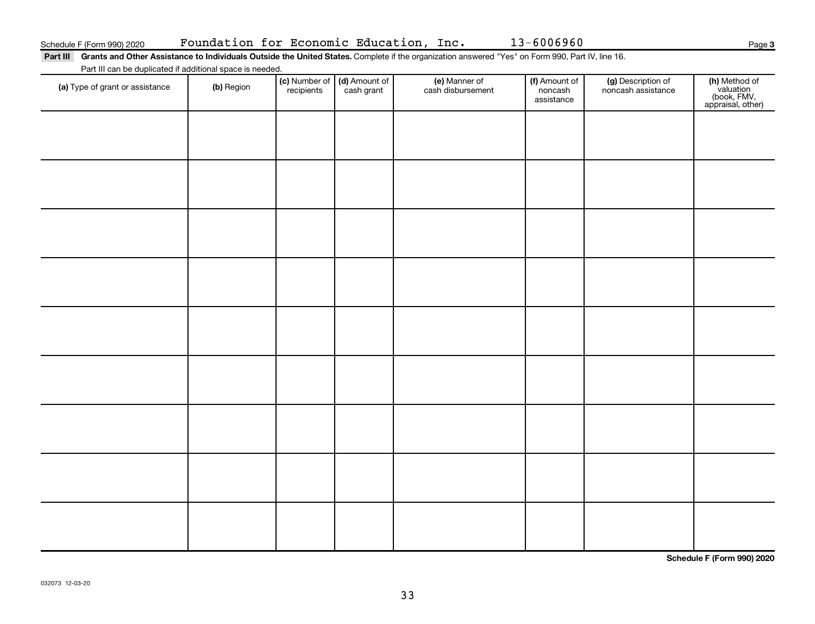**3**

Part III Grants and Other Assistance to Individuals Outside the United States. Complete if the organization answered "Yes" on Form 990, Part IV, line 16. Part III can be duplicated if additional space is needed.

| r art in carried adplicated in additional opace is necessar<br>(a) Type of grant or assistance | (b) Region | recipients | (c) Number of (d) Amount of<br>cash grant | (e) Manner of<br>cash disbursement | (f) Amount of<br>noncash<br>assistance | (g) Description of<br>noncash assistance | (h) Method of<br>valuation<br>(book, FMV,<br>appraisal, other) |
|------------------------------------------------------------------------------------------------|------------|------------|-------------------------------------------|------------------------------------|----------------------------------------|------------------------------------------|----------------------------------------------------------------|
|                                                                                                |            |            |                                           |                                    |                                        |                                          |                                                                |
|                                                                                                |            |            |                                           |                                    |                                        |                                          |                                                                |
|                                                                                                |            |            |                                           |                                    |                                        |                                          |                                                                |
|                                                                                                |            |            |                                           |                                    |                                        |                                          |                                                                |
|                                                                                                |            |            |                                           |                                    |                                        |                                          |                                                                |
|                                                                                                |            |            |                                           |                                    |                                        |                                          |                                                                |
|                                                                                                |            |            |                                           |                                    |                                        |                                          |                                                                |
|                                                                                                |            |            |                                           |                                    |                                        |                                          |                                                                |
|                                                                                                |            |            |                                           |                                    |                                        |                                          |                                                                |
|                                                                                                |            |            |                                           |                                    |                                        |                                          |                                                                |

**Schedule F (Form 990) 2020**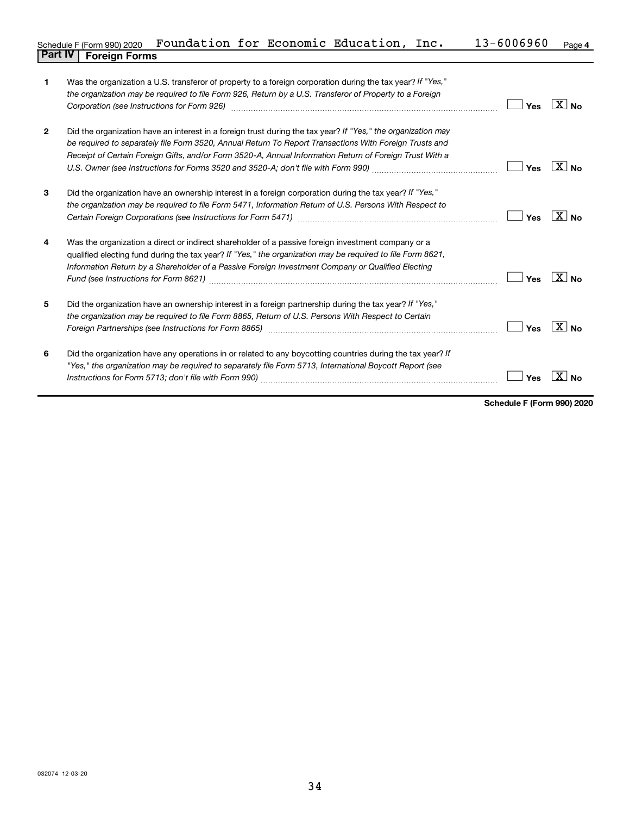| Schedule F (Form 990) 2020     | Foundation for Economic Education, Inc. |  |  | $13 - 6006960$ | Page 4 |
|--------------------------------|-----------------------------------------|--|--|----------------|--------|
| <b>Part IV   Foreign Forms</b> |                                         |  |  |                |        |

| 1            | Was the organization a U.S. transferor of property to a foreign corporation during the tax year? If "Yes,"<br>the organization may be required to file Form 926, Return by a U.S. Transferor of Property to a Foreign                                                                                                             | Yes | $\overline{X}$ No  |
|--------------|-----------------------------------------------------------------------------------------------------------------------------------------------------------------------------------------------------------------------------------------------------------------------------------------------------------------------------------|-----|--------------------|
| $\mathbf{2}$ | Did the organization have an interest in a foreign trust during the tax year? If "Yes," the organization may<br>be required to separately file Form 3520, Annual Return To Report Transactions With Foreign Trusts and<br>Receipt of Certain Foreign Gifts, and/or Form 3520-A, Annual Information Return of Foreign Trust With a | Yes | $X _{\mathsf{No}}$ |
| 3            | Did the organization have an ownership interest in a foreign corporation during the tax year? If "Yes,"<br>the organization may be required to file Form 5471, Information Return of U.S. Persons With Respect to                                                                                                                 | Yes | $X _{\mathsf{No}}$ |
| 4            | Was the organization a direct or indirect shareholder of a passive foreign investment company or a<br>qualified electing fund during the tax year? If "Yes," the organization may be required to file Form 8621,<br>Information Return by a Shareholder of a Passive Foreign Investment Company or Qualified Electing             | Yes | $X_{\text{No}}$    |
| 5            | Did the organization have an ownership interest in a foreign partnership during the tax year? If "Yes,"<br>the organization may be required to file Form 8865, Return of U.S. Persons With Respect to Certain<br>Foreign Partnerships (see Instructions for Form 8865)                                                            | Yes | $X $ No            |
| 6            | Did the organization have any operations in or related to any boycotting countries during the tax year? If<br>"Yes," the organization may be required to separately file Form 5713, International Boycott Report (see                                                                                                             | Yes |                    |

**Schedule F (Form 990) 2020**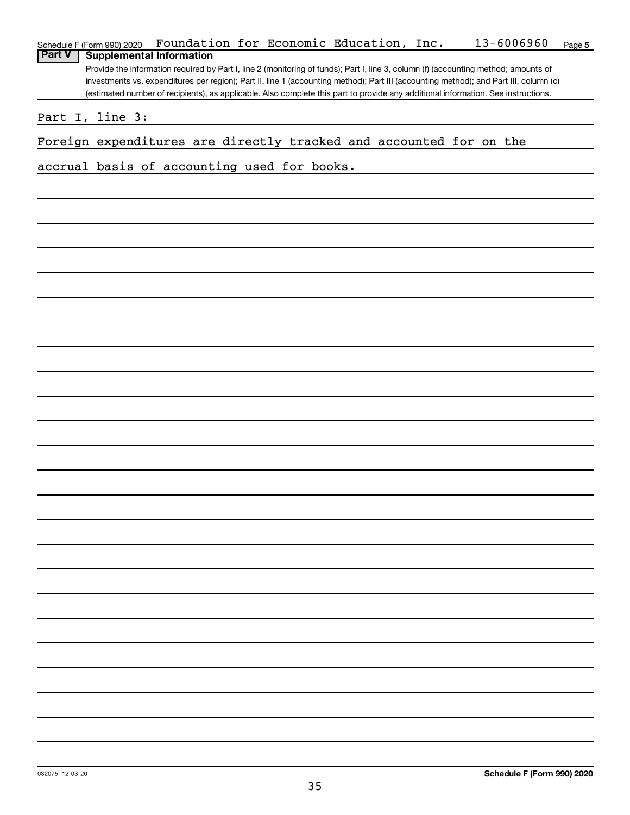|                 | Schedule F (Form 990) 2020      | Foundation for Economic Education, Inc.                            |  |  | 13-6006960                                                                                                                                                                                                                                                                   | Page 5 |
|-----------------|---------------------------------|--------------------------------------------------------------------|--|--|------------------------------------------------------------------------------------------------------------------------------------------------------------------------------------------------------------------------------------------------------------------------------|--------|
| <b>Part V</b>   | <b>Supplemental Information</b> |                                                                    |  |  |                                                                                                                                                                                                                                                                              |        |
|                 |                                 |                                                                    |  |  | Provide the information required by Part I, line 2 (monitoring of funds); Part I, line 3, column (f) (accounting method; amounts of<br>investments vs. expenditures per region); Part II, line 1 (accounting method); Part III (accounting method); and Part III, column (c) |        |
|                 |                                 |                                                                    |  |  | (estimated number of recipients), as applicable. Also complete this part to provide any additional information. See instructions.                                                                                                                                            |        |
|                 |                                 |                                                                    |  |  |                                                                                                                                                                                                                                                                              |        |
|                 | Part I, line 3:                 |                                                                    |  |  |                                                                                                                                                                                                                                                                              |        |
|                 |                                 | Foreign expenditures are directly tracked and accounted for on the |  |  |                                                                                                                                                                                                                                                                              |        |
|                 |                                 | accrual basis of accounting used for books.                        |  |  |                                                                                                                                                                                                                                                                              |        |
|                 |                                 |                                                                    |  |  |                                                                                                                                                                                                                                                                              |        |
|                 |                                 |                                                                    |  |  |                                                                                                                                                                                                                                                                              |        |
|                 |                                 |                                                                    |  |  |                                                                                                                                                                                                                                                                              |        |
|                 |                                 |                                                                    |  |  |                                                                                                                                                                                                                                                                              |        |
|                 |                                 |                                                                    |  |  |                                                                                                                                                                                                                                                                              |        |
|                 |                                 |                                                                    |  |  |                                                                                                                                                                                                                                                                              |        |
|                 |                                 |                                                                    |  |  |                                                                                                                                                                                                                                                                              |        |
|                 |                                 |                                                                    |  |  |                                                                                                                                                                                                                                                                              |        |
|                 |                                 |                                                                    |  |  |                                                                                                                                                                                                                                                                              |        |
|                 |                                 |                                                                    |  |  |                                                                                                                                                                                                                                                                              |        |
|                 |                                 |                                                                    |  |  |                                                                                                                                                                                                                                                                              |        |
|                 |                                 |                                                                    |  |  |                                                                                                                                                                                                                                                                              |        |
|                 |                                 |                                                                    |  |  |                                                                                                                                                                                                                                                                              |        |
|                 |                                 |                                                                    |  |  |                                                                                                                                                                                                                                                                              |        |
|                 |                                 |                                                                    |  |  |                                                                                                                                                                                                                                                                              |        |
|                 |                                 |                                                                    |  |  |                                                                                                                                                                                                                                                                              |        |
|                 |                                 |                                                                    |  |  |                                                                                                                                                                                                                                                                              |        |
|                 |                                 |                                                                    |  |  |                                                                                                                                                                                                                                                                              |        |
|                 |                                 |                                                                    |  |  |                                                                                                                                                                                                                                                                              |        |
|                 |                                 |                                                                    |  |  |                                                                                                                                                                                                                                                                              |        |
|                 |                                 |                                                                    |  |  |                                                                                                                                                                                                                                                                              |        |
|                 |                                 |                                                                    |  |  |                                                                                                                                                                                                                                                                              |        |
|                 |                                 |                                                                    |  |  |                                                                                                                                                                                                                                                                              |        |
|                 |                                 |                                                                    |  |  |                                                                                                                                                                                                                                                                              |        |
|                 |                                 |                                                                    |  |  |                                                                                                                                                                                                                                                                              |        |
|                 |                                 |                                                                    |  |  |                                                                                                                                                                                                                                                                              |        |
|                 |                                 |                                                                    |  |  |                                                                                                                                                                                                                                                                              |        |
|                 |                                 |                                                                    |  |  |                                                                                                                                                                                                                                                                              |        |
|                 |                                 |                                                                    |  |  |                                                                                                                                                                                                                                                                              |        |
|                 |                                 |                                                                    |  |  |                                                                                                                                                                                                                                                                              |        |
|                 |                                 |                                                                    |  |  |                                                                                                                                                                                                                                                                              |        |
|                 |                                 |                                                                    |  |  |                                                                                                                                                                                                                                                                              |        |
|                 |                                 |                                                                    |  |  |                                                                                                                                                                                                                                                                              |        |
|                 |                                 |                                                                    |  |  |                                                                                                                                                                                                                                                                              |        |
|                 |                                 |                                                                    |  |  |                                                                                                                                                                                                                                                                              |        |
|                 |                                 |                                                                    |  |  |                                                                                                                                                                                                                                                                              |        |
|                 |                                 |                                                                    |  |  |                                                                                                                                                                                                                                                                              |        |
|                 |                                 |                                                                    |  |  |                                                                                                                                                                                                                                                                              |        |
|                 |                                 |                                                                    |  |  |                                                                                                                                                                                                                                                                              |        |
| 032075 12-03-20 |                                 |                                                                    |  |  | Schedule F (Form 990) 2020                                                                                                                                                                                                                                                   |        |

35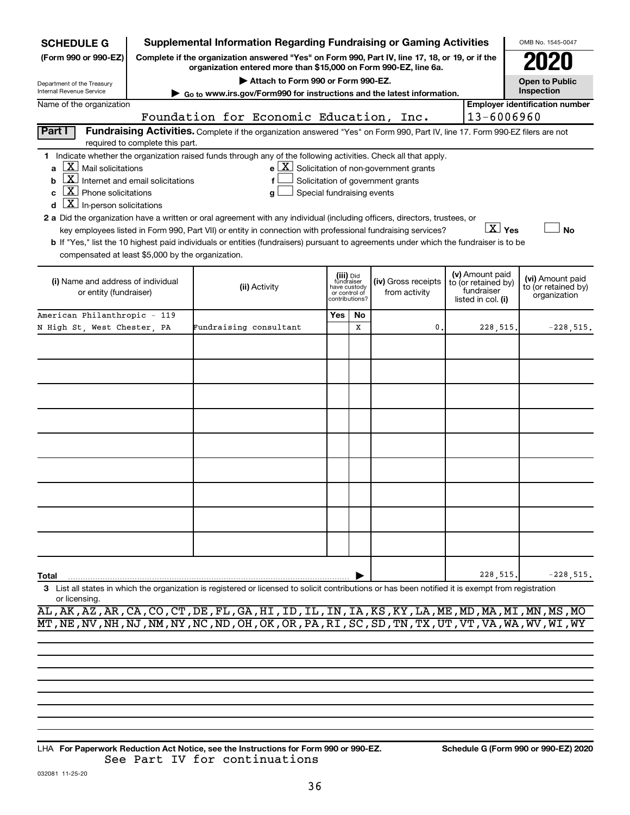| <b>SCHEDULE G</b>                                                                                                                                                   |                                                                                                                                                                                                                                                                                                                                                                                                                                                                                                                                                                                                                                                                                                                                                                                                                           |                                                                                                                                                                     |                                         |                                                                            |         | <b>Supplemental Information Regarding Fundraising or Gaming Activities</b>                                                    |                     |                                                                            | OMB No. 1545-0047                                       |  |
|---------------------------------------------------------------------------------------------------------------------------------------------------------------------|---------------------------------------------------------------------------------------------------------------------------------------------------------------------------------------------------------------------------------------------------------------------------------------------------------------------------------------------------------------------------------------------------------------------------------------------------------------------------------------------------------------------------------------------------------------------------------------------------------------------------------------------------------------------------------------------------------------------------------------------------------------------------------------------------------------------------|---------------------------------------------------------------------------------------------------------------------------------------------------------------------|-----------------------------------------|----------------------------------------------------------------------------|---------|-------------------------------------------------------------------------------------------------------------------------------|---------------------|----------------------------------------------------------------------------|---------------------------------------------------------|--|
| (Form 990 or 990-EZ)                                                                                                                                                |                                                                                                                                                                                                                                                                                                                                                                                                                                                                                                                                                                                                                                                                                                                                                                                                                           | Complete if the organization answered "Yes" on Form 990, Part IV, line 17, 18, or 19, or if the<br>organization entered more than \$15,000 on Form 990-EZ, line 6a. |                                         |                                                                            |         |                                                                                                                               |                     |                                                                            |                                                         |  |
| Department of the Treasury                                                                                                                                          | Attach to Form 990 or Form 990-EZ.<br><b>Open to Public</b><br>Inspection<br>Internal Revenue Service                                                                                                                                                                                                                                                                                                                                                                                                                                                                                                                                                                                                                                                                                                                     |                                                                                                                                                                     |                                         |                                                                            |         |                                                                                                                               |                     |                                                                            |                                                         |  |
| Go to www.irs.gov/Form990 for instructions and the latest information.<br><b>Employer identification number</b><br>Name of the organization                         |                                                                                                                                                                                                                                                                                                                                                                                                                                                                                                                                                                                                                                                                                                                                                                                                                           |                                                                                                                                                                     |                                         |                                                                            |         |                                                                                                                               |                     |                                                                            |                                                         |  |
|                                                                                                                                                                     |                                                                                                                                                                                                                                                                                                                                                                                                                                                                                                                                                                                                                                                                                                                                                                                                                           |                                                                                                                                                                     | Foundation for Economic Education, Inc. |                                                                            |         |                                                                                                                               |                     | 13-6006960                                                                 |                                                         |  |
| Part I                                                                                                                                                              | required to complete this part.                                                                                                                                                                                                                                                                                                                                                                                                                                                                                                                                                                                                                                                                                                                                                                                           |                                                                                                                                                                     |                                         |                                                                            |         | Fundraising Activities. Complete if the organization answered "Yes" on Form 990, Part IV, line 17. Form 990-EZ filers are not |                     |                                                                            |                                                         |  |
| a<br>c.                                                                                                                                                             | 1 Indicate whether the organization raised funds through any of the following activities. Check all that apply.<br>$X$ Mail solicitations<br>$e$ $\boxed{X}$ Solicitation of non-government grants<br>$\mathbf{X}$ Internet and email solicitations<br>Solicitation of government grants<br>$X$ Phone solicitations<br>Special fundraising events<br>g<br>$\underline{\mathbf{X}}$ In-person solicitations<br>2 a Did the organization have a written or oral agreement with any individual (including officers, directors, trustees, or<br>$X \vee$<br><b>No</b><br>key employees listed in Form 990, Part VII) or entity in connection with professional fundraising services?<br>b If "Yes," list the 10 highest paid individuals or entities (fundraisers) pursuant to agreements under which the fundraiser is to be |                                                                                                                                                                     |                                         |                                                                            |         |                                                                                                                               |                     |                                                                            |                                                         |  |
| compensated at least \$5,000 by the organization.<br>(i) Name and address of individual<br>or entity (fundraiser)                                                   |                                                                                                                                                                                                                                                                                                                                                                                                                                                                                                                                                                                                                                                                                                                                                                                                                           |                                                                                                                                                                     | (ii) Activity                           | (iii) Did<br>fundraiser<br>have custody<br>or control of<br>contributions? |         |                                                                                                                               | (iv) Gross receipts | (v) Amount paid<br>to (or retained by)<br>fundraiser<br>listed in col. (i) | (vi) Amount paid<br>to (or retained by)<br>organization |  |
| American Philanthropic - 119<br>N High St, West Chester, PA                                                                                                         |                                                                                                                                                                                                                                                                                                                                                                                                                                                                                                                                                                                                                                                                                                                                                                                                                           | Fundraising consultant                                                                                                                                              |                                         | Yes                                                                        | No<br>х | 0                                                                                                                             |                     | 228,515                                                                    | $-228,515.$                                             |  |
|                                                                                                                                                                     |                                                                                                                                                                                                                                                                                                                                                                                                                                                                                                                                                                                                                                                                                                                                                                                                                           |                                                                                                                                                                     |                                         |                                                                            |         |                                                                                                                               |                     |                                                                            |                                                         |  |
|                                                                                                                                                                     |                                                                                                                                                                                                                                                                                                                                                                                                                                                                                                                                                                                                                                                                                                                                                                                                                           |                                                                                                                                                                     |                                         |                                                                            |         |                                                                                                                               |                     |                                                                            |                                                         |  |
|                                                                                                                                                                     |                                                                                                                                                                                                                                                                                                                                                                                                                                                                                                                                                                                                                                                                                                                                                                                                                           |                                                                                                                                                                     |                                         |                                                                            |         |                                                                                                                               |                     |                                                                            |                                                         |  |
|                                                                                                                                                                     |                                                                                                                                                                                                                                                                                                                                                                                                                                                                                                                                                                                                                                                                                                                                                                                                                           |                                                                                                                                                                     |                                         |                                                                            |         |                                                                                                                               |                     |                                                                            |                                                         |  |
|                                                                                                                                                                     |                                                                                                                                                                                                                                                                                                                                                                                                                                                                                                                                                                                                                                                                                                                                                                                                                           |                                                                                                                                                                     |                                         |                                                                            |         |                                                                                                                               |                     |                                                                            |                                                         |  |
|                                                                                                                                                                     |                                                                                                                                                                                                                                                                                                                                                                                                                                                                                                                                                                                                                                                                                                                                                                                                                           |                                                                                                                                                                     |                                         |                                                                            |         |                                                                                                                               |                     |                                                                            |                                                         |  |
|                                                                                                                                                                     |                                                                                                                                                                                                                                                                                                                                                                                                                                                                                                                                                                                                                                                                                                                                                                                                                           |                                                                                                                                                                     |                                         |                                                                            |         |                                                                                                                               |                     |                                                                            |                                                         |  |
|                                                                                                                                                                     |                                                                                                                                                                                                                                                                                                                                                                                                                                                                                                                                                                                                                                                                                                                                                                                                                           |                                                                                                                                                                     |                                         |                                                                            |         |                                                                                                                               |                     |                                                                            |                                                         |  |
|                                                                                                                                                                     |                                                                                                                                                                                                                                                                                                                                                                                                                                                                                                                                                                                                                                                                                                                                                                                                                           |                                                                                                                                                                     |                                         |                                                                            |         |                                                                                                                               |                     |                                                                            |                                                         |  |
| Total                                                                                                                                                               |                                                                                                                                                                                                                                                                                                                                                                                                                                                                                                                                                                                                                                                                                                                                                                                                                           |                                                                                                                                                                     |                                         |                                                                            |         |                                                                                                                               |                     | 228,515                                                                    | $-228,515.$                                             |  |
| 3 List all states in which the organization is registered or licensed to solicit contributions or has been notified it is exempt from registration<br>or licensing. |                                                                                                                                                                                                                                                                                                                                                                                                                                                                                                                                                                                                                                                                                                                                                                                                                           |                                                                                                                                                                     |                                         |                                                                            |         |                                                                                                                               |                     |                                                                            |                                                         |  |

AL,AK,AZ,AR,CA,CO,CT,DE,FL,GA,HI,ID,IL,IN,IA,KS,KY,LA,ME,MD,MA,MI,MN,MS,MO MT,NE,NV,NH,NJ,NM,NY,NC,ND,OH,OK,OR,PA,RI,SC,SD,TN,TX,UT,VT,VA,WA,WV,WI,WY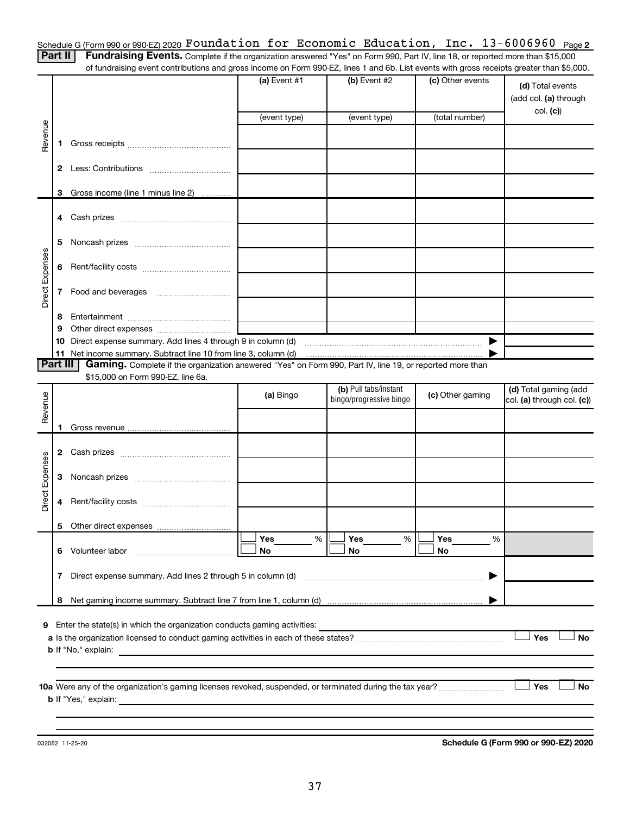Schedule G (Form 990 or 990-EZ) 2020  ${\tt Foundation~for~Economic~Education,~Inc.~13-6006960~Page}$ 

Part II | Fundraising Events. Complete if the organization answered "Yes" on Form 990, Part IV, line 18, or reported more than \$15,000 of fundraising event contributions and gross income on Form 990-EZ, lines 1 and 6b. List events with gross receipts greater than \$5,000.

|                 |              |                                                                                                                                | $(a)$ Event #1 | (b) Event #2                                     | (c) Other events | (d) Total events<br>(add col. (a) through<br>col. (c) |
|-----------------|--------------|--------------------------------------------------------------------------------------------------------------------------------|----------------|--------------------------------------------------|------------------|-------------------------------------------------------|
|                 |              |                                                                                                                                | (event type)   | (event type)                                     | (total number)   |                                                       |
| Revenue         | 1.           |                                                                                                                                |                |                                                  |                  |                                                       |
|                 | 2            |                                                                                                                                |                |                                                  |                  |                                                       |
|                 | З            | Gross income (line 1 minus line 2)                                                                                             |                |                                                  |                  |                                                       |
|                 | 4            |                                                                                                                                |                |                                                  |                  |                                                       |
|                 | 5            |                                                                                                                                |                |                                                  |                  |                                                       |
| Direct Expenses | 6            |                                                                                                                                |                |                                                  |                  |                                                       |
|                 | 7            |                                                                                                                                |                |                                                  |                  |                                                       |
|                 | 8            |                                                                                                                                |                |                                                  |                  |                                                       |
|                 | 9            |                                                                                                                                |                |                                                  |                  |                                                       |
|                 | 10           | Direct expense summary. Add lines 4 through 9 in column (d)<br>11 Net income summary. Subtract line 10 from line 3, column (d) |                |                                                  | ▶                |                                                       |
| <b>Part III</b> |              | Gaming. Complete if the organization answered "Yes" on Form 990, Part IV, line 19, or reported more than                       |                |                                                  |                  |                                                       |
|                 |              | \$15,000 on Form 990-EZ, line 6a.                                                                                              |                |                                                  |                  |                                                       |
| Revenue         |              |                                                                                                                                | (a) Bingo      | (b) Pull tabs/instant<br>bingo/progressive bingo | (c) Other gaming | (d) Total gaming (add<br>col. (a) through col. (c))   |
|                 |              |                                                                                                                                |                |                                                  |                  |                                                       |
|                 | 1.           |                                                                                                                                |                |                                                  |                  |                                                       |
|                 |              |                                                                                                                                |                |                                                  |                  |                                                       |
| Direct Expenses | 3            |                                                                                                                                |                |                                                  |                  |                                                       |
|                 | 4            |                                                                                                                                |                |                                                  |                  |                                                       |
|                 | 5.           |                                                                                                                                |                |                                                  |                  |                                                       |
|                 | 6.           | Volunteer labor                                                                                                                | Yes<br>%<br>No | Yes<br>%<br>No                                   | Yes<br>%<br>No   |                                                       |
|                 | $\mathbf{7}$ | Direct expense summary. Add lines 2 through 5 in column (d)                                                                    |                |                                                  |                  |                                                       |
|                 | 8            |                                                                                                                                |                |                                                  |                  |                                                       |
| 9               |              | Enter the state(s) in which the organization conducts gaming activities:                                                       |                |                                                  |                  | Yes<br><b>No</b>                                      |
|                 |              | <b>b</b> If "No," explain:                                                                                                     |                |                                                  |                  |                                                       |
|                 |              | <b>b</b> If "Yes," explain:                                                                                                    |                |                                                  |                  | Yes<br><b>No</b>                                      |
|                 |              |                                                                                                                                |                |                                                  |                  |                                                       |

032082 11-25-20

**Schedule G (Form 990 or 990-EZ) 2020**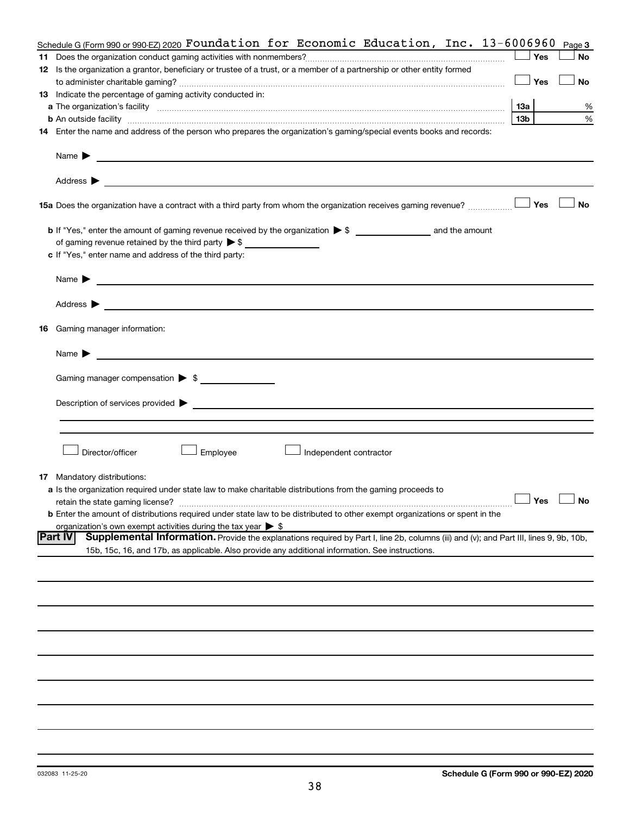|    | Schedule G (Form 990 or 990-EZ) 2020 Foundation for Economic Education, Inc. 13-6006960                                                                  |                      | Page 3    |
|----|----------------------------------------------------------------------------------------------------------------------------------------------------------|----------------------|-----------|
|    |                                                                                                                                                          | Yes                  | No        |
|    | 12 Is the organization a grantor, beneficiary or trustee of a trust, or a member of a partnership or other entity formed                                 |                      |           |
|    |                                                                                                                                                          | Yes                  | No        |
|    | 13 Indicate the percentage of gaming activity conducted in:                                                                                              |                      |           |
|    |                                                                                                                                                          | <b>13a</b>           | %         |
|    | <b>b</b> An outside facility <i>www.communicality.communicality.communicality www.communicality.communicality.communicality</i>                          | 13 <sub>b</sub>      | %         |
|    | 14 Enter the name and address of the person who prepares the organization's gaming/special events books and records:                                     |                      |           |
|    |                                                                                                                                                          |                      |           |
|    |                                                                                                                                                          |                      |           |
|    |                                                                                                                                                          |                      |           |
|    |                                                                                                                                                          |                      |           |
|    |                                                                                                                                                          |                      |           |
|    | 15a Does the organization have a contract with a third party from whom the organization receives gaming revenue?                                         | Yes                  | <b>No</b> |
|    |                                                                                                                                                          |                      |           |
|    |                                                                                                                                                          |                      |           |
|    |                                                                                                                                                          |                      |           |
|    | c If "Yes," enter name and address of the third party:                                                                                                   |                      |           |
|    |                                                                                                                                                          |                      |           |
|    |                                                                                                                                                          |                      |           |
|    |                                                                                                                                                          |                      |           |
|    |                                                                                                                                                          |                      |           |
|    |                                                                                                                                                          |                      |           |
|    | 16 Gaming manager information:                                                                                                                           |                      |           |
|    |                                                                                                                                                          |                      |           |
|    |                                                                                                                                                          |                      |           |
|    |                                                                                                                                                          |                      |           |
|    | Gaming manager compensation > \$                                                                                                                         |                      |           |
|    |                                                                                                                                                          |                      |           |
|    |                                                                                                                                                          |                      |           |
|    |                                                                                                                                                          |                      |           |
|    |                                                                                                                                                          |                      |           |
|    | Director/officer<br>Employee<br>Independent contractor                                                                                                   |                      |           |
|    |                                                                                                                                                          |                      |           |
| 17 | Mandatory distributions:                                                                                                                                 |                      |           |
|    | a Is the organization required under state law to make charitable distributions from the gaming proceeds to                                              |                      |           |
|    |                                                                                                                                                          | $\Box$ Yes $\Box$ No |           |
|    | <b>b</b> Enter the amount of distributions required under state law to be distributed to other exempt organizations or spent in the                      |                      |           |
|    | organization's own exempt activities during the tax year $\triangleright$ \$                                                                             |                      |           |
|    | Supplemental Information. Provide the explanations required by Part I, line 2b, columns (iii) and (v); and Part III, lines 9, 9b, 10b,<br><b>Part IV</b> |                      |           |
|    | 15b, 15c, 16, and 17b, as applicable. Also provide any additional information. See instructions.                                                         |                      |           |
|    |                                                                                                                                                          |                      |           |
|    |                                                                                                                                                          |                      |           |
|    |                                                                                                                                                          |                      |           |
|    |                                                                                                                                                          |                      |           |
|    |                                                                                                                                                          |                      |           |
|    |                                                                                                                                                          |                      |           |
|    |                                                                                                                                                          |                      |           |
|    |                                                                                                                                                          |                      |           |
|    |                                                                                                                                                          |                      |           |
|    |                                                                                                                                                          |                      |           |
|    |                                                                                                                                                          |                      |           |
|    |                                                                                                                                                          |                      |           |
|    |                                                                                                                                                          |                      |           |
|    |                                                                                                                                                          |                      |           |
|    |                                                                                                                                                          |                      |           |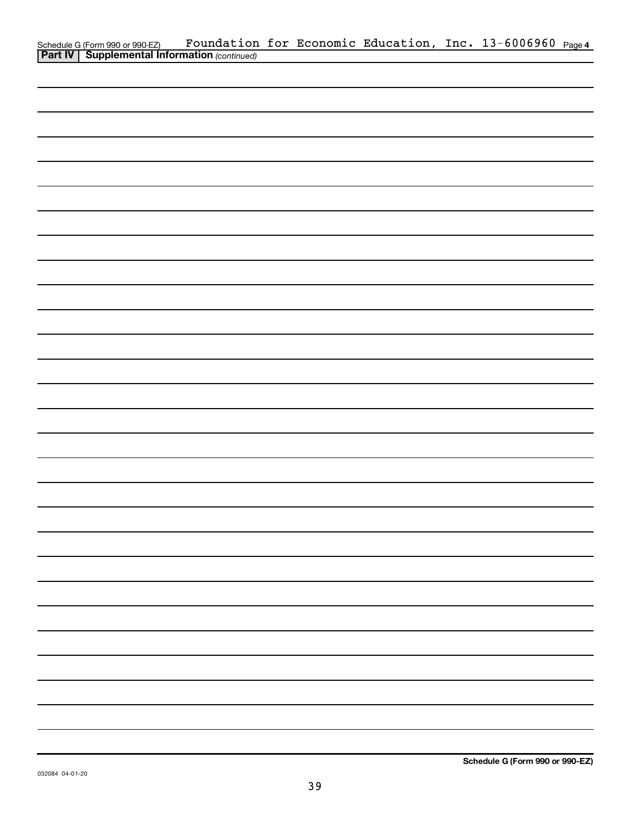|                                                                                                   |  |  | Foundation for Economic Education, Inc. 13-6006960 Page4 |  |
|---------------------------------------------------------------------------------------------------|--|--|----------------------------------------------------------|--|
| Schedule G (Form 990 or 990-EZ) Foundation<br><b>Part IV</b> Supplemental Information (continued) |  |  |                                                          |  |
|                                                                                                   |  |  |                                                          |  |
|                                                                                                   |  |  |                                                          |  |
|                                                                                                   |  |  |                                                          |  |
|                                                                                                   |  |  |                                                          |  |
|                                                                                                   |  |  |                                                          |  |
|                                                                                                   |  |  |                                                          |  |
|                                                                                                   |  |  |                                                          |  |
|                                                                                                   |  |  |                                                          |  |
|                                                                                                   |  |  |                                                          |  |
|                                                                                                   |  |  |                                                          |  |
|                                                                                                   |  |  |                                                          |  |
|                                                                                                   |  |  |                                                          |  |
|                                                                                                   |  |  |                                                          |  |
|                                                                                                   |  |  |                                                          |  |
|                                                                                                   |  |  |                                                          |  |
|                                                                                                   |  |  |                                                          |  |
|                                                                                                   |  |  |                                                          |  |
|                                                                                                   |  |  |                                                          |  |
|                                                                                                   |  |  |                                                          |  |
|                                                                                                   |  |  |                                                          |  |
|                                                                                                   |  |  |                                                          |  |
|                                                                                                   |  |  |                                                          |  |
|                                                                                                   |  |  |                                                          |  |
|                                                                                                   |  |  |                                                          |  |
|                                                                                                   |  |  |                                                          |  |
|                                                                                                   |  |  |                                                          |  |
|                                                                                                   |  |  |                                                          |  |
|                                                                                                   |  |  |                                                          |  |
|                                                                                                   |  |  |                                                          |  |
|                                                                                                   |  |  |                                                          |  |
|                                                                                                   |  |  |                                                          |  |
|                                                                                                   |  |  |                                                          |  |
|                                                                                                   |  |  |                                                          |  |
|                                                                                                   |  |  |                                                          |  |
|                                                                                                   |  |  |                                                          |  |
|                                                                                                   |  |  |                                                          |  |
|                                                                                                   |  |  |                                                          |  |
|                                                                                                   |  |  |                                                          |  |
|                                                                                                   |  |  |                                                          |  |
|                                                                                                   |  |  |                                                          |  |
|                                                                                                   |  |  |                                                          |  |
|                                                                                                   |  |  |                                                          |  |
|                                                                                                   |  |  |                                                          |  |
|                                                                                                   |  |  |                                                          |  |
|                                                                                                   |  |  |                                                          |  |
|                                                                                                   |  |  |                                                          |  |
|                                                                                                   |  |  |                                                          |  |
|                                                                                                   |  |  |                                                          |  |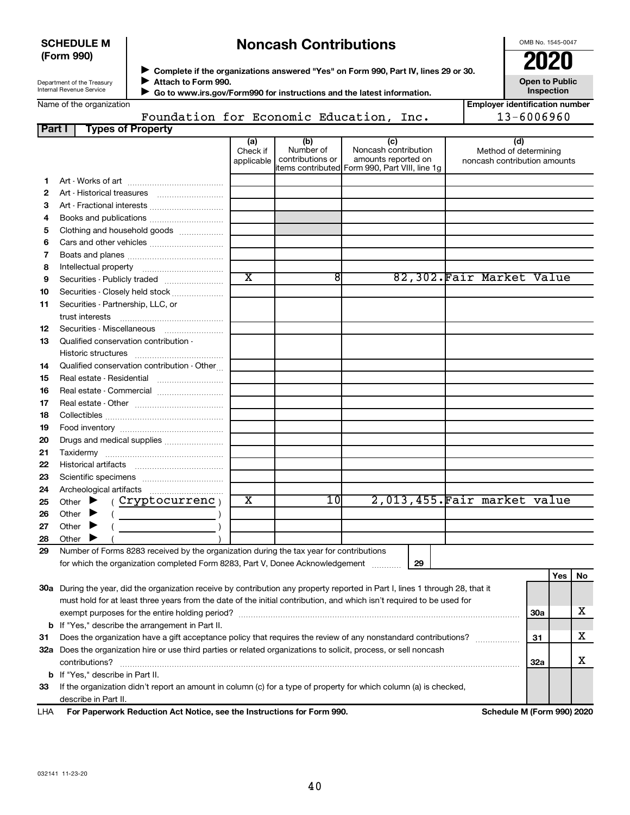| <b>SCHEDULE M</b> |  |
|-------------------|--|
| (Form 990)        |  |

# **Noncash Contributions**

OMB No. 1545-0047

| Department of the Treasury |  |
|----------------------------|--|
| Internal Revenue Service   |  |

**Complete if the organizations answered "Yes" on Form 990, Part IV, lines 29 or 30. Attach to Form 990.** →<br>**→** Complete if the organizations answered "Yes" on Form 990, Part IV, lines 29 or 30.<br>● Complete if the organizations answered "Yes" on Form 990, Part IV, lines 29 or 30.  $\blacktriangleright$ 

**Open to Public Inspection**

|  | Name of the organization |
|--|--------------------------|

 **Go to www.irs.gov/Form990 for instructions and the latest information.** J

|        | Name of the organization                                                                                                                                                                                                            |                               |                                      |                                                                                                      | <b>Employer identification number</b>                        |     |     |    |
|--------|-------------------------------------------------------------------------------------------------------------------------------------------------------------------------------------------------------------------------------------|-------------------------------|--------------------------------------|------------------------------------------------------------------------------------------------------|--------------------------------------------------------------|-----|-----|----|
|        | 13-6006960<br>Foundation for Economic Education, Inc.                                                                                                                                                                               |                               |                                      |                                                                                                      |                                                              |     |     |    |
| Part I | <b>Types of Property</b>                                                                                                                                                                                                            |                               |                                      |                                                                                                      |                                                              |     |     |    |
|        |                                                                                                                                                                                                                                     | (a)<br>Check if<br>applicable | (b)<br>Number of<br>contributions or | (c)<br>Noncash contribution<br>amounts reported on<br>items contributed Form 990, Part VIII, line 1g | (d)<br>Method of determining<br>noncash contribution amounts |     |     |    |
| 1.     |                                                                                                                                                                                                                                     |                               |                                      |                                                                                                      |                                                              |     |     |    |
| 2      |                                                                                                                                                                                                                                     |                               |                                      |                                                                                                      |                                                              |     |     |    |
| з      | Art - Fractional interests                                                                                                                                                                                                          |                               |                                      |                                                                                                      |                                                              |     |     |    |
| 4      | Books and publications                                                                                                                                                                                                              |                               |                                      |                                                                                                      |                                                              |     |     |    |
| 5      | Clothing and household goods                                                                                                                                                                                                        |                               |                                      |                                                                                                      |                                                              |     |     |    |
| 6      |                                                                                                                                                                                                                                     |                               |                                      |                                                                                                      |                                                              |     |     |    |
| 7      |                                                                                                                                                                                                                                     |                               |                                      |                                                                                                      |                                                              |     |     |    |
| 8      |                                                                                                                                                                                                                                     |                               |                                      |                                                                                                      |                                                              |     |     |    |
| 9      | Securities - Publicly traded                                                                                                                                                                                                        | $\overline{\text{x}}$         | 8                                    |                                                                                                      | 82,302. Fair Market Value                                    |     |     |    |
| 10     | Securities - Closely held stock                                                                                                                                                                                                     |                               |                                      |                                                                                                      |                                                              |     |     |    |
| 11     | Securities - Partnership, LLC, or                                                                                                                                                                                                   |                               |                                      |                                                                                                      |                                                              |     |     |    |
|        |                                                                                                                                                                                                                                     |                               |                                      |                                                                                                      |                                                              |     |     |    |
| 12     |                                                                                                                                                                                                                                     |                               |                                      |                                                                                                      |                                                              |     |     |    |
| 13     | Qualified conservation contribution -                                                                                                                                                                                               |                               |                                      |                                                                                                      |                                                              |     |     |    |
|        |                                                                                                                                                                                                                                     |                               |                                      |                                                                                                      |                                                              |     |     |    |
| 14     | Qualified conservation contribution - Other                                                                                                                                                                                         |                               |                                      |                                                                                                      |                                                              |     |     |    |
| 15     |                                                                                                                                                                                                                                     |                               |                                      |                                                                                                      |                                                              |     |     |    |
| 16     |                                                                                                                                                                                                                                     |                               |                                      |                                                                                                      |                                                              |     |     |    |
| 17     |                                                                                                                                                                                                                                     |                               |                                      |                                                                                                      |                                                              |     |     |    |
| 18     |                                                                                                                                                                                                                                     |                               |                                      |                                                                                                      |                                                              |     |     |    |
| 19     |                                                                                                                                                                                                                                     |                               |                                      |                                                                                                      |                                                              |     |     |    |
| 20     | Drugs and medical supplies                                                                                                                                                                                                          |                               |                                      |                                                                                                      |                                                              |     |     |    |
| 21     |                                                                                                                                                                                                                                     |                               |                                      |                                                                                                      |                                                              |     |     |    |
| 22     |                                                                                                                                                                                                                                     |                               |                                      |                                                                                                      |                                                              |     |     |    |
| 23     |                                                                                                                                                                                                                                     |                               |                                      |                                                                                                      |                                                              |     |     |    |
| 24     |                                                                                                                                                                                                                                     |                               |                                      |                                                                                                      |                                                              |     |     |    |
| 25     | (Cryptocurrenc)<br>Other $\blacktriangleright$                                                                                                                                                                                      | X                             | 10                                   |                                                                                                      | 2,013,455. Fair market value                                 |     |     |    |
| 26     | Other $\blacktriangleright$<br>$($ $)$                                                                                                                                                                                              |                               |                                      |                                                                                                      |                                                              |     |     |    |
| 27     | Other $\blacktriangleright$                                                                                                                                                                                                         |                               |                                      |                                                                                                      |                                                              |     |     |    |
| 28     | Other                                                                                                                                                                                                                               |                               |                                      |                                                                                                      |                                                              |     |     |    |
| 29     | Number of Forms 8283 received by the organization during the tax year for contributions                                                                                                                                             |                               |                                      |                                                                                                      |                                                              |     |     |    |
|        | for which the organization completed Form 8283, Part V, Donee Acknowledgement                                                                                                                                                       |                               |                                      | 29                                                                                                   |                                                              |     |     |    |
|        |                                                                                                                                                                                                                                     |                               |                                      |                                                                                                      |                                                              |     | Yes | No |
|        | 30a During the year, did the organization receive by contribution any property reported in Part I, lines 1 through 28, that it                                                                                                      |                               |                                      |                                                                                                      |                                                              |     |     |    |
|        | must hold for at least three years from the date of the initial contribution, and which isn't required to be used for                                                                                                               |                               |                                      |                                                                                                      |                                                              |     |     | x  |
|        |                                                                                                                                                                                                                                     |                               |                                      |                                                                                                      |                                                              | 30a |     |    |
|        | <b>b</b> If "Yes," describe the arrangement in Part II.                                                                                                                                                                             |                               |                                      |                                                                                                      |                                                              |     |     | x  |
| 31     | Does the organization have a gift acceptance policy that requires the review of any nonstandard contributions?<br>32a Does the organization hire or use third parties or related organizations to solicit, process, or sell noncash |                               |                                      |                                                                                                      |                                                              | 31  |     |    |
|        | contributions?                                                                                                                                                                                                                      |                               |                                      |                                                                                                      |                                                              | 32a |     | х  |
|        | b If "Yes," describe in Part II.                                                                                                                                                                                                    |                               |                                      |                                                                                                      |                                                              |     |     |    |
| 33     | If the organization didn't report an amount in column (c) for a type of property for which column (a) is checked,                                                                                                                   |                               |                                      |                                                                                                      |                                                              |     |     |    |
|        | describe in Part II.                                                                                                                                                                                                                |                               |                                      |                                                                                                      |                                                              |     |     |    |

**For Paperwork Reduction Act Notice, see the Instructions for Form 990. Schedule M (Form 990) 2020** LHA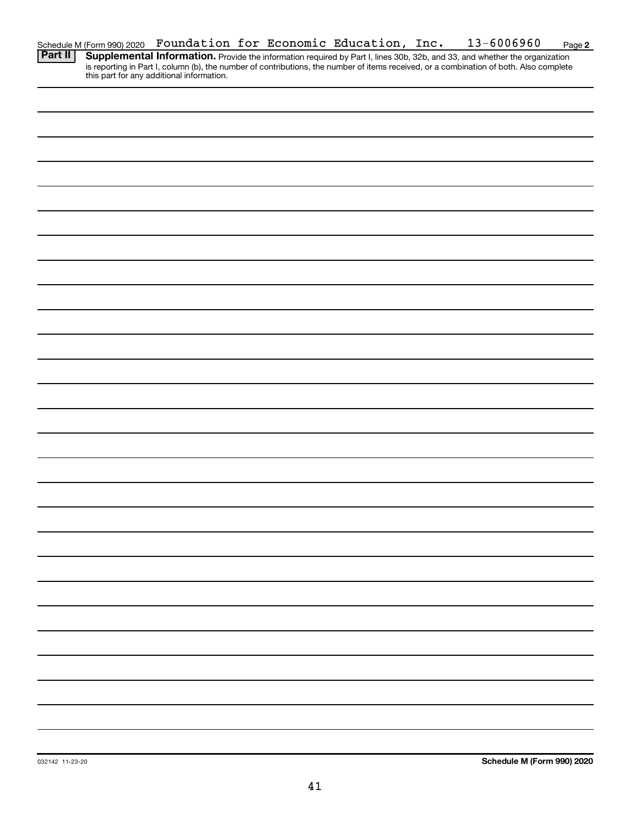| Schedule M (Form 990) 2020 Foundation for Economic Education, Inc. |  |  | 13-6006960 | Page 2 |
|--------------------------------------------------------------------|--|--|------------|--------|
| $\overline{B}$ . $\overline{B}$                                    |  |  |            |        |

Provide the information required by Part I, lines 30b, 32b, and 33, and whether the organization is reporting in Part I, column (b), the number of contributions, the number of items received, or a combination of both. Also complete this part for any additional information. **Part II Supplemental Information.**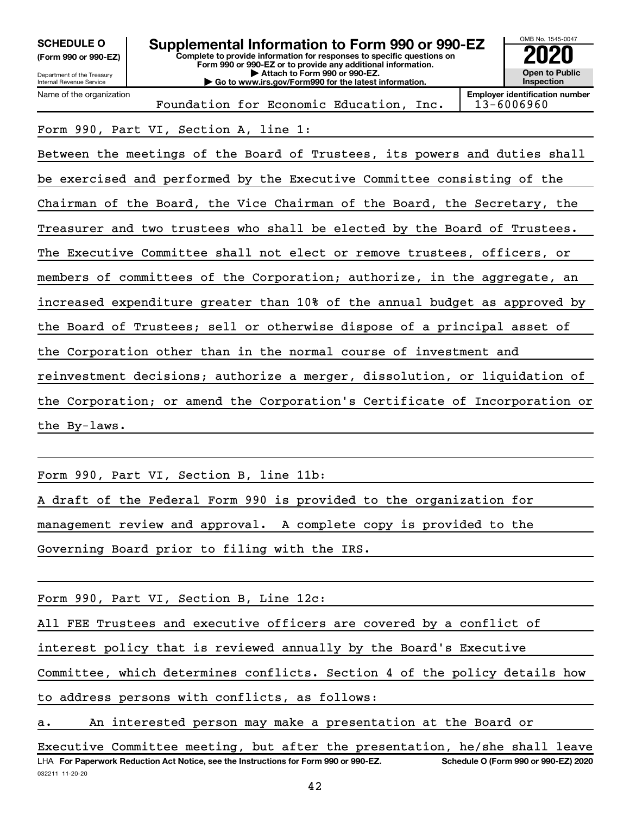OMB No. 1545-0047 Department of the Treasury Internal Revenue Service **Complete to provide information for responses to specific questions on Form 990 or 990-EZ or to provide any additional information. | Attach to Form 990 or 990-EZ. | Go to www.irs.gov/Form990 for the latest information. (Form 990 or 990-EZ) Open to Public Inspection Employer identification number** Name of the organization **SCHEDULE O Supplemental Information to Form 990 or 990-EZ 2020**<br>(Form 990 or 990-EZ) Complete to provide information for responses to specific questions on Foundation for Economic Education, Inc.  $\vert$  13-6006960

Form 990, Part VI, Section A, line 1:

Between the meetings of the Board of Trustees, its powers and duties shall be exercised and performed by the Executive Committee consisting of the Chairman of the Board, the Vice Chairman of the Board, the Secretary, the Treasurer and two trustees who shall be elected by the Board of Trustees. The Executive Committee shall not elect or remove trustees, officers, or members of committees of the Corporation; authorize, in the aggregate, an increased expenditure greater than 10% of the annual budget as approved by the Board of Trustees; sell or otherwise dispose of a principal asset of the Corporation other than in the normal course of investment and reinvestment decisions; authorize a merger, dissolution, or liquidation of the Corporation; or amend the Corporation's Certificate of Incorporation or the By-laws.

Form 990, Part VI, Section B, line 11b: A draft of the Federal Form 990 is provided to the organization for management review and approval. A complete copy is provided to the Governing Board prior to filing with the IRS.

Form 990, Part VI, Section B, Line 12c:

All FEE Trustees and executive officers are covered by a conflict of

interest policy that is reviewed annually by the Board's Executive

Committee, which determines conflicts. Section 4 of the policy details how

to address persons with conflicts, as follows:

a. An interested person may make a presentation at the Board or

032211 11-20-20 **For Paperwork Reduction Act Notice, see the Instructions for Form 990 or 990-EZ. Schedule O (Form 990 or 990-EZ) 2020** LHA Executive Committee meeting, but after the presentation, he/she shall leave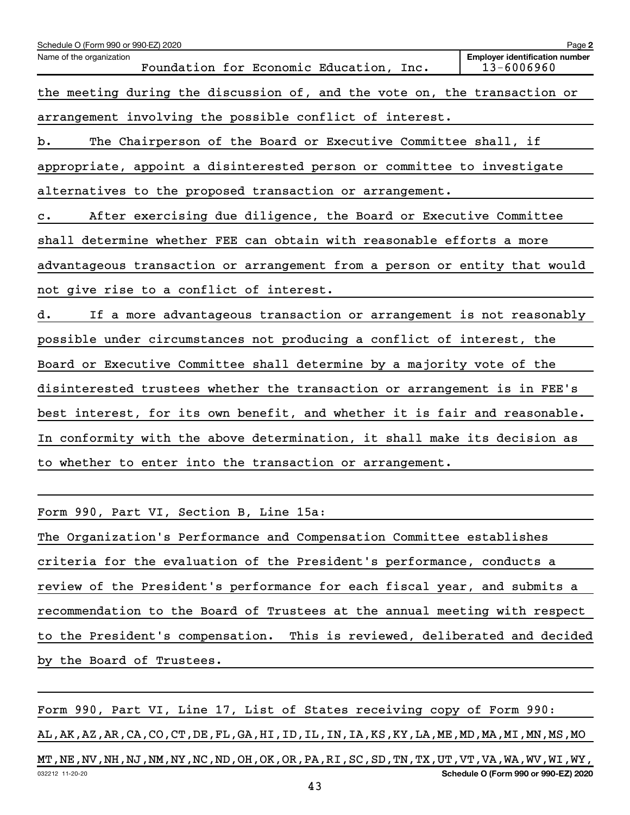| Schedule O (Form 990 or 990-EZ) 2020                                               | Page 2                                              |
|------------------------------------------------------------------------------------|-----------------------------------------------------|
| Name of the organization<br>Foundation for Economic Education, Inc.                | <b>Employer identification number</b><br>13-6006960 |
| the meeting during the discussion of, and the vote on, the transaction or          |                                                     |
| arrangement involving the possible conflict of interest.                           |                                                     |
| The Chairperson of the Board or Executive Committee shall, if<br>b.                |                                                     |
| appropriate, appoint a disinterested person or committee to investigate            |                                                     |
| alternatives to the proposed transaction or arrangement.                           |                                                     |
| After exercising due diligence, the Board or Executive Committee<br>$\mathbf{c}$ . |                                                     |
| shall determine whether FEE can obtain with reasonable efforts a more              |                                                     |
| advantageous transaction or arrangement from a person or entity that would         |                                                     |
| not give rise to a conflict of interest.                                           |                                                     |
| If a more advantageous transaction or arrangement is not reasonably<br>d.          |                                                     |
| possible under circumstances not producing a conflict of interest, the             |                                                     |
| Board or Executive Committee shall determine by a majority vote of the             |                                                     |
| disinterested trustees whether the transaction or arrangement is in FEE's          |                                                     |
| best interest, for its own benefit, and whether it is fair and reasonable.         |                                                     |
| In conformity with the above determination, it shall make its decision as          |                                                     |
| to whether to enter into the transaction or arrangement.                           |                                                     |
|                                                                                    |                                                     |

Form 990, Part VI, Section B, Line 15a:

The Organization's Performance and Compensation Committee establishes criteria for the evaluation of the President's performance, conducts a review of the President's performance for each fiscal year, and submits a recommendation to the Board of Trustees at the annual meeting with respect to the President's compensation. This is reviewed, deliberated and decided by the Board of Trustees.

032212 11-20-20 **Schedule O (Form 990 or 990-EZ) 2020** Form 990, Part VI, Line 17, List of States receiving copy of Form 990: AL,AK,AZ,AR,CA,CO,CT,DE,FL,GA,HI,ID,IL,IN,IA,KS,KY,LA,ME,MD,MA,MI,MN,MS,MO MT,NE,NV,NH,NJ,NM,NY,NC,ND,OH,OK,OR,PA,RI,SC,SD,TN,TX,UT,VT,VA,WA,WV,WI,WY,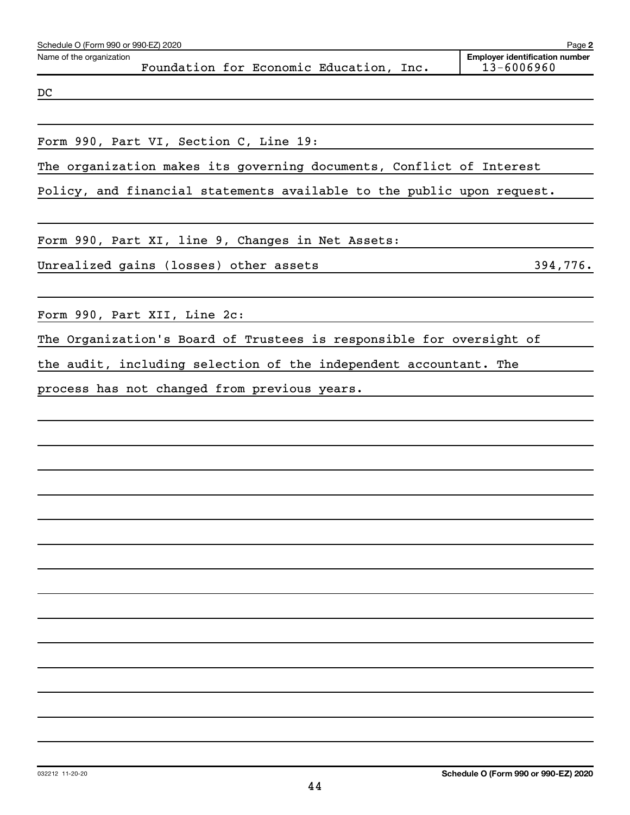| Schedule O (Form 990 or 990-EZ) 2020                                   | Page 2                                              |
|------------------------------------------------------------------------|-----------------------------------------------------|
| Name of the organization<br>Foundation for Economic Education, Inc.    | <b>Employer identification number</b><br>13-6006960 |
| DC                                                                     |                                                     |
|                                                                        |                                                     |
| Form 990, Part VI, Section C, Line 19:                                 |                                                     |
| The organization makes its governing documents, Conflict of Interest   |                                                     |
| Policy, and financial statements available to the public upon request. |                                                     |
| Form 990, Part XI, line 9, Changes in Net Assets:                      |                                                     |
| Unrealized gains (losses) other assets                                 | 394,776.                                            |
| Form 990, Part XII, Line 2c:                                           |                                                     |
| The Organization's Board of Trustees is responsible for oversight of   |                                                     |
| the audit, including selection of the independent accountant. The      |                                                     |
| process has not changed from previous years.                           |                                                     |
|                                                                        |                                                     |
|                                                                        |                                                     |
|                                                                        |                                                     |
|                                                                        |                                                     |
|                                                                        |                                                     |
|                                                                        |                                                     |
|                                                                        |                                                     |
|                                                                        |                                                     |
|                                                                        |                                                     |
|                                                                        |                                                     |
|                                                                        |                                                     |
|                                                                        |                                                     |
|                                                                        |                                                     |
|                                                                        |                                                     |
|                                                                        |                                                     |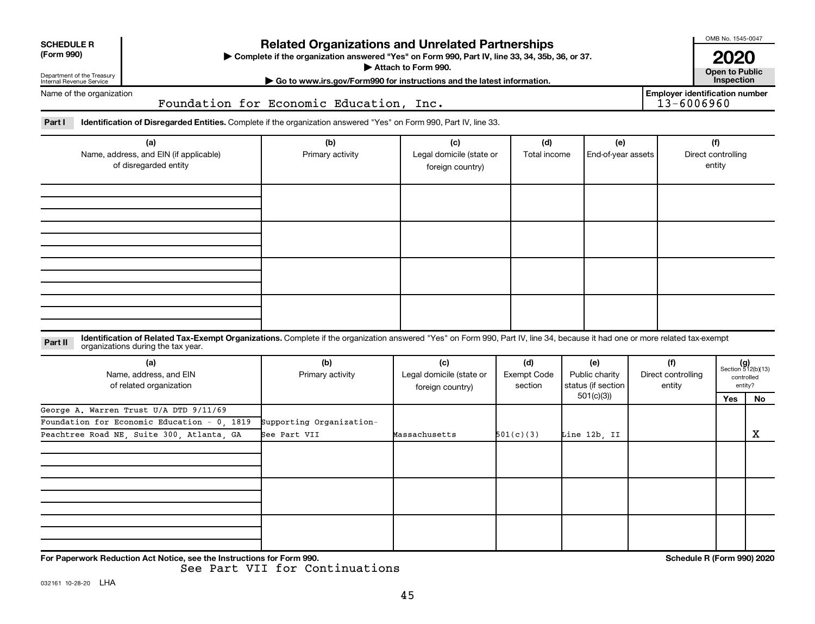| <b>Related Organizations and Unrelated Partnerships</b><br><b>SCHEDULE R</b><br>(Form 990)<br>> Complete if the organization answered "Yes" on Form 990, Part IV, line 33, 34, 35b, 36, or 37.<br>Attach to Form 990.<br>Department of the Treasury<br>Go to www.irs.gov/Form990 for instructions and the latest information.<br>Internal Revenue Service |                                                                                                                                                                                                                    |                                          |                                                     |                               |                                             |                                     |                                                     |                                                      |  |  |
|-----------------------------------------------------------------------------------------------------------------------------------------------------------------------------------------------------------------------------------------------------------------------------------------------------------------------------------------------------------|--------------------------------------------------------------------------------------------------------------------------------------------------------------------------------------------------------------------|------------------------------------------|-----------------------------------------------------|-------------------------------|---------------------------------------------|-------------------------------------|-----------------------------------------------------|------------------------------------------------------|--|--|
| Name of the organization                                                                                                                                                                                                                                                                                                                                  |                                                                                                                                                                                                                    | Foundation for Economic Education, Inc.  |                                                     |                               |                                             |                                     | <b>Employer identification number</b><br>13-6006960 |                                                      |  |  |
| Part I                                                                                                                                                                                                                                                                                                                                                    | Identification of Disregarded Entities. Complete if the organization answered "Yes" on Form 990, Part IV, line 33.                                                                                                 |                                          |                                                     |                               |                                             |                                     |                                                     |                                                      |  |  |
| (a)<br>Name, address, and EIN (if applicable)<br>of disregarded entity                                                                                                                                                                                                                                                                                    |                                                                                                                                                                                                                    | (b)<br>Primary activity                  | (c)<br>Legal domicile (state or<br>foreign country) | (d)<br>Total income           | (e)<br>End-of-year assets                   |                                     | (f)<br>Direct controlling<br>entity                 |                                                      |  |  |
|                                                                                                                                                                                                                                                                                                                                                           |                                                                                                                                                                                                                    |                                          |                                                     |                               |                                             |                                     |                                                     |                                                      |  |  |
|                                                                                                                                                                                                                                                                                                                                                           |                                                                                                                                                                                                                    |                                          |                                                     |                               |                                             |                                     |                                                     |                                                      |  |  |
| Part II                                                                                                                                                                                                                                                                                                                                                   | Identification of Related Tax-Exempt Organizations. Complete if the organization answered "Yes" on Form 990, Part IV, line 34, because it had one or more related tax-exempt<br>organizations during the tax year. |                                          |                                                     |                               |                                             |                                     |                                                     |                                                      |  |  |
|                                                                                                                                                                                                                                                                                                                                                           | (a)<br>Name, address, and EIN<br>of related organization                                                                                                                                                           | (b)<br>Primary activity                  | (c)<br>Legal domicile (state or<br>foreign country) | (d)<br>Exempt Code<br>section | (e)<br>Public charity<br>status (if section | (f)<br>Direct controlling<br>entity |                                                     | $(g)$<br>Section 512(b)(13)<br>controlled<br>entity? |  |  |
| George A. Warren Trust U/A DTD 9/11/69<br>Foundation for Economic Education - 0 1819<br>Peachtree Road NE, Suite 300, Atlanta, GA                                                                                                                                                                                                                         |                                                                                                                                                                                                                    | Supporting Organization-<br>See Part VII | Massachusetts                                       | 501(c)(3)                     | 501(c)(3)                                   |                                     | Yes                                                 | No<br>$\mathbf X$                                    |  |  |
|                                                                                                                                                                                                                                                                                                                                                           |                                                                                                                                                                                                                    |                                          |                                                     |                               | Line 12b. II                                |                                     |                                                     |                                                      |  |  |
|                                                                                                                                                                                                                                                                                                                                                           |                                                                                                                                                                                                                    |                                          |                                                     |                               |                                             |                                     |                                                     |                                                      |  |  |
|                                                                                                                                                                                                                                                                                                                                                           | For Paperwork Reduction Act Notice, see the Instructions for Form 990.                                                                                                                                             |                                          |                                                     |                               |                                             |                                     | Schedule R (Form 990) 2020                          |                                                      |  |  |

See Part VII for Continuations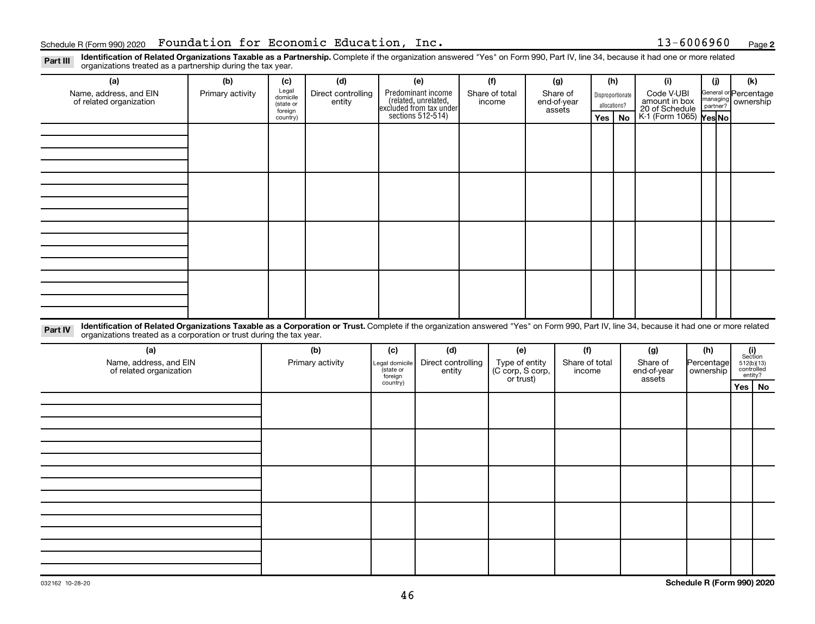Part III Identification of Related Organizations Taxable as a Partnership. Complete if the organization answered "Yes" on Form 990, Part IV, line 34, because it had one or more related<br>Read to the organizations tracted as organizations treated as a partnership during the tax year.

| organizations treated as a partnership during the tax year.                                                                                                                                                                                                                 |                  |                      |                    |                                      |                                                                                            |                |                  |  |                       |          |                  |                                               |            |          |                                                                                                                                 |  |
|-----------------------------------------------------------------------------------------------------------------------------------------------------------------------------------------------------------------------------------------------------------------------------|------------------|----------------------|--------------------|--------------------------------------|--------------------------------------------------------------------------------------------|----------------|------------------|--|-----------------------|----------|------------------|-----------------------------------------------|------------|----------|---------------------------------------------------------------------------------------------------------------------------------|--|
| (a)                                                                                                                                                                                                                                                                         | (b)              | (c)                  | (d)                |                                      | (e)                                                                                        |                | (f)              |  | (g)                   |          | (h)              | (i)                                           |            | (i)      | (k)                                                                                                                             |  |
| Name, address, and EIN                                                                                                                                                                                                                                                      | Primary activity | Legal<br>domicile    | Direct controlling |                                      | Predominant income<br>(related, unrelated,<br>excluded from tax under<br>sections 512-514) |                | Share of total   |  | Share of              |          | Disproportionate | Code V-UBI<br>amount in box<br>20 of Schedule |            |          | General or Percentage                                                                                                           |  |
| of related organization                                                                                                                                                                                                                                                     |                  | (state or<br>foreign | entity             |                                      |                                                                                            |                | income           |  | end-of-year<br>assets |          | allocations?     |                                               |            | partner? | managing ownership                                                                                                              |  |
|                                                                                                                                                                                                                                                                             |                  | country)             |                    |                                      |                                                                                            |                |                  |  |                       | Yes   No |                  | K-1 (Form 1065) Yes No                        |            |          |                                                                                                                                 |  |
|                                                                                                                                                                                                                                                                             |                  |                      |                    |                                      |                                                                                            |                |                  |  |                       |          |                  |                                               |            |          |                                                                                                                                 |  |
|                                                                                                                                                                                                                                                                             |                  |                      |                    |                                      |                                                                                            |                |                  |  |                       |          |                  |                                               |            |          |                                                                                                                                 |  |
|                                                                                                                                                                                                                                                                             |                  |                      |                    |                                      |                                                                                            |                |                  |  |                       |          |                  |                                               |            |          |                                                                                                                                 |  |
|                                                                                                                                                                                                                                                                             |                  |                      |                    |                                      |                                                                                            |                |                  |  |                       |          |                  |                                               |            |          |                                                                                                                                 |  |
|                                                                                                                                                                                                                                                                             |                  |                      |                    |                                      |                                                                                            |                |                  |  |                       |          |                  |                                               |            |          |                                                                                                                                 |  |
|                                                                                                                                                                                                                                                                             |                  |                      |                    |                                      |                                                                                            |                |                  |  |                       |          |                  |                                               |            |          |                                                                                                                                 |  |
|                                                                                                                                                                                                                                                                             |                  |                      |                    |                                      |                                                                                            |                |                  |  |                       |          |                  |                                               |            |          |                                                                                                                                 |  |
|                                                                                                                                                                                                                                                                             |                  |                      |                    |                                      |                                                                                            |                |                  |  |                       |          |                  |                                               |            |          |                                                                                                                                 |  |
|                                                                                                                                                                                                                                                                             |                  |                      |                    |                                      |                                                                                            |                |                  |  |                       |          |                  |                                               |            |          |                                                                                                                                 |  |
|                                                                                                                                                                                                                                                                             |                  |                      |                    |                                      |                                                                                            |                |                  |  |                       |          |                  |                                               |            |          |                                                                                                                                 |  |
|                                                                                                                                                                                                                                                                             |                  |                      |                    |                                      |                                                                                            |                |                  |  |                       |          |                  |                                               |            |          |                                                                                                                                 |  |
|                                                                                                                                                                                                                                                                             |                  |                      |                    |                                      |                                                                                            |                |                  |  |                       |          |                  |                                               |            |          |                                                                                                                                 |  |
|                                                                                                                                                                                                                                                                             |                  |                      |                    |                                      |                                                                                            |                |                  |  |                       |          |                  |                                               |            |          |                                                                                                                                 |  |
|                                                                                                                                                                                                                                                                             |                  |                      |                    |                                      |                                                                                            |                |                  |  |                       |          |                  |                                               |            |          |                                                                                                                                 |  |
|                                                                                                                                                                                                                                                                             |                  |                      |                    |                                      |                                                                                            |                |                  |  |                       |          |                  |                                               |            |          |                                                                                                                                 |  |
|                                                                                                                                                                                                                                                                             |                  |                      |                    |                                      |                                                                                            |                |                  |  |                       |          |                  |                                               |            |          |                                                                                                                                 |  |
| Identification of Related Organizations Taxable as a Corporation or Trust. Complete if the organization answered "Yes" on Form 990, Part IV, line 34, because it had one or more related<br>Part IV<br>organizations treated as a corporation or trust during the tax year. |                  |                      |                    |                                      |                                                                                            |                |                  |  |                       |          |                  |                                               |            |          |                                                                                                                                 |  |
| (a)                                                                                                                                                                                                                                                                         |                  |                      | (b)                | (c)                                  | (d)                                                                                        |                | (e)              |  | (f)                   |          |                  | (g)                                           | (h)        |          |                                                                                                                                 |  |
| Name, address, and EIN                                                                                                                                                                                                                                                      |                  | Primary activity     |                    | Direct controlling<br>Legal domicile |                                                                                            | Type of entity |                  |  | Share of total        |          | Share of         |                                               | Percentage |          | $\begin{array}{c} \textbf{(i)}\\ \text{Section}\\ 512 \text{(b)} \text{(13)}\\ \text{controlled} \\ \text{entity?} \end{array}$ |  |
| of related organization                                                                                                                                                                                                                                                     |                  |                      |                    | state or                             | entity<br>foreign                                                                          |                | (C corp, S corp, |  | end-of-year<br>income |          |                  | ownership                                     |            |          |                                                                                                                                 |  |
|                                                                                                                                                                                                                                                                             |                  |                      |                    | country)                             |                                                                                            |                | or trust)        |  |                       |          |                  | assets                                        |            |          | Yes<br>No                                                                                                                       |  |
|                                                                                                                                                                                                                                                                             |                  |                      |                    |                                      |                                                                                            |                |                  |  |                       |          |                  |                                               |            |          |                                                                                                                                 |  |
|                                                                                                                                                                                                                                                                             |                  |                      |                    |                                      |                                                                                            |                |                  |  |                       |          |                  |                                               |            |          |                                                                                                                                 |  |
|                                                                                                                                                                                                                                                                             |                  |                      |                    |                                      |                                                                                            |                |                  |  |                       |          |                  |                                               |            |          |                                                                                                                                 |  |
|                                                                                                                                                                                                                                                                             |                  |                      |                    |                                      |                                                                                            |                |                  |  |                       |          |                  |                                               |            |          |                                                                                                                                 |  |
|                                                                                                                                                                                                                                                                             |                  |                      |                    |                                      |                                                                                            |                |                  |  |                       |          |                  |                                               |            |          |                                                                                                                                 |  |
|                                                                                                                                                                                                                                                                             |                  |                      |                    |                                      |                                                                                            |                |                  |  |                       |          |                  |                                               |            |          |                                                                                                                                 |  |
|                                                                                                                                                                                                                                                                             |                  |                      |                    |                                      |                                                                                            |                |                  |  |                       |          |                  |                                               |            |          |                                                                                                                                 |  |
|                                                                                                                                                                                                                                                                             |                  |                      |                    |                                      |                                                                                            |                |                  |  |                       |          |                  |                                               |            |          |                                                                                                                                 |  |
|                                                                                                                                                                                                                                                                             |                  |                      |                    |                                      |                                                                                            |                |                  |  |                       |          |                  |                                               |            |          |                                                                                                                                 |  |
|                                                                                                                                                                                                                                                                             |                  |                      |                    |                                      |                                                                                            |                |                  |  |                       |          |                  |                                               |            |          |                                                                                                                                 |  |
|                                                                                                                                                                                                                                                                             |                  |                      |                    |                                      |                                                                                            |                |                  |  |                       |          |                  |                                               |            |          |                                                                                                                                 |  |
|                                                                                                                                                                                                                                                                             |                  |                      |                    |                                      |                                                                                            |                |                  |  |                       |          |                  |                                               |            |          |                                                                                                                                 |  |
|                                                                                                                                                                                                                                                                             |                  |                      |                    |                                      |                                                                                            |                |                  |  |                       |          |                  |                                               |            |          |                                                                                                                                 |  |
|                                                                                                                                                                                                                                                                             |                  |                      |                    |                                      |                                                                                            |                |                  |  |                       |          |                  |                                               |            |          |                                                                                                                                 |  |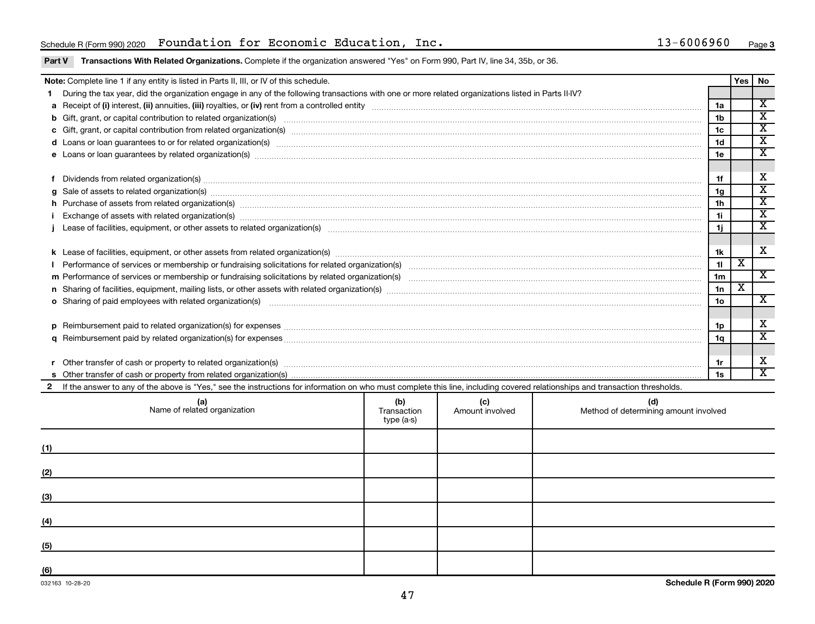### Schedule R(Form 990) 2020 Foundation for Economic Education, Inc. 13-6006960 Page

#### Part V Transactions With Related Organizations. Complete if the organization answered "Yes" on Form 990, Part IV, line 34, 35b, or 36.

|   | Note: Complete line 1 if any entity is listed in Parts II, III, or IV of this schedule.                                                                                                                                                             |                 | Yes   No                |                              |  |  |  |
|---|-----------------------------------------------------------------------------------------------------------------------------------------------------------------------------------------------------------------------------------------------------|-----------------|-------------------------|------------------------------|--|--|--|
|   | During the tax year, did the organization engage in any of the following transactions with one or more related organizations listed in Parts II-IV?                                                                                                 |                 |                         |                              |  |  |  |
|   |                                                                                                                                                                                                                                                     | 1a              |                         | $\overline{\mathbf{x}}$      |  |  |  |
|   | b Gift, grant, or capital contribution to related organization(s) material contracts and contribution to related organization(s) material contribution (s) and contribution to related organization(s) material contribution (                      | 1 <sub>b</sub>  |                         | $\overline{\mathbf{x}}$      |  |  |  |
|   |                                                                                                                                                                                                                                                     | 1c              |                         | $\overline{\mathbf{X}}$      |  |  |  |
|   |                                                                                                                                                                                                                                                     | 1 <sub>d</sub>  |                         | $\overline{\textnormal{x}}$  |  |  |  |
|   | e Loans or loan guarantees by related organization(s) machinesimam machinesimam machinesimam machinesimam machinesimam machinesimam machinesimam machinesima.                                                                                       | 1e              |                         | $\mathbf x$                  |  |  |  |
|   |                                                                                                                                                                                                                                                     |                 |                         |                              |  |  |  |
|   | Dividends from related organization(s) machinesis and contract and contract and contract and contract and contract and contract and contract and contract and contract and contract and contract and contract and contract and                      | 1f              |                         | X                            |  |  |  |
| a | Sale of assets to related organization(s) www.assettion.com/www.assettion.com/www.assettion.com/www.assettion.com/www.assettion.com/www.assettion.com/www.assettion.com/www.assettion.com/www.assettion.com/www.assettion.com/                      | 1g              |                         | X                            |  |  |  |
|   | h Purchase of assets from related organization(s) manufactured manufactured manufactured manufactured manufactured manufactured manufactured manufactured manufactured manufactured manufactured manufactured manufactured man                      | 1 <sub>h</sub>  |                         | $\overline{\mathbf{x}}$      |  |  |  |
|   |                                                                                                                                                                                                                                                     | 11              |                         | $\overline{\mathbf{X}}$      |  |  |  |
|   |                                                                                                                                                                                                                                                     | 1j.             |                         | $\overline{\mathbf{x}}$      |  |  |  |
|   |                                                                                                                                                                                                                                                     |                 |                         |                              |  |  |  |
|   |                                                                                                                                                                                                                                                     | 1k              |                         | X                            |  |  |  |
|   |                                                                                                                                                                                                                                                     | 11              | X                       |                              |  |  |  |
|   |                                                                                                                                                                                                                                                     | 1 <sub>m</sub>  |                         | X                            |  |  |  |
|   |                                                                                                                                                                                                                                                     | 1n              | $\overline{\mathbf{x}}$ |                              |  |  |  |
|   | o Sharing of paid employees with related organization(s) manufactured content to the content of the content of the content of the content of the content of the content of the content of the content of the content of the co                      | 10 <sub>o</sub> |                         | $\overline{\mathbf{x}}$      |  |  |  |
|   |                                                                                                                                                                                                                                                     |                 |                         |                              |  |  |  |
| D |                                                                                                                                                                                                                                                     | 1p              |                         | X<br>$\overline{\mathbf{x}}$ |  |  |  |
|   | a                                                                                                                                                                                                                                                   |                 |                         |                              |  |  |  |
|   |                                                                                                                                                                                                                                                     |                 |                         |                              |  |  |  |
|   | Other transfer of cash or property to related organization(s) manufactured content to the content of cash or property to related organization(s)                                                                                                    |                 |                         |                              |  |  |  |
|   |                                                                                                                                                                                                                                                     | 1s              |                         | $\overline{\mathbf{x}}$      |  |  |  |
|   | If the answer to any of the above is "Yes," see the instructions for information on who must complete this line, including covered relationships and transaction thresholds.                                                                        |                 |                         |                              |  |  |  |
|   | $\mathcal{L}(\mathbf{X})$ and $\mathcal{L}(\mathbf{X})$ are all the set of the set of the set of the set of the set of the set of the set of the set of the set of the set of the set of the set of the set of the set of the set of the set of the |                 |                         |                              |  |  |  |

| (a)<br>Name of related organization | (b)<br>Transaction<br>type (a-s) | (c)<br>Amount involved | (d)<br>Method of determining amount involved |
|-------------------------------------|----------------------------------|------------------------|----------------------------------------------|
| (1)                                 |                                  |                        |                                              |
| (2)                                 |                                  |                        |                                              |
| (3)                                 |                                  |                        |                                              |
| (4)                                 |                                  |                        |                                              |
| (5)                                 |                                  |                        |                                              |
| (6)                                 |                                  |                        |                                              |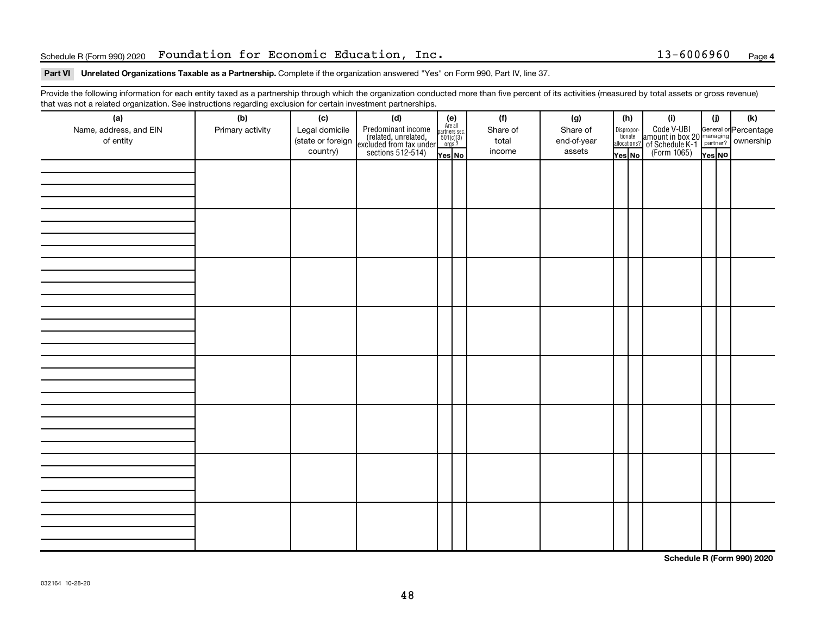#### Schedule R(Form 990) 2020 Foundation for Economic Education, Inc. 13-6006960 Page

#### Part VI Unrelated Organizations Taxable as a Partnership. Complete if the organization answered "Yes" on Form 990, Part IV, line 37.

Provide the following information for each entity taxed as a partnership through which the organization conducted more than five percent of its activities (measured by total assets or gross revenue) that was not a related organization. See instructions regarding exclusion for certain investment partnerships.

| (a)<br>Name, address, and EIN<br>of entity | - - -<br>(b)<br>Primary activity | (c)<br>Legal domicile<br>(state or foreign<br>country) | (d)<br>Predominant income<br>(related, unrelated,<br>excluded from tax under<br>sections 512-514) | (e)<br>Are all<br>partners sec.<br>$501(c)(3)$<br>orgs.?<br>Yes No | (f)<br>Share of<br>total<br>income | (g)<br>Share of<br>end-of-year<br>assets | (h)<br>Dispropor-<br>tionate<br>allocations?<br>Yes No | (i)<br>Code V-UBI<br>amount in box 20 managing<br>of Schedule K-1<br>(Form 1065)<br>ves No | (i)<br>Yes NO | (k) |
|--------------------------------------------|----------------------------------|--------------------------------------------------------|---------------------------------------------------------------------------------------------------|--------------------------------------------------------------------|------------------------------------|------------------------------------------|--------------------------------------------------------|--------------------------------------------------------------------------------------------|---------------|-----|
|                                            |                                  |                                                        |                                                                                                   |                                                                    |                                    |                                          |                                                        |                                                                                            |               |     |
|                                            |                                  |                                                        |                                                                                                   |                                                                    |                                    |                                          |                                                        |                                                                                            |               |     |
|                                            |                                  |                                                        |                                                                                                   |                                                                    |                                    |                                          |                                                        |                                                                                            |               |     |
|                                            |                                  |                                                        |                                                                                                   |                                                                    |                                    |                                          |                                                        |                                                                                            |               |     |
|                                            |                                  |                                                        |                                                                                                   |                                                                    |                                    |                                          |                                                        |                                                                                            |               |     |
|                                            |                                  |                                                        |                                                                                                   |                                                                    |                                    |                                          |                                                        |                                                                                            |               |     |
|                                            |                                  |                                                        |                                                                                                   |                                                                    |                                    |                                          |                                                        |                                                                                            |               |     |
|                                            |                                  |                                                        |                                                                                                   |                                                                    |                                    |                                          |                                                        |                                                                                            |               |     |

**Schedule R (Form 990) 2020**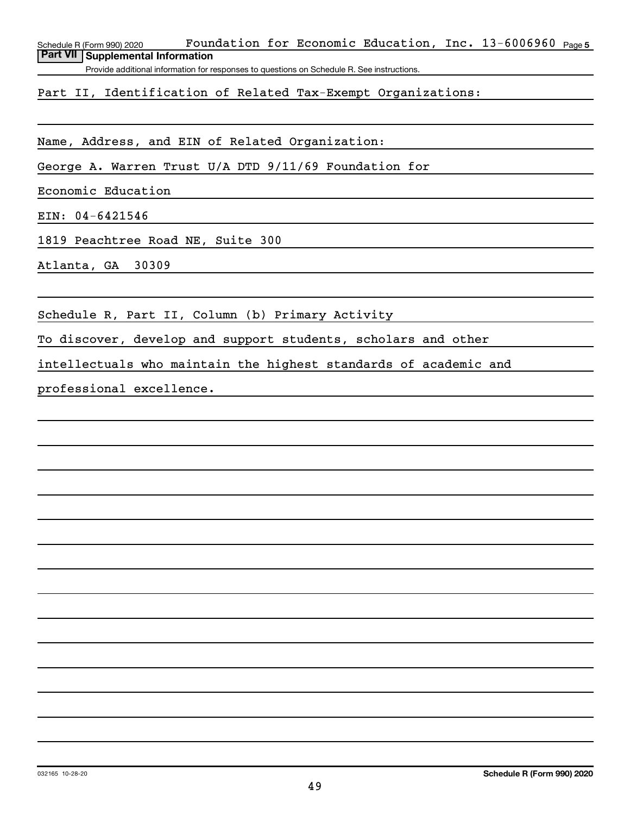Schedule R (Form 990) 2020 Fo**undation for Economic Education, Inc.** 13-6006960 <sub>Page 5</sub> **Part VII Supplemental Information**

Provide additional information for responses to questions on Schedule R. See instructions.

Part II, Identification of Related Tax-Exempt Organizations:

Name, Address, and EIN of Related Organization:

George A. Warren Trust U/A DTD 9/11/69 Foundation for

Economic Education

EIN: 04-6421546

1819 Peachtree Road NE, Suite 300

Atlanta, GA 30309

Schedule R, Part II, Column (b) Primary Activity

To discover, develop and support students, scholars and other

intellectuals who maintain the highest standards of academic and

professional excellence.